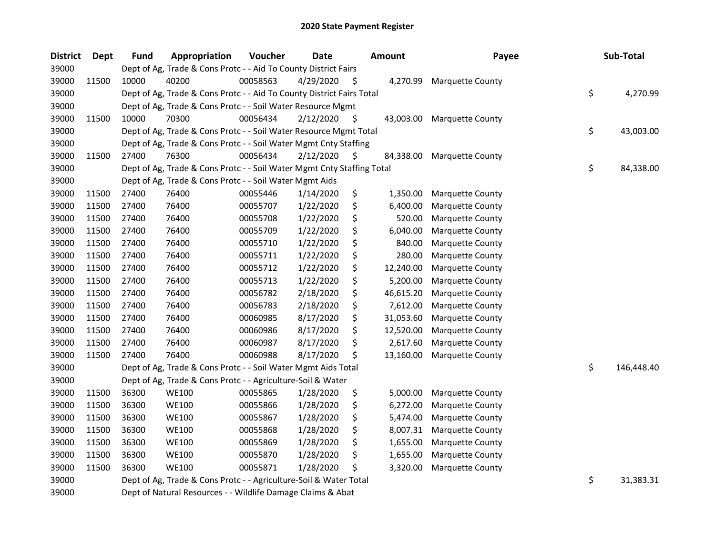| <b>District</b> | Dept  | <b>Fund</b> | Appropriation                                                          | Voucher  | <b>Date</b>    |         | <b>Amount</b> | Payee                   | Sub-Total        |
|-----------------|-------|-------------|------------------------------------------------------------------------|----------|----------------|---------|---------------|-------------------------|------------------|
| 39000           |       |             | Dept of Ag, Trade & Cons Protc - - Aid To County District Fairs        |          |                |         |               |                         |                  |
| 39000           | 11500 | 10000       | 40200                                                                  | 00058563 | 4/29/2020      | $\zeta$ | 4,270.99      | <b>Marquette County</b> |                  |
| 39000           |       |             | Dept of Ag, Trade & Cons Protc - - Aid To County District Fairs Total  |          |                |         |               |                         | \$<br>4,270.99   |
| 39000           |       |             | Dept of Ag, Trade & Cons Protc - - Soil Water Resource Mgmt            |          |                |         |               |                         |                  |
| 39000           | 11500 | 10000       | 70300                                                                  | 00056434 | $2/12/2020$ \$ |         | 43,003.00     | <b>Marquette County</b> |                  |
| 39000           |       |             | Dept of Ag, Trade & Cons Protc - - Soil Water Resource Mgmt Total      |          |                |         |               |                         | \$<br>43,003.00  |
| 39000           |       |             | Dept of Ag, Trade & Cons Protc - - Soil Water Mgmt Cnty Staffing       |          |                |         |               |                         |                  |
| 39000           | 11500 | 27400       | 76300                                                                  | 00056434 | 2/12/2020      | \$      | 84,338.00     | <b>Marquette County</b> |                  |
| 39000           |       |             | Dept of Ag, Trade & Cons Protc - - Soil Water Mgmt Cnty Staffing Total |          |                |         |               |                         | \$<br>84,338.00  |
| 39000           |       |             | Dept of Ag, Trade & Cons Protc - - Soil Water Mgmt Aids                |          |                |         |               |                         |                  |
| 39000           | 11500 | 27400       | 76400                                                                  | 00055446 | 1/14/2020      | \$      | 1,350.00      | <b>Marquette County</b> |                  |
| 39000           | 11500 | 27400       | 76400                                                                  | 00055707 | 1/22/2020      | \$      | 6,400.00      | Marquette County        |                  |
| 39000           | 11500 | 27400       | 76400                                                                  | 00055708 | 1/22/2020      | \$      | 520.00        | Marquette County        |                  |
| 39000           | 11500 | 27400       | 76400                                                                  | 00055709 | 1/22/2020      | \$      | 6,040.00      | <b>Marquette County</b> |                  |
| 39000           | 11500 | 27400       | 76400                                                                  | 00055710 | 1/22/2020      | \$      | 840.00        | Marquette County        |                  |
| 39000           | 11500 | 27400       | 76400                                                                  | 00055711 | 1/22/2020      | \$      | 280.00        | Marquette County        |                  |
| 39000           | 11500 | 27400       | 76400                                                                  | 00055712 | 1/22/2020      | \$      | 12,240.00     | Marquette County        |                  |
| 39000           | 11500 | 27400       | 76400                                                                  | 00055713 | 1/22/2020      | \$      | 5,200.00      | Marquette County        |                  |
| 39000           | 11500 | 27400       | 76400                                                                  | 00056782 | 2/18/2020      | \$      | 46,615.20     | Marquette County        |                  |
| 39000           | 11500 | 27400       | 76400                                                                  | 00056783 | 2/18/2020      | \$      | 7,612.00      | Marquette County        |                  |
| 39000           | 11500 | 27400       | 76400                                                                  | 00060985 | 8/17/2020      | \$      | 31,053.60     | Marquette County        |                  |
| 39000           | 11500 | 27400       | 76400                                                                  | 00060986 | 8/17/2020      | \$      | 12,520.00     | Marquette County        |                  |
| 39000           | 11500 | 27400       | 76400                                                                  | 00060987 | 8/17/2020      | \$      | 2,617.60      | Marquette County        |                  |
| 39000           | 11500 | 27400       | 76400                                                                  | 00060988 | 8/17/2020      | \$      | 13,160.00     | <b>Marquette County</b> |                  |
| 39000           |       |             | Dept of Ag, Trade & Cons Protc - - Soil Water Mgmt Aids Total          |          |                |         |               |                         | \$<br>146,448.40 |
| 39000           |       |             | Dept of Ag, Trade & Cons Protc - - Agriculture-Soil & Water            |          |                |         |               |                         |                  |
| 39000           | 11500 | 36300       | <b>WE100</b>                                                           | 00055865 | 1/28/2020      | \$      | 5,000.00      | Marquette County        |                  |
| 39000           | 11500 | 36300       | <b>WE100</b>                                                           | 00055866 | 1/28/2020      | \$      | 6,272.00      | Marquette County        |                  |
| 39000           | 11500 | 36300       | <b>WE100</b>                                                           | 00055867 | 1/28/2020      | \$      | 5,474.00      | Marquette County        |                  |
| 39000           | 11500 | 36300       | <b>WE100</b>                                                           | 00055868 | 1/28/2020      | \$      | 8,007.31      | Marquette County        |                  |
| 39000           | 11500 | 36300       | <b>WE100</b>                                                           | 00055869 | 1/28/2020      | \$      | 1,655.00      | Marquette County        |                  |
| 39000           | 11500 | 36300       | <b>WE100</b>                                                           | 00055870 | 1/28/2020      | \$      | 1,655.00      | Marquette County        |                  |
| 39000           | 11500 | 36300       | <b>WE100</b>                                                           | 00055871 | 1/28/2020      | Ś       | 3,320.00      | Marquette County        |                  |
| 39000           |       |             | Dept of Ag, Trade & Cons Protc - - Agriculture-Soil & Water Total      |          |                |         |               |                         | \$<br>31,383.31  |
| 39000           |       |             | Dept of Natural Resources - - Wildlife Damage Claims & Abat            |          |                |         |               |                         |                  |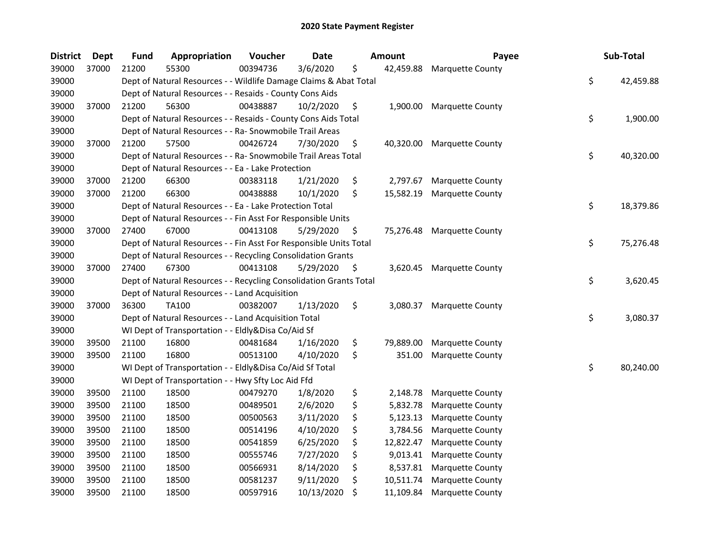| <b>District</b> | <b>Dept</b> | <b>Fund</b> | Appropriation                                                      | Voucher  | Date       |    | <b>Amount</b> | Payee                   | Sub-Total       |
|-----------------|-------------|-------------|--------------------------------------------------------------------|----------|------------|----|---------------|-------------------------|-----------------|
| 39000           | 37000       | 21200       | 55300                                                              | 00394736 | 3/6/2020   | \$ | 42,459.88     | <b>Marquette County</b> |                 |
| 39000           |             |             | Dept of Natural Resources - - Wildlife Damage Claims & Abat Total  |          |            |    |               |                         | \$<br>42,459.88 |
| 39000           |             |             | Dept of Natural Resources - - Resaids - County Cons Aids           |          |            |    |               |                         |                 |
| 39000           | 37000       | 21200       | 56300                                                              | 00438887 | 10/2/2020  | \$ | 1,900.00      | <b>Marquette County</b> |                 |
| 39000           |             |             | Dept of Natural Resources - - Resaids - County Cons Aids Total     |          |            |    |               |                         | \$<br>1,900.00  |
| 39000           |             |             | Dept of Natural Resources - - Ra- Snowmobile Trail Areas           |          |            |    |               |                         |                 |
| 39000           | 37000       | 21200       | 57500                                                              | 00426724 | 7/30/2020  | \$ | 40,320.00     | <b>Marquette County</b> |                 |
| 39000           |             |             | Dept of Natural Resources - - Ra- Snowmobile Trail Areas Total     |          |            |    |               |                         | \$<br>40,320.00 |
| 39000           |             |             | Dept of Natural Resources - - Ea - Lake Protection                 |          |            |    |               |                         |                 |
| 39000           | 37000       | 21200       | 66300                                                              | 00383118 | 1/21/2020  | \$ | 2,797.67      | Marquette County        |                 |
| 39000           | 37000       | 21200       | 66300                                                              | 00438888 | 10/1/2020  | \$ | 15,582.19     | <b>Marquette County</b> |                 |
| 39000           |             |             | Dept of Natural Resources - - Ea - Lake Protection Total           |          |            |    |               |                         | \$<br>18,379.86 |
| 39000           |             |             | Dept of Natural Resources - - Fin Asst For Responsible Units       |          |            |    |               |                         |                 |
| 39000           | 37000       | 27400       | 67000                                                              | 00413108 | 5/29/2020  | \$ | 75,276.48     | <b>Marquette County</b> |                 |
| 39000           |             |             | Dept of Natural Resources - - Fin Asst For Responsible Units Total |          |            |    |               |                         | \$<br>75,276.48 |
| 39000           |             |             | Dept of Natural Resources - - Recycling Consolidation Grants       |          |            |    |               |                         |                 |
| 39000           | 37000       | 27400       | 67300                                                              | 00413108 | 5/29/2020  | S  | 3,620.45      | <b>Marquette County</b> |                 |
| 39000           |             |             | Dept of Natural Resources - - Recycling Consolidation Grants Total |          |            |    |               |                         | \$<br>3,620.45  |
| 39000           |             |             | Dept of Natural Resources - - Land Acquisition                     |          |            |    |               |                         |                 |
| 39000           | 37000       | 36300       | <b>TA100</b>                                                       | 00382007 | 1/13/2020  | \$ | 3,080.37      | Marquette County        |                 |
| 39000           |             |             | Dept of Natural Resources - - Land Acquisition Total               |          |            |    |               |                         | \$<br>3,080.37  |
| 39000           |             |             | WI Dept of Transportation - - Eldly&Disa Co/Aid Sf                 |          |            |    |               |                         |                 |
| 39000           | 39500       | 21100       | 16800                                                              | 00481684 | 1/16/2020  | \$ | 79,889.00     | <b>Marquette County</b> |                 |
| 39000           | 39500       | 21100       | 16800                                                              | 00513100 | 4/10/2020  | \$ | 351.00        | Marquette County        |                 |
| 39000           |             |             | WI Dept of Transportation - - Eldly&Disa Co/Aid Sf Total           |          |            |    |               |                         | \$<br>80,240.00 |
| 39000           |             |             | WI Dept of Transportation - - Hwy Sfty Loc Aid Ffd                 |          |            |    |               |                         |                 |
| 39000           | 39500       | 21100       | 18500                                                              | 00479270 | 1/8/2020   | \$ | 2,148.78      | <b>Marquette County</b> |                 |
| 39000           | 39500       | 21100       | 18500                                                              | 00489501 | 2/6/2020   | \$ | 5,832.78      | Marquette County        |                 |
| 39000           | 39500       | 21100       | 18500                                                              | 00500563 | 3/11/2020  | \$ | 5,123.13      | Marquette County        |                 |
| 39000           | 39500       | 21100       | 18500                                                              | 00514196 | 4/10/2020  | \$ | 3,784.56      | <b>Marquette County</b> |                 |
| 39000           | 39500       | 21100       | 18500                                                              | 00541859 | 6/25/2020  | \$ | 12,822.47     | Marquette County        |                 |
| 39000           | 39500       | 21100       | 18500                                                              | 00555746 | 7/27/2020  | \$ | 9,013.41      | <b>Marquette County</b> |                 |
| 39000           | 39500       | 21100       | 18500                                                              | 00566931 | 8/14/2020  | \$ | 8,537.81      | <b>Marquette County</b> |                 |
| 39000           | 39500       | 21100       | 18500                                                              | 00581237 | 9/11/2020  | \$ | 10,511.74     | Marquette County        |                 |
| 39000           | 39500       | 21100       | 18500                                                              | 00597916 | 10/13/2020 | \$ | 11,109.84     | <b>Marquette County</b> |                 |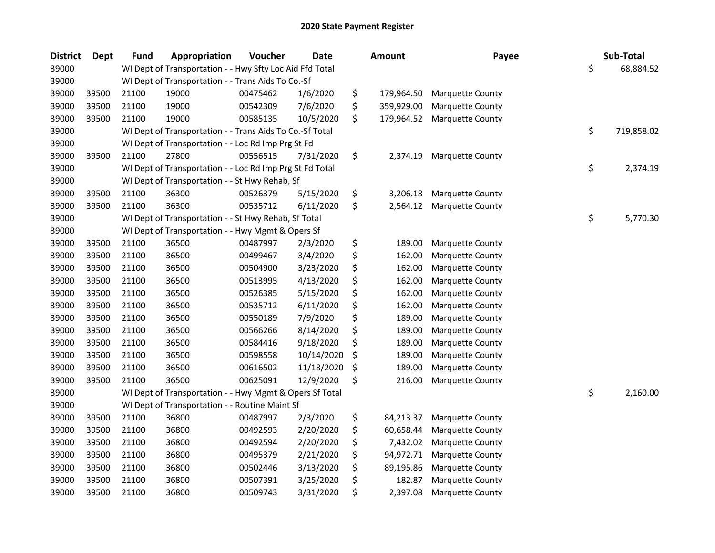| <b>District</b> | <b>Dept</b> | <b>Fund</b> | Appropriation                                            | Voucher  | <b>Date</b> | Amount           | Payee                   | Sub-Total        |
|-----------------|-------------|-------------|----------------------------------------------------------|----------|-------------|------------------|-------------------------|------------------|
| 39000           |             |             | WI Dept of Transportation - - Hwy Sfty Loc Aid Ffd Total |          |             |                  |                         | \$<br>68,884.52  |
| 39000           |             |             | WI Dept of Transportation - - Trans Aids To Co.-Sf       |          |             |                  |                         |                  |
| 39000           | 39500       | 21100       | 19000                                                    | 00475462 | 1/6/2020    | \$<br>179,964.50 | <b>Marquette County</b> |                  |
| 39000           | 39500       | 21100       | 19000                                                    | 00542309 | 7/6/2020    | \$<br>359,929.00 | Marquette County        |                  |
| 39000           | 39500       | 21100       | 19000                                                    | 00585135 | 10/5/2020   | \$<br>179,964.52 | Marquette County        |                  |
| 39000           |             |             | WI Dept of Transportation - - Trans Aids To Co.-Sf Total |          |             |                  |                         | \$<br>719,858.02 |
| 39000           |             |             | WI Dept of Transportation - - Loc Rd Imp Prg St Fd       |          |             |                  |                         |                  |
| 39000           | 39500       | 21100       | 27800                                                    | 00556515 | 7/31/2020   | \$<br>2,374.19   | Marquette County        |                  |
| 39000           |             |             | WI Dept of Transportation - - Loc Rd Imp Prg St Fd Total |          |             |                  |                         | \$<br>2,374.19   |
| 39000           |             |             | WI Dept of Transportation - - St Hwy Rehab, Sf           |          |             |                  |                         |                  |
| 39000           | 39500       | 21100       | 36300                                                    | 00526379 | 5/15/2020   | \$<br>3,206.18   | Marquette County        |                  |
| 39000           | 39500       | 21100       | 36300                                                    | 00535712 | 6/11/2020   | \$<br>2,564.12   | <b>Marquette County</b> |                  |
| 39000           |             |             | WI Dept of Transportation - - St Hwy Rehab, Sf Total     |          |             |                  |                         | \$<br>5,770.30   |
| 39000           |             |             | WI Dept of Transportation - - Hwy Mgmt & Opers Sf        |          |             |                  |                         |                  |
| 39000           | 39500       | 21100       | 36500                                                    | 00487997 | 2/3/2020    | \$<br>189.00     | Marquette County        |                  |
| 39000           | 39500       | 21100       | 36500                                                    | 00499467 | 3/4/2020    | \$<br>162.00     | Marquette County        |                  |
| 39000           | 39500       | 21100       | 36500                                                    | 00504900 | 3/23/2020   | \$<br>162.00     | Marquette County        |                  |
| 39000           | 39500       | 21100       | 36500                                                    | 00513995 | 4/13/2020   | \$<br>162.00     | Marquette County        |                  |
| 39000           | 39500       | 21100       | 36500                                                    | 00526385 | 5/15/2020   | \$<br>162.00     | Marquette County        |                  |
| 39000           | 39500       | 21100       | 36500                                                    | 00535712 | 6/11/2020   | \$<br>162.00     | Marquette County        |                  |
| 39000           | 39500       | 21100       | 36500                                                    | 00550189 | 7/9/2020    | \$<br>189.00     | Marquette County        |                  |
| 39000           | 39500       | 21100       | 36500                                                    | 00566266 | 8/14/2020   | \$<br>189.00     | Marquette County        |                  |
| 39000           | 39500       | 21100       | 36500                                                    | 00584416 | 9/18/2020   | \$<br>189.00     | Marquette County        |                  |
| 39000           | 39500       | 21100       | 36500                                                    | 00598558 | 10/14/2020  | \$<br>189.00     | Marquette County        |                  |
| 39000           | 39500       | 21100       | 36500                                                    | 00616502 | 11/18/2020  | \$<br>189.00     | Marquette County        |                  |
| 39000           | 39500       | 21100       | 36500                                                    | 00625091 | 12/9/2020   | \$<br>216.00     | Marquette County        |                  |
| 39000           |             |             | WI Dept of Transportation - - Hwy Mgmt & Opers Sf Total  |          |             |                  |                         | \$<br>2,160.00   |
| 39000           |             |             | WI Dept of Transportation - - Routine Maint Sf           |          |             |                  |                         |                  |
| 39000           | 39500       | 21100       | 36800                                                    | 00487997 | 2/3/2020    | \$<br>84,213.37  | Marquette County        |                  |
| 39000           | 39500       | 21100       | 36800                                                    | 00492593 | 2/20/2020   | \$<br>60,658.44  | Marquette County        |                  |
| 39000           | 39500       | 21100       | 36800                                                    | 00492594 | 2/20/2020   | \$<br>7,432.02   | Marquette County        |                  |
| 39000           | 39500       | 21100       | 36800                                                    | 00495379 | 2/21/2020   | \$<br>94,972.71  | Marquette County        |                  |
| 39000           | 39500       | 21100       | 36800                                                    | 00502446 | 3/13/2020   | \$<br>89,195.86  | Marquette County        |                  |
| 39000           | 39500       | 21100       | 36800                                                    | 00507391 | 3/25/2020   | \$<br>182.87     | Marquette County        |                  |
| 39000           | 39500       | 21100       | 36800                                                    | 00509743 | 3/31/2020   | \$<br>2,397.08   | <b>Marquette County</b> |                  |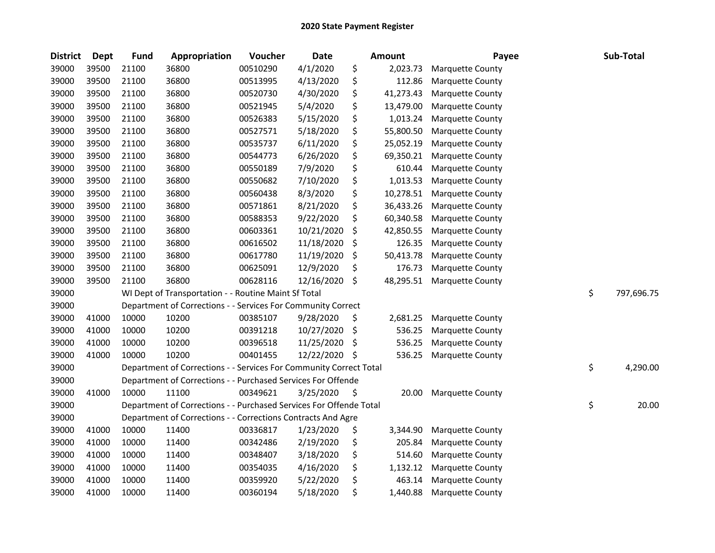| <b>District</b> | <b>Dept</b> | <b>Fund</b> | Appropriation                                                      | Voucher  | Date       |     | <b>Amount</b> | Payee                   | Sub-Total        |
|-----------------|-------------|-------------|--------------------------------------------------------------------|----------|------------|-----|---------------|-------------------------|------------------|
| 39000           | 39500       | 21100       | 36800                                                              | 00510290 | 4/1/2020   | \$  | 2,023.73      | <b>Marquette County</b> |                  |
| 39000           | 39500       | 21100       | 36800                                                              | 00513995 | 4/13/2020  | \$  | 112.86        | <b>Marquette County</b> |                  |
| 39000           | 39500       | 21100       | 36800                                                              | 00520730 | 4/30/2020  | \$  | 41,273.43     | <b>Marquette County</b> |                  |
| 39000           | 39500       | 21100       | 36800                                                              | 00521945 | 5/4/2020   | \$  | 13,479.00     | Marquette County        |                  |
| 39000           | 39500       | 21100       | 36800                                                              | 00526383 | 5/15/2020  | \$  | 1,013.24      | Marquette County        |                  |
| 39000           | 39500       | 21100       | 36800                                                              | 00527571 | 5/18/2020  | \$  | 55,800.50     | <b>Marquette County</b> |                  |
| 39000           | 39500       | 21100       | 36800                                                              | 00535737 | 6/11/2020  | \$  | 25,052.19     | Marquette County        |                  |
| 39000           | 39500       | 21100       | 36800                                                              | 00544773 | 6/26/2020  | \$  | 69,350.21     | Marquette County        |                  |
| 39000           | 39500       | 21100       | 36800                                                              | 00550189 | 7/9/2020   | \$  | 610.44        | <b>Marquette County</b> |                  |
| 39000           | 39500       | 21100       | 36800                                                              | 00550682 | 7/10/2020  | \$  | 1,013.53      | <b>Marquette County</b> |                  |
| 39000           | 39500       | 21100       | 36800                                                              | 00560438 | 8/3/2020   | \$  | 10,278.51     | <b>Marquette County</b> |                  |
| 39000           | 39500       | 21100       | 36800                                                              | 00571861 | 8/21/2020  | \$  | 36,433.26     | <b>Marquette County</b> |                  |
| 39000           | 39500       | 21100       | 36800                                                              | 00588353 | 9/22/2020  | \$  | 60,340.58     | Marquette County        |                  |
| 39000           | 39500       | 21100       | 36800                                                              | 00603361 | 10/21/2020 | \$  | 42,850.55     | Marquette County        |                  |
| 39000           | 39500       | 21100       | 36800                                                              | 00616502 | 11/18/2020 | \$  | 126.35        | <b>Marquette County</b> |                  |
| 39000           | 39500       | 21100       | 36800                                                              | 00617780 | 11/19/2020 | \$  | 50,413.78     | Marquette County        |                  |
| 39000           | 39500       | 21100       | 36800                                                              | 00625091 | 12/9/2020  | \$  | 176.73        | <b>Marquette County</b> |                  |
| 39000           | 39500       | 21100       | 36800                                                              | 00628116 | 12/16/2020 | \$  | 48,295.51     | <b>Marquette County</b> |                  |
| 39000           |             |             | WI Dept of Transportation - - Routine Maint Sf Total               |          |            |     |               |                         | \$<br>797,696.75 |
| 39000           |             |             | Department of Corrections - - Services For Community Correct       |          |            |     |               |                         |                  |
| 39000           | 41000       | 10000       | 10200                                                              | 00385107 | 9/28/2020  | \$  | 2,681.25      | <b>Marquette County</b> |                  |
| 39000           | 41000       | 10000       | 10200                                                              | 00391218 | 10/27/2020 | \$  | 536.25        | Marquette County        |                  |
| 39000           | 41000       | 10000       | 10200                                                              | 00396518 | 11/25/2020 | \$  | 536.25        | Marquette County        |                  |
| 39000           | 41000       | 10000       | 10200                                                              | 00401455 | 12/22/2020 | \$  | 536.25        | <b>Marquette County</b> |                  |
| 39000           |             |             | Department of Corrections - - Services For Community Correct Total |          |            |     |               |                         | \$<br>4,290.00   |
| 39000           |             |             | Department of Corrections - - Purchased Services For Offende       |          |            |     |               |                         |                  |
| 39000           | 41000       | 10000       | 11100                                                              | 00349621 | 3/25/2020  | \$. | 20.00         | <b>Marquette County</b> |                  |
| 39000           |             |             | Department of Corrections - - Purchased Services For Offende Total |          |            |     |               |                         | \$<br>20.00      |
| 39000           |             |             | Department of Corrections - - Corrections Contracts And Agre       |          |            |     |               |                         |                  |
| 39000           | 41000       | 10000       | 11400                                                              | 00336817 | 1/23/2020  | \$  | 3,344.90      | Marquette County        |                  |
| 39000           | 41000       | 10000       | 11400                                                              | 00342486 | 2/19/2020  | \$  | 205.84        | <b>Marquette County</b> |                  |
| 39000           | 41000       | 10000       | 11400                                                              | 00348407 | 3/18/2020  | \$  | 514.60        | Marquette County        |                  |
| 39000           | 41000       | 10000       | 11400                                                              | 00354035 | 4/16/2020  | \$  | 1,132.12      | <b>Marquette County</b> |                  |
| 39000           | 41000       | 10000       | 11400                                                              | 00359920 | 5/22/2020  | \$  | 463.14        | Marquette County        |                  |
| 39000           | 41000       | 10000       | 11400                                                              | 00360194 | 5/18/2020  | \$  | 1,440.88      | <b>Marquette County</b> |                  |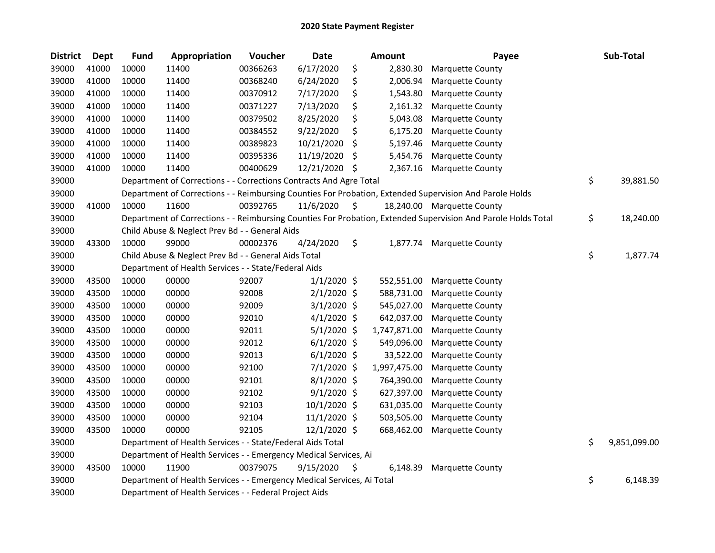| <b>District</b> | Dept  | <b>Fund</b> | Appropriation                                                          | Voucher  | <b>Date</b>    |     | <b>Amount</b> | Payee                                                                                                         | Sub-Total          |
|-----------------|-------|-------------|------------------------------------------------------------------------|----------|----------------|-----|---------------|---------------------------------------------------------------------------------------------------------------|--------------------|
| 39000           | 41000 | 10000       | 11400                                                                  | 00366263 | 6/17/2020      | \$  | 2,830.30      | Marquette County                                                                                              |                    |
| 39000           | 41000 | 10000       | 11400                                                                  | 00368240 | 6/24/2020      | \$  | 2,006.94      | Marquette County                                                                                              |                    |
| 39000           | 41000 | 10000       | 11400                                                                  | 00370912 | 7/17/2020      | \$  | 1,543.80      | Marquette County                                                                                              |                    |
| 39000           | 41000 | 10000       | 11400                                                                  | 00371227 | 7/13/2020      | \$  | 2,161.32      | Marquette County                                                                                              |                    |
| 39000           | 41000 | 10000       | 11400                                                                  | 00379502 | 8/25/2020      | \$  | 5,043.08      | Marquette County                                                                                              |                    |
| 39000           | 41000 | 10000       | 11400                                                                  | 00384552 | 9/22/2020      | \$  | 6,175.20      | Marquette County                                                                                              |                    |
| 39000           | 41000 | 10000       | 11400                                                                  | 00389823 | 10/21/2020     | \$  | 5,197.46      | Marquette County                                                                                              |                    |
| 39000           | 41000 | 10000       | 11400                                                                  | 00395336 | 11/19/2020     | \$  | 5,454.76      | Marquette County                                                                                              |                    |
| 39000           | 41000 | 10000       | 11400                                                                  | 00400629 | 12/21/2020     | \$. | 2,367.16      | Marquette County                                                                                              |                    |
| 39000           |       |             | Department of Corrections - - Corrections Contracts And Agre Total     |          |                |     |               |                                                                                                               | \$<br>39,881.50    |
| 39000           |       |             |                                                                        |          |                |     |               | Department of Corrections - - Reimbursing Counties For Probation, Extended Supervision And Parole Holds       |                    |
| 39000           | 41000 | 10000       | 11600                                                                  | 00392765 | 11/6/2020      | \$  |               | 18,240.00 Marquette County                                                                                    |                    |
| 39000           |       |             |                                                                        |          |                |     |               | Department of Corrections - - Reimbursing Counties For Probation, Extended Supervision And Parole Holds Total | \$<br>18,240.00    |
| 39000           |       |             | Child Abuse & Neglect Prev Bd - - General Aids                         |          |                |     |               |                                                                                                               |                    |
| 39000           | 43300 | 10000       | 99000                                                                  | 00002376 | 4/24/2020      | \$  | 1,877.74      | <b>Marquette County</b>                                                                                       |                    |
| 39000           |       |             | Child Abuse & Neglect Prev Bd - - General Aids Total                   |          |                |     |               |                                                                                                               | \$<br>1,877.74     |
| 39000           |       |             | Department of Health Services - - State/Federal Aids                   |          |                |     |               |                                                                                                               |                    |
| 39000           | 43500 | 10000       | 00000                                                                  | 92007    | $1/1/2020$ \$  |     | 552,551.00    | Marquette County                                                                                              |                    |
| 39000           | 43500 | 10000       | 00000                                                                  | 92008    | $2/1/2020$ \$  |     | 588,731.00    | Marquette County                                                                                              |                    |
| 39000           | 43500 | 10000       | 00000                                                                  | 92009    | $3/1/2020$ \$  |     | 545,027.00    | Marquette County                                                                                              |                    |
| 39000           | 43500 | 10000       | 00000                                                                  | 92010    | $4/1/2020$ \$  |     | 642,037.00    | <b>Marquette County</b>                                                                                       |                    |
| 39000           | 43500 | 10000       | 00000                                                                  | 92011    | $5/1/2020$ \$  |     | 1,747,871.00  | Marquette County                                                                                              |                    |
| 39000           | 43500 | 10000       | 00000                                                                  | 92012    | $6/1/2020$ \$  |     | 549,096.00    | <b>Marquette County</b>                                                                                       |                    |
| 39000           | 43500 | 10000       | 00000                                                                  | 92013    | $6/1/2020$ \$  |     | 33,522.00     | Marquette County                                                                                              |                    |
| 39000           | 43500 | 10000       | 00000                                                                  | 92100    | 7/1/2020 \$    |     | 1,997,475.00  | Marquette County                                                                                              |                    |
| 39000           | 43500 | 10000       | 00000                                                                  | 92101    | $8/1/2020$ \$  |     | 764,390.00    | Marquette County                                                                                              |                    |
| 39000           | 43500 | 10000       | 00000                                                                  | 92102    | $9/1/2020$ \$  |     | 627,397.00    | Marquette County                                                                                              |                    |
| 39000           | 43500 | 10000       | 00000                                                                  | 92103    | $10/1/2020$ \$ |     | 631,035.00    | Marquette County                                                                                              |                    |
| 39000           | 43500 | 10000       | 00000                                                                  | 92104    | 11/1/2020 \$   |     | 503,505.00    | Marquette County                                                                                              |                    |
| 39000           | 43500 | 10000       | 00000                                                                  | 92105    | 12/1/2020 \$   |     | 668,462.00    | Marquette County                                                                                              |                    |
| 39000           |       |             | Department of Health Services - - State/Federal Aids Total             |          |                |     |               |                                                                                                               | \$<br>9,851,099.00 |
| 39000           |       |             | Department of Health Services - - Emergency Medical Services, Ai       |          |                |     |               |                                                                                                               |                    |
| 39000           | 43500 | 10000       | 11900                                                                  | 00379075 | 9/15/2020      | \$. | 6,148.39      | Marquette County                                                                                              |                    |
| 39000           |       |             | Department of Health Services - - Emergency Medical Services, Ai Total |          |                |     |               |                                                                                                               | \$<br>6,148.39     |
| 39000           |       |             | Department of Health Services - - Federal Project Aids                 |          |                |     |               |                                                                                                               |                    |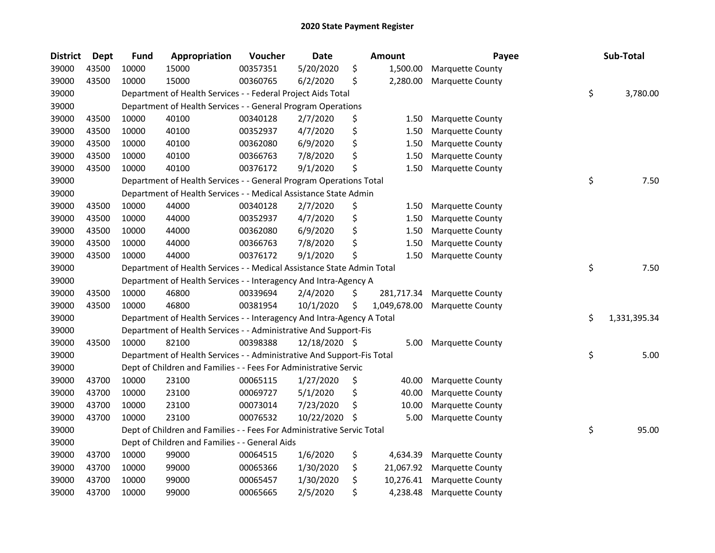| <b>District</b> | <b>Dept</b> | <b>Fund</b> | Appropriation                                                          | Voucher  | <b>Date</b>   |    | <b>Amount</b> | Payee                   | Sub-Total          |
|-----------------|-------------|-------------|------------------------------------------------------------------------|----------|---------------|----|---------------|-------------------------|--------------------|
| 39000           | 43500       | 10000       | 15000                                                                  | 00357351 | 5/20/2020     | \$ | 1,500.00      | Marquette County        |                    |
| 39000           | 43500       | 10000       | 15000                                                                  | 00360765 | 6/2/2020      | \$ | 2,280.00      | Marquette County        |                    |
| 39000           |             |             | Department of Health Services - - Federal Project Aids Total           |          |               |    |               |                         | \$<br>3,780.00     |
| 39000           |             |             | Department of Health Services - - General Program Operations           |          |               |    |               |                         |                    |
| 39000           | 43500       | 10000       | 40100                                                                  | 00340128 | 2/7/2020      | \$ | 1.50          | <b>Marquette County</b> |                    |
| 39000           | 43500       | 10000       | 40100                                                                  | 00352937 | 4/7/2020      | \$ | 1.50          | Marquette County        |                    |
| 39000           | 43500       | 10000       | 40100                                                                  | 00362080 | 6/9/2020      | \$ | 1.50          | Marquette County        |                    |
| 39000           | 43500       | 10000       | 40100                                                                  | 00366763 | 7/8/2020      | \$ | 1.50          | Marquette County        |                    |
| 39000           | 43500       | 10000       | 40100                                                                  | 00376172 | 9/1/2020      | \$ | 1.50          | Marquette County        |                    |
| 39000           |             |             | Department of Health Services - - General Program Operations Total     |          |               |    |               |                         | \$<br>7.50         |
| 39000           |             |             | Department of Health Services - - Medical Assistance State Admin       |          |               |    |               |                         |                    |
| 39000           | 43500       | 10000       | 44000                                                                  | 00340128 | 2/7/2020      | \$ | 1.50          | Marquette County        |                    |
| 39000           | 43500       | 10000       | 44000                                                                  | 00352937 | 4/7/2020      | \$ | 1.50          | Marquette County        |                    |
| 39000           | 43500       | 10000       | 44000                                                                  | 00362080 | 6/9/2020      | \$ | 1.50          | Marquette County        |                    |
| 39000           | 43500       | 10000       | 44000                                                                  | 00366763 | 7/8/2020      | \$ | 1.50          | Marquette County        |                    |
| 39000           | 43500       | 10000       | 44000                                                                  | 00376172 | 9/1/2020      | \$ | 1.50          | Marquette County        |                    |
| 39000           |             |             | Department of Health Services - - Medical Assistance State Admin Total |          |               |    |               |                         | \$<br>7.50         |
| 39000           |             |             | Department of Health Services - - Interagency And Intra-Agency A       |          |               |    |               |                         |                    |
| 39000           | 43500       | 10000       | 46800                                                                  | 00339694 | 2/4/2020      | \$ | 281,717.34    | <b>Marquette County</b> |                    |
| 39000           | 43500       | 10000       | 46800                                                                  | 00381954 | 10/1/2020     | \$ | 1,049,678.00  | Marquette County        |                    |
| 39000           |             |             | Department of Health Services - - Interagency And Intra-Agency A Total |          |               |    |               |                         | \$<br>1,331,395.34 |
| 39000           |             |             | Department of Health Services - - Administrative And Support-Fis       |          |               |    |               |                         |                    |
| 39000           | 43500       | 10000       | 82100                                                                  | 00398388 | 12/18/2020 \$ |    | 5.00          | <b>Marquette County</b> |                    |
| 39000           |             |             | Department of Health Services - - Administrative And Support-Fis Total |          |               |    |               |                         | \$<br>5.00         |
| 39000           |             |             | Dept of Children and Families - - Fees For Administrative Servic       |          |               |    |               |                         |                    |
| 39000           | 43700       | 10000       | 23100                                                                  | 00065115 | 1/27/2020     | \$ | 40.00         | Marquette County        |                    |
| 39000           | 43700       | 10000       | 23100                                                                  | 00069727 | 5/1/2020      | \$ | 40.00         | Marquette County        |                    |
| 39000           | 43700       | 10000       | 23100                                                                  | 00073014 | 7/23/2020     | \$ | 10.00         | Marquette County        |                    |
| 39000           | 43700       | 10000       | 23100                                                                  | 00076532 | 10/22/2020    | Ś  | 5.00          | Marquette County        |                    |
| 39000           |             |             | Dept of Children and Families - - Fees For Administrative Servic Total |          |               |    |               |                         | \$<br>95.00        |
| 39000           |             |             | Dept of Children and Families - - General Aids                         |          |               |    |               |                         |                    |
| 39000           | 43700       | 10000       | 99000                                                                  | 00064515 | 1/6/2020      | \$ | 4,634.39      | Marquette County        |                    |
| 39000           | 43700       | 10000       | 99000                                                                  | 00065366 | 1/30/2020     | \$ | 21,067.92     | <b>Marquette County</b> |                    |
| 39000           | 43700       | 10000       | 99000                                                                  | 00065457 | 1/30/2020     | \$ | 10,276.41     | Marquette County        |                    |
| 39000           | 43700       | 10000       | 99000                                                                  | 00065665 | 2/5/2020      | \$ | 4,238.48      | <b>Marquette County</b> |                    |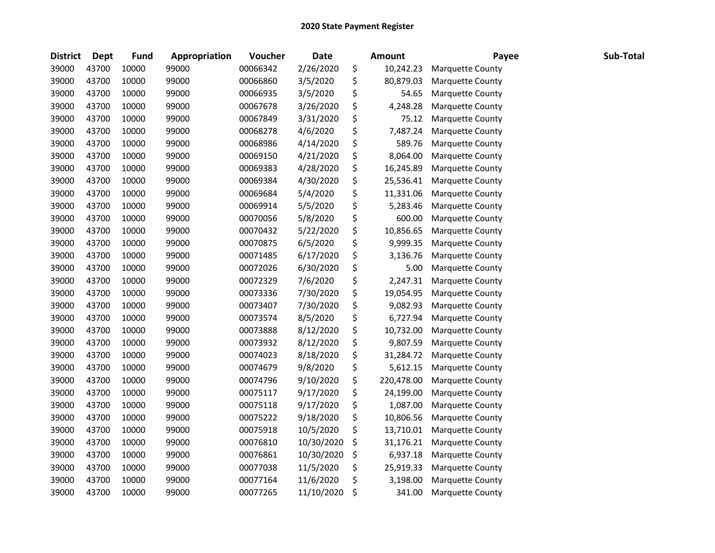| <b>District</b> | <b>Dept</b> | <b>Fund</b> | Appropriation | Voucher  | <b>Date</b> | <b>Amount</b>    | Payee                   | Sub-Total |
|-----------------|-------------|-------------|---------------|----------|-------------|------------------|-------------------------|-----------|
| 39000           | 43700       | 10000       | 99000         | 00066342 | 2/26/2020   | \$<br>10,242.23  | Marquette County        |           |
| 39000           | 43700       | 10000       | 99000         | 00066860 | 3/5/2020    | \$<br>80,879.03  | Marquette County        |           |
| 39000           | 43700       | 10000       | 99000         | 00066935 | 3/5/2020    | \$<br>54.65      | Marquette County        |           |
| 39000           | 43700       | 10000       | 99000         | 00067678 | 3/26/2020   | \$<br>4,248.28   | Marquette County        |           |
| 39000           | 43700       | 10000       | 99000         | 00067849 | 3/31/2020   | \$<br>75.12      | Marquette County        |           |
| 39000           | 43700       | 10000       | 99000         | 00068278 | 4/6/2020    | \$<br>7,487.24   | Marquette County        |           |
| 39000           | 43700       | 10000       | 99000         | 00068986 | 4/14/2020   | \$<br>589.76     | Marquette County        |           |
| 39000           | 43700       | 10000       | 99000         | 00069150 | 4/21/2020   | \$<br>8,064.00   | Marquette County        |           |
| 39000           | 43700       | 10000       | 99000         | 00069383 | 4/28/2020   | \$<br>16,245.89  | Marquette County        |           |
| 39000           | 43700       | 10000       | 99000         | 00069384 | 4/30/2020   | \$<br>25,536.41  | Marquette County        |           |
| 39000           | 43700       | 10000       | 99000         | 00069684 | 5/4/2020    | \$<br>11,331.06  | Marquette County        |           |
| 39000           | 43700       | 10000       | 99000         | 00069914 | 5/5/2020    | \$<br>5,283.46   | Marquette County        |           |
| 39000           | 43700       | 10000       | 99000         | 00070056 | 5/8/2020    | \$<br>600.00     | Marquette County        |           |
| 39000           | 43700       | 10000       | 99000         | 00070432 | 5/22/2020   | \$<br>10,856.65  | Marquette County        |           |
| 39000           | 43700       | 10000       | 99000         | 00070875 | 6/5/2020    | \$<br>9,999.35   | Marquette County        |           |
| 39000           | 43700       | 10000       | 99000         | 00071485 | 6/17/2020   | \$<br>3,136.76   | Marquette County        |           |
| 39000           | 43700       | 10000       | 99000         | 00072026 | 6/30/2020   | \$<br>5.00       | Marquette County        |           |
| 39000           | 43700       | 10000       | 99000         | 00072329 | 7/6/2020    | \$<br>2,247.31   | Marquette County        |           |
| 39000           | 43700       | 10000       | 99000         | 00073336 | 7/30/2020   | \$<br>19,054.95  | Marquette County        |           |
| 39000           | 43700       | 10000       | 99000         | 00073407 | 7/30/2020   | \$<br>9,082.93   | Marquette County        |           |
| 39000           | 43700       | 10000       | 99000         | 00073574 | 8/5/2020    | \$<br>6,727.94   | Marquette County        |           |
| 39000           | 43700       | 10000       | 99000         | 00073888 | 8/12/2020   | \$<br>10,732.00  | Marquette County        |           |
| 39000           | 43700       | 10000       | 99000         | 00073932 | 8/12/2020   | \$<br>9,807.59   | Marquette County        |           |
| 39000           | 43700       | 10000       | 99000         | 00074023 | 8/18/2020   | \$<br>31,284.72  | Marquette County        |           |
| 39000           | 43700       | 10000       | 99000         | 00074679 | 9/8/2020    | \$<br>5,612.15   | <b>Marquette County</b> |           |
| 39000           | 43700       | 10000       | 99000         | 00074796 | 9/10/2020   | \$<br>220,478.00 | Marquette County        |           |
| 39000           | 43700       | 10000       | 99000         | 00075117 | 9/17/2020   | \$<br>24,199.00  | Marquette County        |           |
| 39000           | 43700       | 10000       | 99000         | 00075118 | 9/17/2020   | \$<br>1,087.00   | Marquette County        |           |
| 39000           | 43700       | 10000       | 99000         | 00075222 | 9/18/2020   | \$<br>10,806.56  | Marquette County        |           |
| 39000           | 43700       | 10000       | 99000         | 00075918 | 10/5/2020   | \$<br>13,710.01  | Marquette County        |           |
| 39000           | 43700       | 10000       | 99000         | 00076810 | 10/30/2020  | \$<br>31,176.21  | Marquette County        |           |
| 39000           | 43700       | 10000       | 99000         | 00076861 | 10/30/2020  | \$<br>6,937.18   | <b>Marquette County</b> |           |
| 39000           | 43700       | 10000       | 99000         | 00077038 | 11/5/2020   | \$<br>25,919.33  | Marquette County        |           |
| 39000           | 43700       | 10000       | 99000         | 00077164 | 11/6/2020   | \$<br>3,198.00   | Marquette County        |           |
| 39000           | 43700       | 10000       | 99000         | 00077265 | 11/10/2020  | \$<br>341.00     | <b>Marquette County</b> |           |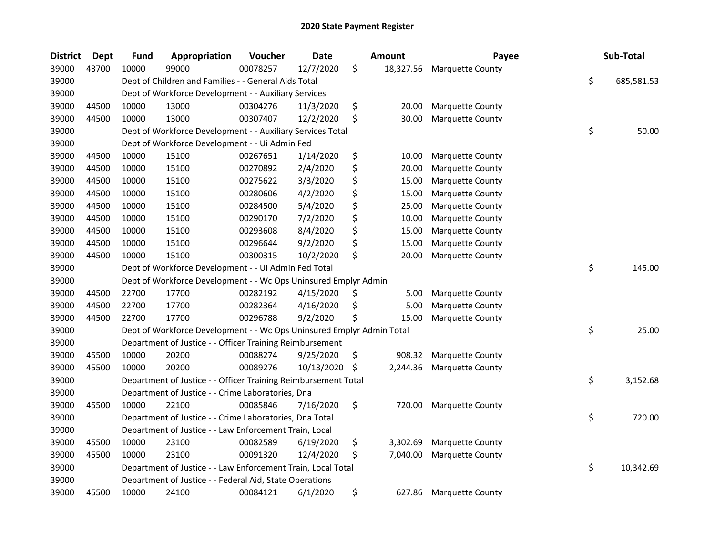| <b>District</b> | <b>Dept</b> | <b>Fund</b> | Appropriation                                                         | Voucher  | Date       |    | <b>Amount</b> | Payee                   | Sub-Total        |
|-----------------|-------------|-------------|-----------------------------------------------------------------------|----------|------------|----|---------------|-------------------------|------------------|
| 39000           | 43700       | 10000       | 99000                                                                 | 00078257 | 12/7/2020  | \$ | 18,327.56     | <b>Marquette County</b> |                  |
| 39000           |             |             | Dept of Children and Families - - General Aids Total                  |          |            |    |               |                         | \$<br>685,581.53 |
| 39000           |             |             | Dept of Workforce Development - - Auxiliary Services                  |          |            |    |               |                         |                  |
| 39000           | 44500       | 10000       | 13000                                                                 | 00304276 | 11/3/2020  | \$ | 20.00         | <b>Marquette County</b> |                  |
| 39000           | 44500       | 10000       | 13000                                                                 | 00307407 | 12/2/2020  | \$ | 30.00         | <b>Marquette County</b> |                  |
| 39000           |             |             | Dept of Workforce Development - - Auxiliary Services Total            |          |            |    |               |                         | \$<br>50.00      |
| 39000           |             |             | Dept of Workforce Development - - Ui Admin Fed                        |          |            |    |               |                         |                  |
| 39000           | 44500       | 10000       | 15100                                                                 | 00267651 | 1/14/2020  | \$ | 10.00         | Marquette County        |                  |
| 39000           | 44500       | 10000       | 15100                                                                 | 00270892 | 2/4/2020   | \$ | 20.00         | Marquette County        |                  |
| 39000           | 44500       | 10000       | 15100                                                                 | 00275622 | 3/3/2020   | \$ | 15.00         | Marquette County        |                  |
| 39000           | 44500       | 10000       | 15100                                                                 | 00280606 | 4/2/2020   | \$ | 15.00         | <b>Marquette County</b> |                  |
| 39000           | 44500       | 10000       | 15100                                                                 | 00284500 | 5/4/2020   | \$ | 25.00         | <b>Marquette County</b> |                  |
| 39000           | 44500       | 10000       | 15100                                                                 | 00290170 | 7/2/2020   | \$ | 10.00         | Marquette County        |                  |
| 39000           | 44500       | 10000       | 15100                                                                 | 00293608 | 8/4/2020   | \$ | 15.00         | Marquette County        |                  |
| 39000           | 44500       | 10000       | 15100                                                                 | 00296644 | 9/2/2020   | \$ | 15.00         | Marquette County        |                  |
| 39000           | 44500       | 10000       | 15100                                                                 | 00300315 | 10/2/2020  | \$ | 20.00         | Marquette County        |                  |
| 39000           |             |             | Dept of Workforce Development - - Ui Admin Fed Total                  |          |            |    |               |                         | \$<br>145.00     |
| 39000           |             |             | Dept of Workforce Development - - Wc Ops Uninsured Emplyr Admin       |          |            |    |               |                         |                  |
| 39000           | 44500       | 22700       | 17700                                                                 | 00282192 | 4/15/2020  | \$ | 5.00          | <b>Marquette County</b> |                  |
| 39000           | 44500       | 22700       | 17700                                                                 | 00282364 | 4/16/2020  | S  | 5.00          | Marquette County        |                  |
| 39000           | 44500       | 22700       | 17700                                                                 | 00296788 | 9/2/2020   | \$ | 15.00         | Marquette County        |                  |
| 39000           |             |             | Dept of Workforce Development - - Wc Ops Uninsured Emplyr Admin Total |          |            |    |               |                         | \$<br>25.00      |
| 39000           |             |             | Department of Justice - - Officer Training Reimbursement              |          |            |    |               |                         |                  |
| 39000           | 45500       | 10000       | 20200                                                                 | 00088274 | 9/25/2020  | \$ | 908.32        | Marquette County        |                  |
| 39000           | 45500       | 10000       | 20200                                                                 | 00089276 | 10/13/2020 | \$ | 2,244.36      | Marquette County        |                  |
| 39000           |             |             | Department of Justice - - Officer Training Reimbursement Total        |          |            |    |               |                         | \$<br>3,152.68   |
| 39000           |             |             | Department of Justice - - Crime Laboratories, Dna                     |          |            |    |               |                         |                  |
| 39000           | 45500       | 10000       | 22100                                                                 | 00085846 | 7/16/2020  | \$ | 720.00        | <b>Marquette County</b> |                  |
| 39000           |             |             | Department of Justice - - Crime Laboratories, Dna Total               |          |            |    |               |                         | \$<br>720.00     |
| 39000           |             |             | Department of Justice - - Law Enforcement Train, Local                |          |            |    |               |                         |                  |
| 39000           | 45500       | 10000       | 23100                                                                 | 00082589 | 6/19/2020  | \$ | 3,302.69      | <b>Marquette County</b> |                  |
| 39000           | 45500       | 10000       | 23100                                                                 | 00091320 | 12/4/2020  | \$ | 7,040.00      | Marquette County        |                  |
| 39000           |             |             | Department of Justice - - Law Enforcement Train, Local Total          |          |            |    |               |                         | \$<br>10,342.69  |
| 39000           |             |             | Department of Justice - - Federal Aid, State Operations               |          |            |    |               |                         |                  |
| 39000           | 45500       | 10000       | 24100                                                                 | 00084121 | 6/1/2020   | \$ | 627.86        | <b>Marquette County</b> |                  |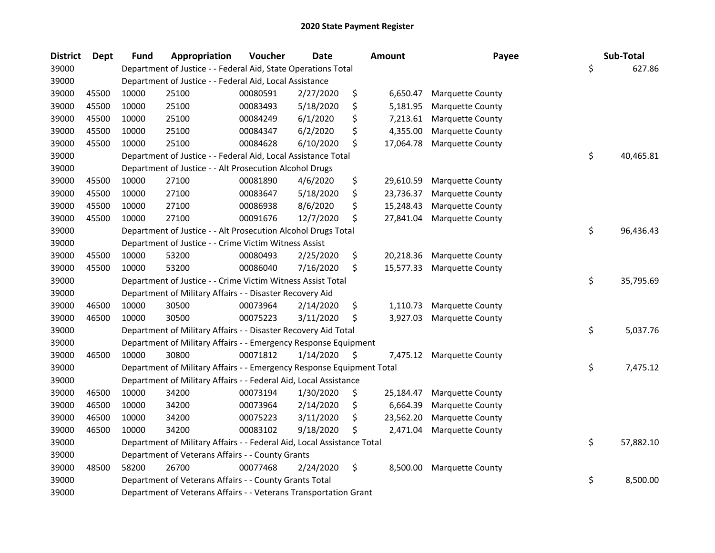| <b>District</b> | <b>Dept</b> | <b>Fund</b> | Appropriation                                                          | Voucher  | <b>Date</b> | Amount          | Payee                   | Sub-Total       |
|-----------------|-------------|-------------|------------------------------------------------------------------------|----------|-------------|-----------------|-------------------------|-----------------|
| 39000           |             |             | Department of Justice - - Federal Aid, State Operations Total          |          |             |                 |                         | \$<br>627.86    |
| 39000           |             |             | Department of Justice - - Federal Aid, Local Assistance                |          |             |                 |                         |                 |
| 39000           | 45500       | 10000       | 25100                                                                  | 00080591 | 2/27/2020   | \$<br>6,650.47  | Marquette County        |                 |
| 39000           | 45500       | 10000       | 25100                                                                  | 00083493 | 5/18/2020   | \$<br>5,181.95  | Marquette County        |                 |
| 39000           | 45500       | 10000       | 25100                                                                  | 00084249 | 6/1/2020    | \$<br>7,213.61  | Marquette County        |                 |
| 39000           | 45500       | 10000       | 25100                                                                  | 00084347 | 6/2/2020    | \$<br>4,355.00  | Marquette County        |                 |
| 39000           | 45500       | 10000       | 25100                                                                  | 00084628 | 6/10/2020   | \$<br>17,064.78 | Marquette County        |                 |
| 39000           |             |             | Department of Justice - - Federal Aid, Local Assistance Total          |          |             |                 |                         | \$<br>40,465.81 |
| 39000           |             |             | Department of Justice - - Alt Prosecution Alcohol Drugs                |          |             |                 |                         |                 |
| 39000           | 45500       | 10000       | 27100                                                                  | 00081890 | 4/6/2020    | \$<br>29,610.59 | Marquette County        |                 |
| 39000           | 45500       | 10000       | 27100                                                                  | 00083647 | 5/18/2020   | \$<br>23,736.37 | Marquette County        |                 |
| 39000           | 45500       | 10000       | 27100                                                                  | 00086938 | 8/6/2020    | \$<br>15,248.43 | Marquette County        |                 |
| 39000           | 45500       | 10000       | 27100                                                                  | 00091676 | 12/7/2020   | \$<br>27,841.04 | Marquette County        |                 |
| 39000           |             |             | Department of Justice - - Alt Prosecution Alcohol Drugs Total          |          |             |                 |                         | \$<br>96,436.43 |
| 39000           |             |             | Department of Justice - - Crime Victim Witness Assist                  |          |             |                 |                         |                 |
| 39000           | 45500       | 10000       | 53200                                                                  | 00080493 | 2/25/2020   | \$<br>20,218.36 | Marquette County        |                 |
| 39000           | 45500       | 10000       | 53200                                                                  | 00086040 | 7/16/2020   | \$<br>15,577.33 | Marquette County        |                 |
| 39000           |             |             | Department of Justice - - Crime Victim Witness Assist Total            |          |             |                 |                         | \$<br>35,795.69 |
| 39000           |             |             | Department of Military Affairs - - Disaster Recovery Aid               |          |             |                 |                         |                 |
| 39000           | 46500       | 10000       | 30500                                                                  | 00073964 | 2/14/2020   | \$<br>1,110.73  | Marquette County        |                 |
| 39000           | 46500       | 10000       | 30500                                                                  | 00075223 | 3/11/2020   | \$<br>3,927.03  | Marquette County        |                 |
| 39000           |             |             | Department of Military Affairs - - Disaster Recovery Aid Total         |          |             |                 |                         | \$<br>5,037.76  |
| 39000           |             |             | Department of Military Affairs - - Emergency Response Equipment        |          |             |                 |                         |                 |
| 39000           | 46500       | 10000       | 30800                                                                  | 00071812 | 1/14/2020   | \$<br>7,475.12  | <b>Marquette County</b> |                 |
| 39000           |             |             | Department of Military Affairs - - Emergency Response Equipment Total  |          |             |                 |                         | \$<br>7,475.12  |
| 39000           |             |             | Department of Military Affairs - - Federal Aid, Local Assistance       |          |             |                 |                         |                 |
| 39000           | 46500       | 10000       | 34200                                                                  | 00073194 | 1/30/2020   | \$<br>25,184.47 | Marquette County        |                 |
| 39000           | 46500       | 10000       | 34200                                                                  | 00073964 | 2/14/2020   | \$<br>6,664.39  | Marquette County        |                 |
| 39000           | 46500       | 10000       | 34200                                                                  | 00075223 | 3/11/2020   | \$<br>23,562.20 | Marquette County        |                 |
| 39000           | 46500       | 10000       | 34200                                                                  | 00083102 | 9/18/2020   | \$<br>2,471.04  | Marquette County        |                 |
| 39000           |             |             | Department of Military Affairs - - Federal Aid, Local Assistance Total |          |             |                 |                         | \$<br>57,882.10 |
| 39000           |             |             | Department of Veterans Affairs - - County Grants                       |          |             |                 |                         |                 |
| 39000           | 48500       | 58200       | 26700                                                                  | 00077468 | 2/24/2020   | \$<br>8,500.00  | Marquette County        |                 |
| 39000           |             |             | Department of Veterans Affairs - - County Grants Total                 |          |             |                 |                         | \$<br>8,500.00  |
| 39000           |             |             | Department of Veterans Affairs - - Veterans Transportation Grant       |          |             |                 |                         |                 |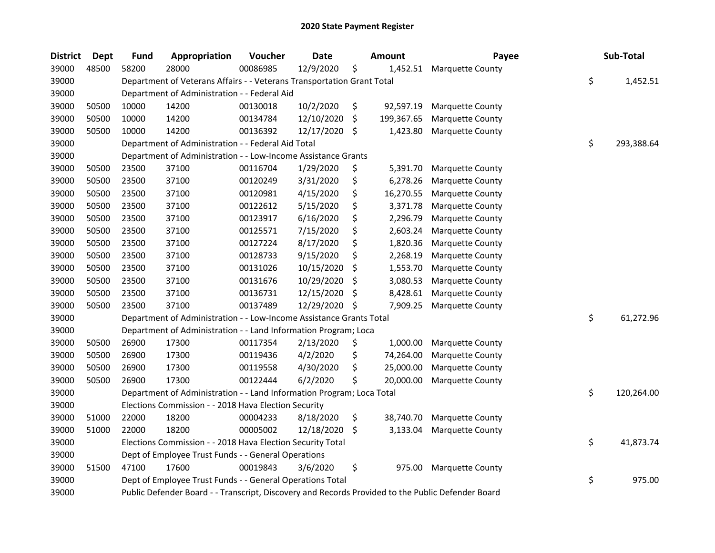| <b>District</b> | Dept  | <b>Fund</b> | Appropriation                                                                                     | Voucher  | <b>Date</b> |     | <b>Amount</b> | Payee                   | Sub-Total        |
|-----------------|-------|-------------|---------------------------------------------------------------------------------------------------|----------|-------------|-----|---------------|-------------------------|------------------|
| 39000           | 48500 | 58200       | 28000                                                                                             | 00086985 | 12/9/2020   | \$  | 1,452.51      | Marquette County        |                  |
| 39000           |       |             | Department of Veterans Affairs - - Veterans Transportation Grant Total                            |          |             |     |               |                         | \$<br>1,452.51   |
| 39000           |       |             | Department of Administration - - Federal Aid                                                      |          |             |     |               |                         |                  |
| 39000           | 50500 | 10000       | 14200                                                                                             | 00130018 | 10/2/2020   | \$  | 92,597.19     | Marquette County        |                  |
| 39000           | 50500 | 10000       | 14200                                                                                             | 00134784 | 12/10/2020  | \$  | 199,367.65    | Marquette County        |                  |
| 39000           | 50500 | 10000       | 14200                                                                                             | 00136392 | 12/17/2020  | -\$ | 1,423.80      | Marquette County        |                  |
| 39000           |       |             | Department of Administration - - Federal Aid Total                                                |          |             |     |               |                         | \$<br>293,388.64 |
| 39000           |       |             | Department of Administration - - Low-Income Assistance Grants                                     |          |             |     |               |                         |                  |
| 39000           | 50500 | 23500       | 37100                                                                                             | 00116704 | 1/29/2020   | \$  | 5,391.70      | Marquette County        |                  |
| 39000           | 50500 | 23500       | 37100                                                                                             | 00120249 | 3/31/2020   | \$  | 6,278.26      | Marquette County        |                  |
| 39000           | 50500 | 23500       | 37100                                                                                             | 00120981 | 4/15/2020   | \$  | 16,270.55     | Marquette County        |                  |
| 39000           | 50500 | 23500       | 37100                                                                                             | 00122612 | 5/15/2020   | \$  | 3,371.78      | <b>Marquette County</b> |                  |
| 39000           | 50500 | 23500       | 37100                                                                                             | 00123917 | 6/16/2020   | \$  | 2,296.79      | Marquette County        |                  |
| 39000           | 50500 | 23500       | 37100                                                                                             | 00125571 | 7/15/2020   | \$  | 2,603.24      | Marquette County        |                  |
| 39000           | 50500 | 23500       | 37100                                                                                             | 00127224 | 8/17/2020   | \$  | 1,820.36      | Marquette County        |                  |
| 39000           | 50500 | 23500       | 37100                                                                                             | 00128733 | 9/15/2020   | \$  | 2,268.19      | <b>Marquette County</b> |                  |
| 39000           | 50500 | 23500       | 37100                                                                                             | 00131026 | 10/15/2020  | \$  | 1,553.70      | Marquette County        |                  |
| 39000           | 50500 | 23500       | 37100                                                                                             | 00131676 | 10/29/2020  | \$  | 3,080.53      | Marquette County        |                  |
| 39000           | 50500 | 23500       | 37100                                                                                             | 00136731 | 12/15/2020  | \$  | 8,428.61      | Marquette County        |                  |
| 39000           | 50500 | 23500       | 37100                                                                                             | 00137489 | 12/29/2020  | -\$ | 7,909.25      | Marquette County        |                  |
| 39000           |       |             | Department of Administration - - Low-Income Assistance Grants Total                               |          |             |     |               |                         | \$<br>61,272.96  |
| 39000           |       |             | Department of Administration - - Land Information Program; Loca                                   |          |             |     |               |                         |                  |
| 39000           | 50500 | 26900       | 17300                                                                                             | 00117354 | 2/13/2020   | \$  | 1,000.00      | Marquette County        |                  |
| 39000           | 50500 | 26900       | 17300                                                                                             | 00119436 | 4/2/2020    | \$  | 74,264.00     | Marquette County        |                  |
| 39000           | 50500 | 26900       | 17300                                                                                             | 00119558 | 4/30/2020   | \$  | 25,000.00     | Marquette County        |                  |
| 39000           | 50500 | 26900       | 17300                                                                                             | 00122444 | 6/2/2020    | \$  | 20,000.00     | Marquette County        |                  |
| 39000           |       |             | Department of Administration - - Land Information Program; Loca Total                             |          |             |     |               |                         | \$<br>120,264.00 |
| 39000           |       |             | Elections Commission - - 2018 Hava Election Security                                              |          |             |     |               |                         |                  |
| 39000           | 51000 | 22000       | 18200                                                                                             | 00004233 | 8/18/2020   | \$  | 38,740.70     | Marquette County        |                  |
| 39000           | 51000 | 22000       | 18200                                                                                             | 00005002 | 12/18/2020  | -\$ | 3,133.04      | Marquette County        |                  |
| 39000           |       |             | Elections Commission - - 2018 Hava Election Security Total                                        |          |             |     |               |                         | \$<br>41,873.74  |
| 39000           |       |             | Dept of Employee Trust Funds - - General Operations                                               |          |             |     |               |                         |                  |
| 39000           | 51500 | 47100       | 17600                                                                                             | 00019843 | 3/6/2020    | \$  | 975.00        | Marquette County        |                  |
| 39000           |       |             | Dept of Employee Trust Funds - - General Operations Total                                         |          |             |     |               |                         | \$<br>975.00     |
| 39000           |       |             | Public Defender Board - - Transcript, Discovery and Records Provided to the Public Defender Board |          |             |     |               |                         |                  |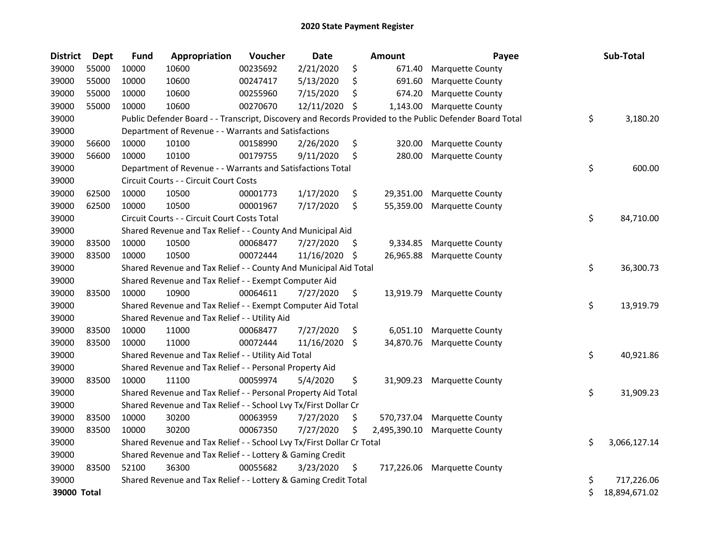| <b>District</b> | <b>Dept</b> | <b>Fund</b> | Appropriation                                                         | Voucher  | <b>Date</b> |     | Amount       | Payee                                                                                                   | Sub-Total           |
|-----------------|-------------|-------------|-----------------------------------------------------------------------|----------|-------------|-----|--------------|---------------------------------------------------------------------------------------------------------|---------------------|
| 39000           | 55000       | 10000       | 10600                                                                 | 00235692 | 2/21/2020   | \$  | 671.40       | Marquette County                                                                                        |                     |
| 39000           | 55000       | 10000       | 10600                                                                 | 00247417 | 5/13/2020   | \$  | 691.60       | Marquette County                                                                                        |                     |
| 39000           | 55000       | 10000       | 10600                                                                 | 00255960 | 7/15/2020   | \$  | 674.20       | Marquette County                                                                                        |                     |
| 39000           | 55000       | 10000       | 10600                                                                 | 00270670 | 12/11/2020  | \$  | 1,143.00     | <b>Marquette County</b>                                                                                 |                     |
| 39000           |             |             |                                                                       |          |             |     |              | Public Defender Board - - Transcript, Discovery and Records Provided to the Public Defender Board Total | \$<br>3,180.20      |
| 39000           |             |             | Department of Revenue - - Warrants and Satisfactions                  |          |             |     |              |                                                                                                         |                     |
| 39000           | 56600       | 10000       | 10100                                                                 | 00158990 | 2/26/2020   | \$  | 320.00       | Marquette County                                                                                        |                     |
| 39000           | 56600       | 10000       | 10100                                                                 | 00179755 | 9/11/2020   | \$  | 280.00       | Marquette County                                                                                        |                     |
| 39000           |             |             | Department of Revenue - - Warrants and Satisfactions Total            |          |             |     |              |                                                                                                         | \$<br>600.00        |
| 39000           |             |             | Circuit Courts - - Circuit Court Costs                                |          |             |     |              |                                                                                                         |                     |
| 39000           | 62500       | 10000       | 10500                                                                 | 00001773 | 1/17/2020   | \$  | 29,351.00    | Marquette County                                                                                        |                     |
| 39000           | 62500       | 10000       | 10500                                                                 | 00001967 | 7/17/2020   | \$  | 55,359.00    | Marquette County                                                                                        |                     |
| 39000           |             |             | Circuit Courts - - Circuit Court Costs Total                          |          |             |     |              |                                                                                                         | \$<br>84,710.00     |
| 39000           |             |             | Shared Revenue and Tax Relief - - County And Municipal Aid            |          |             |     |              |                                                                                                         |                     |
| 39000           | 83500       | 10000       | 10500                                                                 | 00068477 | 7/27/2020   | \$, | 9,334.85     | Marquette County                                                                                        |                     |
| 39000           | 83500       | 10000       | 10500                                                                 | 00072444 | 11/16/2020  | -\$ | 26,965.88    | Marquette County                                                                                        |                     |
| 39000           |             |             | Shared Revenue and Tax Relief - - County And Municipal Aid Total      |          |             |     |              |                                                                                                         | \$<br>36,300.73     |
| 39000           |             |             | Shared Revenue and Tax Relief - - Exempt Computer Aid                 |          |             |     |              |                                                                                                         |                     |
| 39000           | 83500       | 10000       | 10900                                                                 | 00064611 | 7/27/2020   | \$  | 13,919.79    | Marquette County                                                                                        |                     |
| 39000           |             |             | Shared Revenue and Tax Relief - - Exempt Computer Aid Total           |          |             |     |              |                                                                                                         | \$<br>13,919.79     |
| 39000           |             |             | Shared Revenue and Tax Relief - - Utility Aid                         |          |             |     |              |                                                                                                         |                     |
| 39000           | 83500       | 10000       | 11000                                                                 | 00068477 | 7/27/2020   | \$  | 6,051.10     | Marquette County                                                                                        |                     |
| 39000           | 83500       | 10000       | 11000                                                                 | 00072444 | 11/16/2020  | \$  | 34,870.76    | Marquette County                                                                                        |                     |
| 39000           |             |             | Shared Revenue and Tax Relief - - Utility Aid Total                   |          |             |     |              |                                                                                                         | \$<br>40,921.86     |
| 39000           |             |             | Shared Revenue and Tax Relief - - Personal Property Aid               |          |             |     |              |                                                                                                         |                     |
| 39000           | 83500       | 10000       | 11100                                                                 | 00059974 | 5/4/2020    | \$  | 31,909.23    | Marquette County                                                                                        |                     |
| 39000           |             |             | Shared Revenue and Tax Relief - - Personal Property Aid Total         |          |             |     |              |                                                                                                         | \$<br>31,909.23     |
| 39000           |             |             | Shared Revenue and Tax Relief - - School Lvy Tx/First Dollar Cr       |          |             |     |              |                                                                                                         |                     |
| 39000           | 83500       | 10000       | 30200                                                                 | 00063959 | 7/27/2020   | \$  | 570,737.04   | Marquette County                                                                                        |                     |
| 39000           | 83500       | 10000       | 30200                                                                 | 00067350 | 7/27/2020   | \$  | 2,495,390.10 | Marquette County                                                                                        |                     |
| 39000           |             |             | Shared Revenue and Tax Relief - - School Lvy Tx/First Dollar Cr Total |          |             |     |              |                                                                                                         | \$<br>3,066,127.14  |
| 39000           |             |             | Shared Revenue and Tax Relief - - Lottery & Gaming Credit             |          |             |     |              |                                                                                                         |                     |
| 39000           | 83500       | 52100       | 36300                                                                 | 00055682 | 3/23/2020   | \$  |              | 717,226.06 Marquette County                                                                             |                     |
| 39000           |             |             | Shared Revenue and Tax Relief - - Lottery & Gaming Credit Total       |          |             |     |              |                                                                                                         | \$<br>717,226.06    |
| 39000 Total     |             |             |                                                                       |          |             |     |              |                                                                                                         | \$<br>18,894,671.02 |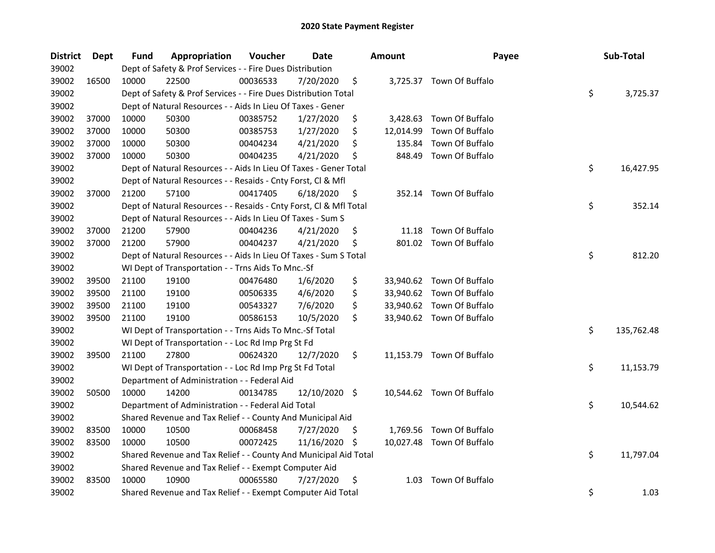| <b>District</b> | <b>Dept</b> | Fund  | Appropriation                                                      | Voucher  | <b>Date</b>   |     | <b>Amount</b> | Payee                     | Sub-Total        |
|-----------------|-------------|-------|--------------------------------------------------------------------|----------|---------------|-----|---------------|---------------------------|------------------|
| 39002           |             |       | Dept of Safety & Prof Services - - Fire Dues Distribution          |          |               |     |               |                           |                  |
| 39002           | 16500       | 10000 | 22500                                                              | 00036533 | 7/20/2020     | \$  |               | 3,725.37 Town Of Buffalo  |                  |
| 39002           |             |       | Dept of Safety & Prof Services - - Fire Dues Distribution Total    |          |               |     |               |                           | \$<br>3,725.37   |
| 39002           |             |       | Dept of Natural Resources - - Aids In Lieu Of Taxes - Gener        |          |               |     |               |                           |                  |
| 39002           | 37000       | 10000 | 50300                                                              | 00385752 | 1/27/2020     | \$  | 3,428.63      | Town Of Buffalo           |                  |
| 39002           | 37000       | 10000 | 50300                                                              | 00385753 | 1/27/2020     | \$  | 12,014.99     | Town Of Buffalo           |                  |
| 39002           | 37000       | 10000 | 50300                                                              | 00404234 | 4/21/2020     | \$  | 135.84        | Town Of Buffalo           |                  |
| 39002           | 37000       | 10000 | 50300                                                              | 00404235 | 4/21/2020     | \$  | 848.49        | Town Of Buffalo           |                  |
| 39002           |             |       | Dept of Natural Resources - - Aids In Lieu Of Taxes - Gener Total  |          |               |     |               |                           | \$<br>16,427.95  |
| 39002           |             |       | Dept of Natural Resources - - Resaids - Cnty Forst, Cl & Mfl       |          |               |     |               |                           |                  |
| 39002           | 37000       | 21200 | 57100                                                              | 00417405 | 6/18/2020     | \$  |               | 352.14 Town Of Buffalo    |                  |
| 39002           |             |       | Dept of Natural Resources - - Resaids - Cnty Forst, Cl & Mfl Total |          |               |     |               |                           | \$<br>352.14     |
| 39002           |             |       | Dept of Natural Resources - - Aids In Lieu Of Taxes - Sum S        |          |               |     |               |                           |                  |
| 39002           | 37000       | 21200 | 57900                                                              | 00404236 | 4/21/2020     | \$  | 11.18         | Town Of Buffalo           |                  |
| 39002           | 37000       | 21200 | 57900                                                              | 00404237 | 4/21/2020     | \$  |               | 801.02 Town Of Buffalo    |                  |
| 39002           |             |       | Dept of Natural Resources - - Aids In Lieu Of Taxes - Sum S Total  |          |               |     |               |                           | \$<br>812.20     |
| 39002           |             |       | WI Dept of Transportation - - Trns Aids To Mnc.-Sf                 |          |               |     |               |                           |                  |
| 39002           | 39500       | 21100 | 19100                                                              | 00476480 | 1/6/2020      | \$  |               | 33,940.62 Town Of Buffalo |                  |
| 39002           | 39500       | 21100 | 19100                                                              | 00506335 | 4/6/2020      | \$  |               | 33,940.62 Town Of Buffalo |                  |
| 39002           | 39500       | 21100 | 19100                                                              | 00543327 | 7/6/2020      | \$  |               | 33,940.62 Town Of Buffalo |                  |
| 39002           | 39500       | 21100 | 19100                                                              | 00586153 | 10/5/2020     | \$  |               | 33,940.62 Town Of Buffalo |                  |
| 39002           |             |       | WI Dept of Transportation - - Trns Aids To Mnc.-Sf Total           |          |               |     |               |                           | \$<br>135,762.48 |
| 39002           |             |       | WI Dept of Transportation - - Loc Rd Imp Prg St Fd                 |          |               |     |               |                           |                  |
| 39002           | 39500       | 21100 | 27800                                                              | 00624320 | 12/7/2020     | \$  |               | 11,153.79 Town Of Buffalo |                  |
| 39002           |             |       | WI Dept of Transportation - - Loc Rd Imp Prg St Fd Total           |          |               |     |               |                           | \$<br>11,153.79  |
| 39002           |             |       | Department of Administration - - Federal Aid                       |          |               |     |               |                           |                  |
| 39002           | 50500       | 10000 | 14200                                                              | 00134785 | 12/10/2020 \$ |     |               | 10,544.62 Town Of Buffalo |                  |
| 39002           |             |       | Department of Administration - - Federal Aid Total                 |          |               |     |               |                           | \$<br>10,544.62  |
| 39002           |             |       | Shared Revenue and Tax Relief - - County And Municipal Aid         |          |               |     |               |                           |                  |
| 39002           | 83500       | 10000 | 10500                                                              | 00068458 | 7/27/2020     | \$  |               | 1,769.56 Town Of Buffalo  |                  |
| 39002           | 83500       | 10000 | 10500                                                              | 00072425 | 11/16/2020    | -\$ |               | 10,027.48 Town Of Buffalo |                  |
| 39002           |             |       | Shared Revenue and Tax Relief - - County And Municipal Aid Total   |          |               |     |               |                           | \$<br>11,797.04  |
| 39002           |             |       | Shared Revenue and Tax Relief - - Exempt Computer Aid              |          |               |     |               |                           |                  |
| 39002           | 83500       | 10000 | 10900                                                              | 00065580 | 7/27/2020     | \$  | 1.03          | Town Of Buffalo           |                  |
| 39002           |             |       | Shared Revenue and Tax Relief - - Exempt Computer Aid Total        |          |               |     |               |                           | \$<br>1.03       |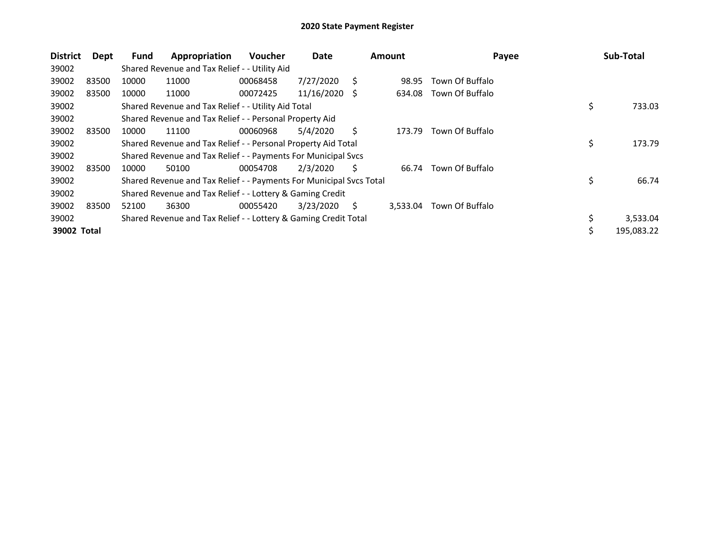| <b>District</b> | Dept  | <b>Fund</b> | Appropriation                                                       | <b>Voucher</b> | Date       |    | <b>Amount</b> | Payee           | Sub-Total        |
|-----------------|-------|-------------|---------------------------------------------------------------------|----------------|------------|----|---------------|-----------------|------------------|
| 39002           |       |             | Shared Revenue and Tax Relief - - Utility Aid                       |                |            |    |               |                 |                  |
| 39002           | 83500 | 10000       | 11000                                                               | 00068458       | 7/27/2020  | S  | 98.95         | Town Of Buffalo |                  |
| 39002           | 83500 | 10000       | 11000                                                               | 00072425       | 11/16/2020 | -S | 634.08        | Town Of Buffalo |                  |
| 39002           |       |             | Shared Revenue and Tax Relief - - Utility Aid Total                 |                |            |    |               |                 | \$<br>733.03     |
| 39002           |       |             | Shared Revenue and Tax Relief - - Personal Property Aid             |                |            |    |               |                 |                  |
| 39002           | 83500 | 10000       | 11100                                                               | 00060968       | 5/4/2020   | S  | 173.79        | Town Of Buffalo |                  |
| 39002           |       |             | Shared Revenue and Tax Relief - - Personal Property Aid Total       |                |            |    |               |                 | \$<br>173.79     |
| 39002           |       |             | Shared Revenue and Tax Relief - - Payments For Municipal Svcs       |                |            |    |               |                 |                  |
| 39002           | 83500 | 10000       | 50100                                                               | 00054708       | 2/3/2020   | S  | 66.74         | Town Of Buffalo |                  |
| 39002           |       |             | Shared Revenue and Tax Relief - - Payments For Municipal Svcs Total |                |            |    |               |                 | \$<br>66.74      |
| 39002           |       |             | Shared Revenue and Tax Relief - - Lottery & Gaming Credit           |                |            |    |               |                 |                  |
| 39002           | 83500 | 52100       | 36300                                                               | 00055420       | 3/23/2020  | S  | 3.533.04      | Town Of Buffalo |                  |
| 39002           |       |             | Shared Revenue and Tax Relief - - Lottery & Gaming Credit Total     |                |            |    |               |                 | \$<br>3,533.04   |
| 39002 Total     |       |             |                                                                     |                |            |    |               |                 | \$<br>195,083.22 |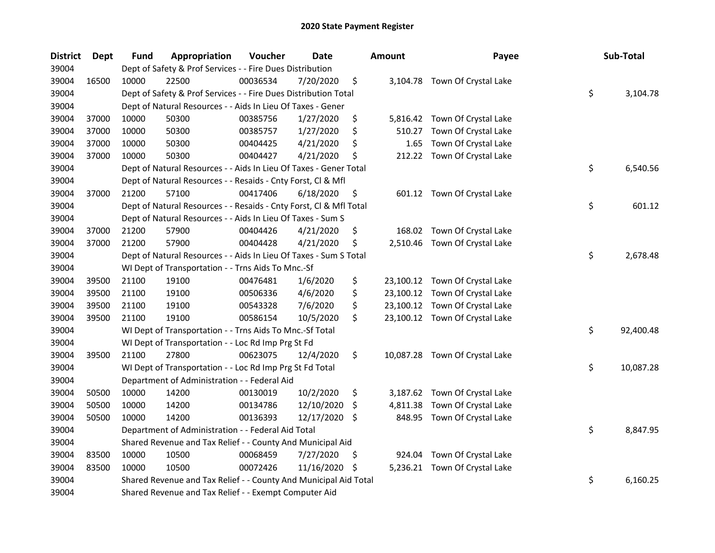| <b>District</b> | <b>Dept</b> | Fund  | Appropriation                                                      | Voucher  | <b>Date</b> |     | <b>Amount</b> | Payee                          | Sub-Total       |
|-----------------|-------------|-------|--------------------------------------------------------------------|----------|-------------|-----|---------------|--------------------------------|-----------------|
| 39004           |             |       | Dept of Safety & Prof Services - - Fire Dues Distribution          |          |             |     |               |                                |                 |
| 39004           | 16500       | 10000 | 22500                                                              | 00036534 | 7/20/2020   | \$  |               | 3,104.78 Town Of Crystal Lake  |                 |
| 39004           |             |       | Dept of Safety & Prof Services - - Fire Dues Distribution Total    |          |             |     |               |                                | \$<br>3,104.78  |
| 39004           |             |       | Dept of Natural Resources - - Aids In Lieu Of Taxes - Gener        |          |             |     |               |                                |                 |
| 39004           | 37000       | 10000 | 50300                                                              | 00385756 | 1/27/2020   | \$  |               | 5,816.42 Town Of Crystal Lake  |                 |
| 39004           | 37000       | 10000 | 50300                                                              | 00385757 | 1/27/2020   | \$  | 510.27        | Town Of Crystal Lake           |                 |
| 39004           | 37000       | 10000 | 50300                                                              | 00404425 | 4/21/2020   | \$  | 1.65          | Town Of Crystal Lake           |                 |
| 39004           | 37000       | 10000 | 50300                                                              | 00404427 | 4/21/2020   | \$  |               | 212.22 Town Of Crystal Lake    |                 |
| 39004           |             |       | Dept of Natural Resources - - Aids In Lieu Of Taxes - Gener Total  |          |             |     |               |                                | \$<br>6,540.56  |
| 39004           |             |       | Dept of Natural Resources - - Resaids - Cnty Forst, Cl & Mfl       |          |             |     |               |                                |                 |
| 39004           | 37000       | 21200 | 57100                                                              | 00417406 | 6/18/2020   | \$  |               | 601.12 Town Of Crystal Lake    |                 |
| 39004           |             |       | Dept of Natural Resources - - Resaids - Cnty Forst, Cl & Mfl Total |          |             |     |               |                                | \$<br>601.12    |
| 39004           |             |       | Dept of Natural Resources - - Aids In Lieu Of Taxes - Sum S        |          |             |     |               |                                |                 |
| 39004           | 37000       | 21200 | 57900                                                              | 00404426 | 4/21/2020   | \$  | 168.02        | Town Of Crystal Lake           |                 |
| 39004           | 37000       | 21200 | 57900                                                              | 00404428 | 4/21/2020   | \$  | 2,510.46      | Town Of Crystal Lake           |                 |
| 39004           |             |       | Dept of Natural Resources - - Aids In Lieu Of Taxes - Sum S Total  |          |             |     |               |                                | \$<br>2,678.48  |
| 39004           |             |       | WI Dept of Transportation - - Trns Aids To Mnc.-Sf                 |          |             |     |               |                                |                 |
| 39004           | 39500       | 21100 | 19100                                                              | 00476481 | 1/6/2020    | \$  |               | 23,100.12 Town Of Crystal Lake |                 |
| 39004           | 39500       | 21100 | 19100                                                              | 00506336 | 4/6/2020    | \$  |               | 23,100.12 Town Of Crystal Lake |                 |
| 39004           | 39500       | 21100 | 19100                                                              | 00543328 | 7/6/2020    | \$  |               | 23,100.12 Town Of Crystal Lake |                 |
| 39004           | 39500       | 21100 | 19100                                                              | 00586154 | 10/5/2020   | \$  |               | 23,100.12 Town Of Crystal Lake |                 |
| 39004           |             |       | WI Dept of Transportation - - Trns Aids To Mnc.-Sf Total           |          |             |     |               |                                | \$<br>92,400.48 |
| 39004           |             |       | WI Dept of Transportation - - Loc Rd Imp Prg St Fd                 |          |             |     |               |                                |                 |
| 39004           | 39500       | 21100 | 27800                                                              | 00623075 | 12/4/2020   | \$  |               | 10,087.28 Town Of Crystal Lake |                 |
| 39004           |             |       | WI Dept of Transportation - - Loc Rd Imp Prg St Fd Total           |          |             |     |               |                                | \$<br>10,087.28 |
| 39004           |             |       | Department of Administration - - Federal Aid                       |          |             |     |               |                                |                 |
| 39004           | 50500       | 10000 | 14200                                                              | 00130019 | 10/2/2020   | \$  |               | 3,187.62 Town Of Crystal Lake  |                 |
| 39004           | 50500       | 10000 | 14200                                                              | 00134786 | 12/10/2020  | \$  | 4,811.38      | Town Of Crystal Lake           |                 |
| 39004           | 50500       | 10000 | 14200                                                              | 00136393 | 12/17/2020  | -S  | 848.95        | Town Of Crystal Lake           |                 |
| 39004           |             |       | Department of Administration - - Federal Aid Total                 |          |             |     |               |                                | \$<br>8,847.95  |
| 39004           |             |       | Shared Revenue and Tax Relief - - County And Municipal Aid         |          |             |     |               |                                |                 |
| 39004           | 83500       | 10000 | 10500                                                              | 00068459 | 7/27/2020   | \$  | 924.04        | Town Of Crystal Lake           |                 |
| 39004           | 83500       | 10000 | 10500                                                              | 00072426 | 11/16/2020  | -\$ |               | 5,236.21 Town Of Crystal Lake  |                 |
| 39004           |             |       | Shared Revenue and Tax Relief - - County And Municipal Aid Total   |          |             |     |               |                                | \$<br>6,160.25  |
| 39004           |             |       | Shared Revenue and Tax Relief - - Exempt Computer Aid              |          |             |     |               |                                |                 |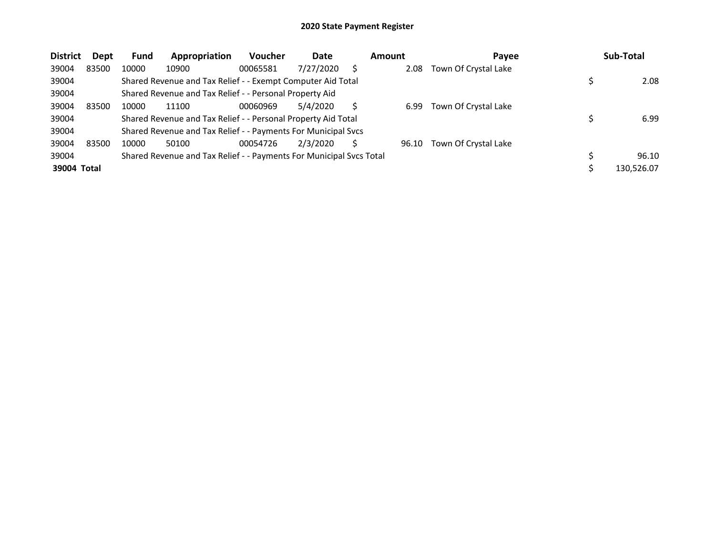| <b>District</b> | <b>Dept</b> | <b>Fund</b> | Appropriation                                                       | <b>Voucher</b> | Date      | <b>Amount</b> | Payee                | Sub-Total  |
|-----------------|-------------|-------------|---------------------------------------------------------------------|----------------|-----------|---------------|----------------------|------------|
| 39004           | 83500       | 10000       | 10900                                                               | 00065581       | 7/27/2020 | 2.08          | Town Of Crystal Lake |            |
| 39004           |             |             | Shared Revenue and Tax Relief - - Exempt Computer Aid Total         |                |           |               |                      | 2.08       |
| 39004           |             |             | Shared Revenue and Tax Relief - - Personal Property Aid             |                |           |               |                      |            |
| 39004           | 83500       | 10000       | 11100                                                               | 00060969       | 5/4/2020  | 6.99          | Town Of Crystal Lake |            |
| 39004           |             |             | Shared Revenue and Tax Relief - - Personal Property Aid Total       |                |           |               |                      | 6.99       |
| 39004           |             |             | Shared Revenue and Tax Relief - - Payments For Municipal Svcs       |                |           |               |                      |            |
| 39004           | 83500       | 10000       | 50100                                                               | 00054726       | 2/3/2020  | 96.10         | Town Of Crystal Lake |            |
| 39004           |             |             | Shared Revenue and Tax Relief - - Payments For Municipal Svcs Total |                |           |               |                      | 96.10      |
| 39004 Total     |             |             |                                                                     |                |           |               |                      | 130.526.07 |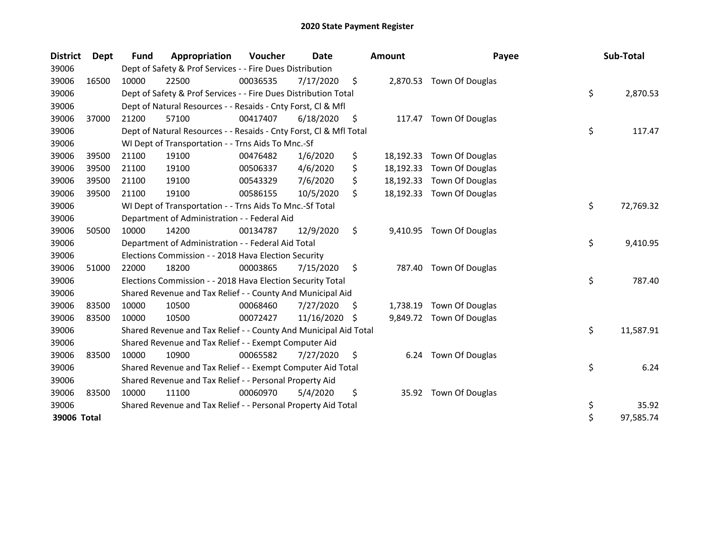| <b>District</b> | Dept  | Fund  | Appropriation                                                      | <b>Voucher</b> | <b>Date</b> |     | <b>Amount</b> | Payee                     | Sub-Total       |
|-----------------|-------|-------|--------------------------------------------------------------------|----------------|-------------|-----|---------------|---------------------------|-----------------|
| 39006           |       |       | Dept of Safety & Prof Services - - Fire Dues Distribution          |                |             |     |               |                           |                 |
| 39006           | 16500 | 10000 | 22500                                                              | 00036535       | 7/17/2020   | \$  | 2,870.53      | Town Of Douglas           |                 |
| 39006           |       |       | Dept of Safety & Prof Services - - Fire Dues Distribution Total    |                |             |     |               |                           | \$<br>2,870.53  |
| 39006           |       |       | Dept of Natural Resources - - Resaids - Cnty Forst, Cl & Mfl       |                |             |     |               |                           |                 |
| 39006           | 37000 | 21200 | 57100                                                              | 00417407       | 6/18/2020   | \$  |               | 117.47 Town Of Douglas    |                 |
| 39006           |       |       | Dept of Natural Resources - - Resaids - Cnty Forst, CI & Mfl Total |                |             |     |               |                           | \$<br>117.47    |
| 39006           |       |       | WI Dept of Transportation - - Trns Aids To Mnc.-Sf                 |                |             |     |               |                           |                 |
| 39006           | 39500 | 21100 | 19100                                                              | 00476482       | 1/6/2020    | \$  | 18,192.33     | Town Of Douglas           |                 |
| 39006           | 39500 | 21100 | 19100                                                              | 00506337       | 4/6/2020    | \$  |               | 18,192.33 Town Of Douglas |                 |
| 39006           | 39500 | 21100 | 19100                                                              | 00543329       | 7/6/2020    | \$  |               | 18,192.33 Town Of Douglas |                 |
| 39006           | 39500 | 21100 | 19100                                                              | 00586155       | 10/5/2020   | \$  |               | 18,192.33 Town Of Douglas |                 |
| 39006           |       |       | WI Dept of Transportation - - Trns Aids To Mnc.-Sf Total           |                |             |     |               |                           | \$<br>72,769.32 |
| 39006           |       |       | Department of Administration - - Federal Aid                       |                |             |     |               |                           |                 |
| 39006           | 50500 | 10000 | 14200                                                              | 00134787       | 12/9/2020   | \$  | 9,410.95      | Town Of Douglas           |                 |
| 39006           |       |       | Department of Administration - - Federal Aid Total                 |                |             |     |               |                           | \$<br>9,410.95  |
| 39006           |       |       | Elections Commission - - 2018 Hava Election Security               |                |             |     |               |                           |                 |
| 39006           | 51000 | 22000 | 18200                                                              | 00003865       | 7/15/2020   | \$  |               | 787.40 Town Of Douglas    |                 |
| 39006           |       |       | Elections Commission - - 2018 Hava Election Security Total         |                |             |     |               |                           | \$<br>787.40    |
| 39006           |       |       | Shared Revenue and Tax Relief - - County And Municipal Aid         |                |             |     |               |                           |                 |
| 39006           | 83500 | 10000 | 10500                                                              | 00068460       | 7/27/2020   | \$. | 1,738.19      | Town Of Douglas           |                 |
| 39006           | 83500 | 10000 | 10500                                                              | 00072427       | 11/16/2020  | -S  |               | 9,849.72 Town Of Douglas  |                 |
| 39006           |       |       | Shared Revenue and Tax Relief - - County And Municipal Aid Total   |                |             |     |               |                           | \$<br>11,587.91 |
| 39006           |       |       | Shared Revenue and Tax Relief - - Exempt Computer Aid              |                |             |     |               |                           |                 |
| 39006           | 83500 | 10000 | 10900                                                              | 00065582       | 7/27/2020   | S   |               | 6.24 Town Of Douglas      |                 |
| 39006           |       |       | Shared Revenue and Tax Relief - - Exempt Computer Aid Total        |                |             |     |               |                           | \$<br>6.24      |
| 39006           |       |       | Shared Revenue and Tax Relief - - Personal Property Aid            |                |             |     |               |                           |                 |
| 39006           | 83500 | 10000 | 11100                                                              | 00060970       | 5/4/2020    | \$  |               | 35.92 Town Of Douglas     |                 |
| 39006           |       |       | Shared Revenue and Tax Relief - - Personal Property Aid Total      |                |             |     |               |                           | \$<br>35.92     |
| 39006 Total     |       |       |                                                                    |                |             |     |               |                           | \$<br>97,585.74 |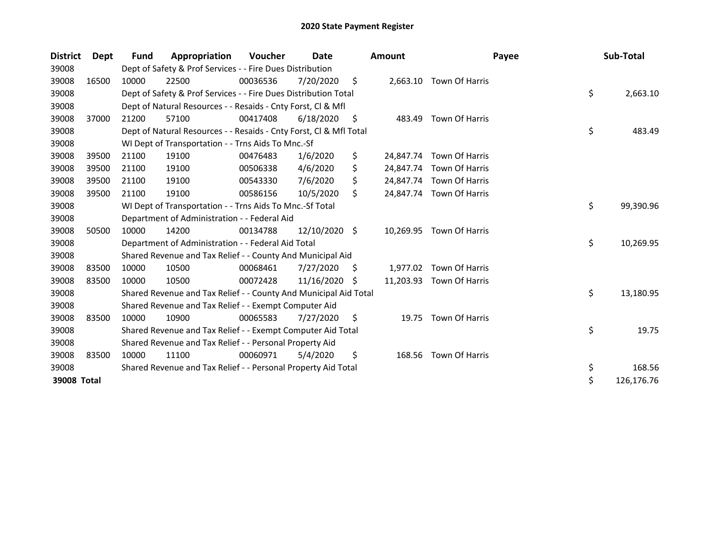| <b>District</b> | Dept  | <b>Fund</b> | Appropriation                                                      | Voucher  | Date          |    | <b>Amount</b> | Payee                    | Sub-Total        |
|-----------------|-------|-------------|--------------------------------------------------------------------|----------|---------------|----|---------------|--------------------------|------------------|
| 39008           |       |             | Dept of Safety & Prof Services - - Fire Dues Distribution          |          |               |    |               |                          |                  |
| 39008           | 16500 | 10000       | 22500                                                              | 00036536 | 7/20/2020     | \$ |               | 2,663.10 Town Of Harris  |                  |
| 39008           |       |             | Dept of Safety & Prof Services - - Fire Dues Distribution Total    |          |               |    |               |                          | \$<br>2,663.10   |
| 39008           |       |             | Dept of Natural Resources - - Resaids - Cnty Forst, CI & Mfl       |          |               |    |               |                          |                  |
| 39008           | 37000 | 21200       | 57100                                                              | 00417408 | 6/18/2020     | S. | 483.49        | Town Of Harris           |                  |
| 39008           |       |             | Dept of Natural Resources - - Resaids - Cnty Forst, CI & Mfl Total |          |               |    |               |                          | \$<br>483.49     |
| 39008           |       |             | WI Dept of Transportation - - Trns Aids To Mnc.-Sf                 |          |               |    |               |                          |                  |
| 39008           | 39500 | 21100       | 19100                                                              | 00476483 | 1/6/2020      | \$ | 24,847.74     | Town Of Harris           |                  |
| 39008           | 39500 | 21100       | 19100                                                              | 00506338 | 4/6/2020      | \$ |               | 24,847.74 Town Of Harris |                  |
| 39008           | 39500 | 21100       | 19100                                                              | 00543330 | 7/6/2020      | S  |               | 24,847.74 Town Of Harris |                  |
| 39008           | 39500 | 21100       | 19100                                                              | 00586156 | 10/5/2020     | \$ |               | 24,847.74 Town Of Harris |                  |
| 39008           |       |             | WI Dept of Transportation - - Trns Aids To Mnc.-Sf Total           |          |               |    |               |                          | \$<br>99,390.96  |
| 39008           |       |             | Department of Administration - - Federal Aid                       |          |               |    |               |                          |                  |
| 39008           | 50500 | 10000       | 14200                                                              | 00134788 | 12/10/2020 \$ |    | 10,269.95     | Town Of Harris           |                  |
| 39008           |       |             | Department of Administration - - Federal Aid Total                 |          |               |    |               |                          | \$<br>10,269.95  |
| 39008           |       |             | Shared Revenue and Tax Relief - - County And Municipal Aid         |          |               |    |               |                          |                  |
| 39008           | 83500 | 10000       | 10500                                                              | 00068461 | 7/27/2020     | S. | 1,977.02      | Town Of Harris           |                  |
| 39008           | 83500 | 10000       | 10500                                                              | 00072428 | 11/16/2020    | S  | 11,203.93     | Town Of Harris           |                  |
| 39008           |       |             | Shared Revenue and Tax Relief - - County And Municipal Aid Total   |          |               |    |               |                          | \$<br>13,180.95  |
| 39008           |       |             | Shared Revenue and Tax Relief - - Exempt Computer Aid              |          |               |    |               |                          |                  |
| 39008           | 83500 | 10000       | 10900                                                              | 00065583 | 7/27/2020     | \$ |               | 19.75 Town Of Harris     |                  |
| 39008           |       |             | Shared Revenue and Tax Relief - - Exempt Computer Aid Total        |          |               |    |               |                          | \$<br>19.75      |
| 39008           |       |             | Shared Revenue and Tax Relief - - Personal Property Aid            |          |               |    |               |                          |                  |
| 39008           | 83500 | 10000       | 11100                                                              | 00060971 | 5/4/2020      | \$ | 168.56        | Town Of Harris           |                  |
| 39008           |       |             | Shared Revenue and Tax Relief - - Personal Property Aid Total      |          |               |    |               |                          | \$<br>168.56     |
| 39008 Total     |       |             |                                                                    |          |               |    |               |                          | \$<br>126,176.76 |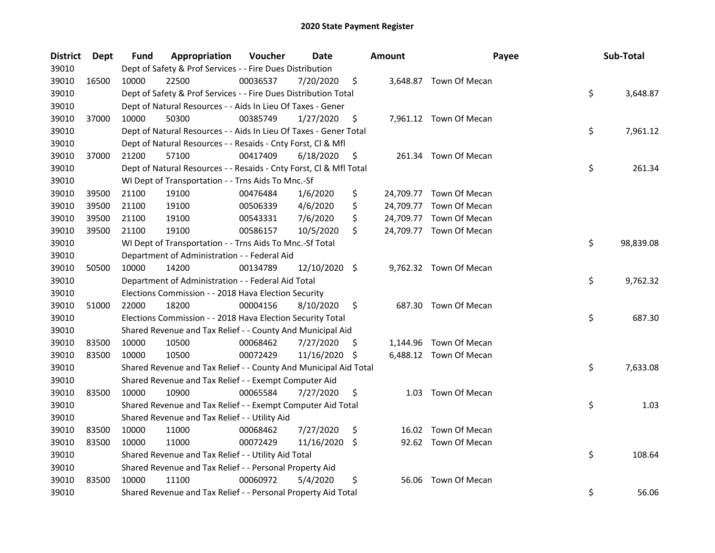| District | <b>Dept</b> | Fund  | Appropriation                                                      | Voucher  | Date          |     | <b>Amount</b> | Payee                   | Sub-Total       |
|----------|-------------|-------|--------------------------------------------------------------------|----------|---------------|-----|---------------|-------------------------|-----------------|
| 39010    |             |       | Dept of Safety & Prof Services - - Fire Dues Distribution          |          |               |     |               |                         |                 |
| 39010    | 16500       | 10000 | 22500                                                              | 00036537 | 7/20/2020     | \$  |               | 3,648.87 Town Of Mecan  |                 |
| 39010    |             |       | Dept of Safety & Prof Services - - Fire Dues Distribution Total    |          |               |     |               |                         | \$<br>3,648.87  |
| 39010    |             |       | Dept of Natural Resources - - Aids In Lieu Of Taxes - Gener        |          |               |     |               |                         |                 |
| 39010    | 37000       | 10000 | 50300                                                              | 00385749 | 1/27/2020     | \$  |               | 7,961.12 Town Of Mecan  |                 |
| 39010    |             |       | Dept of Natural Resources - - Aids In Lieu Of Taxes - Gener Total  |          |               |     |               |                         | \$<br>7,961.12  |
| 39010    |             |       | Dept of Natural Resources - - Resaids - Cnty Forst, Cl & Mfl       |          |               |     |               |                         |                 |
| 39010    | 37000       | 21200 | 57100                                                              | 00417409 | 6/18/2020     | \$  |               | 261.34 Town Of Mecan    |                 |
| 39010    |             |       | Dept of Natural Resources - - Resaids - Cnty Forst, Cl & Mfl Total |          |               |     |               |                         | \$<br>261.34    |
| 39010    |             |       | WI Dept of Transportation - - Trns Aids To Mnc.-Sf                 |          |               |     |               |                         |                 |
| 39010    | 39500       | 21100 | 19100                                                              | 00476484 | 1/6/2020      | \$  |               | 24,709.77 Town Of Mecan |                 |
| 39010    | 39500       | 21100 | 19100                                                              | 00506339 | 4/6/2020      | \$  |               | 24,709.77 Town Of Mecan |                 |
| 39010    | 39500       | 21100 | 19100                                                              | 00543331 | 7/6/2020      | \$  |               | 24,709.77 Town Of Mecan |                 |
| 39010    | 39500       | 21100 | 19100                                                              | 00586157 | 10/5/2020     | \$  |               | 24,709.77 Town Of Mecan |                 |
| 39010    |             |       | WI Dept of Transportation - - Trns Aids To Mnc.-Sf Total           |          |               |     |               |                         | \$<br>98,839.08 |
| 39010    |             |       | Department of Administration - - Federal Aid                       |          |               |     |               |                         |                 |
| 39010    | 50500       | 10000 | 14200                                                              | 00134789 | 12/10/2020 \$ |     |               | 9,762.32 Town Of Mecan  |                 |
| 39010    |             |       | Department of Administration - - Federal Aid Total                 |          |               |     |               |                         | \$<br>9,762.32  |
| 39010    |             |       | Elections Commission - - 2018 Hava Election Security               |          |               |     |               |                         |                 |
| 39010    | 51000       | 22000 | 18200                                                              | 00004156 | 8/10/2020     | \$  |               | 687.30 Town Of Mecan    |                 |
| 39010    |             |       | Elections Commission - - 2018 Hava Election Security Total         |          |               |     |               |                         | \$<br>687.30    |
| 39010    |             |       | Shared Revenue and Tax Relief - - County And Municipal Aid         |          |               |     |               |                         |                 |
| 39010    | 83500       | 10000 | 10500                                                              | 00068462 | 7/27/2020     | \$. |               | 1,144.96 Town Of Mecan  |                 |
| 39010    | 83500       | 10000 | 10500                                                              | 00072429 | 11/16/2020    | \$. |               | 6,488.12 Town Of Mecan  |                 |
| 39010    |             |       | Shared Revenue and Tax Relief - - County And Municipal Aid Total   |          |               |     |               |                         | \$<br>7,633.08  |
| 39010    |             |       | Shared Revenue and Tax Relief - - Exempt Computer Aid              |          |               |     |               |                         |                 |
| 39010    | 83500       | 10000 | 10900                                                              | 00065584 | 7/27/2020     | \$  |               | 1.03 Town Of Mecan      |                 |
| 39010    |             |       | Shared Revenue and Tax Relief - - Exempt Computer Aid Total        |          |               |     |               |                         | \$<br>1.03      |
| 39010    |             |       | Shared Revenue and Tax Relief - - Utility Aid                      |          |               |     |               |                         |                 |
| 39010    | 83500       | 10000 | 11000                                                              | 00068462 | 7/27/2020     | \$  |               | 16.02 Town Of Mecan     |                 |
| 39010    | 83500       | 10000 | 11000                                                              | 00072429 | 11/16/2020    | \$  |               | 92.62 Town Of Mecan     |                 |
| 39010    |             |       | Shared Revenue and Tax Relief - - Utility Aid Total                |          |               |     |               |                         | \$<br>108.64    |
| 39010    |             |       | Shared Revenue and Tax Relief - - Personal Property Aid            |          |               |     |               |                         |                 |
| 39010    | 83500       | 10000 | 11100                                                              | 00060972 | 5/4/2020      | \$  |               | 56.06 Town Of Mecan     |                 |
| 39010    |             |       | Shared Revenue and Tax Relief - - Personal Property Aid Total      |          |               |     |               |                         | \$<br>56.06     |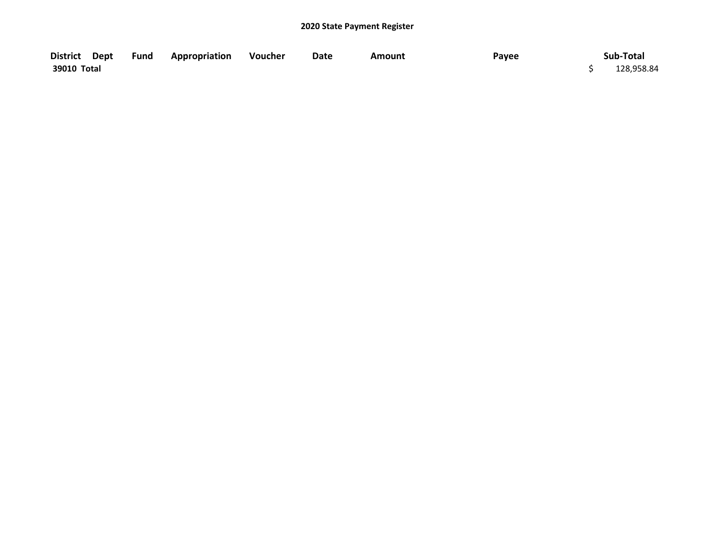|             | District Dept Fund Appropriation Voucher | Date | <b>Amount</b> | Payee | Sub-Total  |
|-------------|------------------------------------------|------|---------------|-------|------------|
| 39010 Total |                                          |      |               |       | 128,958.84 |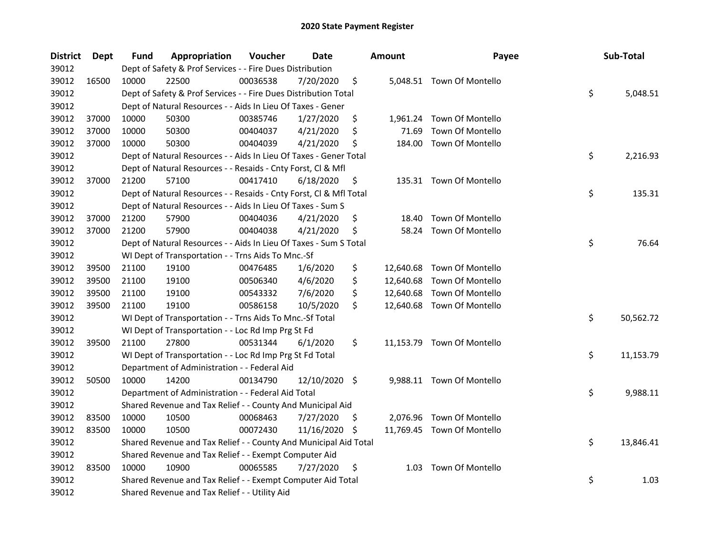| <b>District</b> | <b>Dept</b> | Fund  | Appropriation                                                      | Voucher  | <b>Date</b>   |     | <b>Amount</b> | Payee                      | Sub-Total       |
|-----------------|-------------|-------|--------------------------------------------------------------------|----------|---------------|-----|---------------|----------------------------|-----------------|
| 39012           |             |       | Dept of Safety & Prof Services - - Fire Dues Distribution          |          |               |     |               |                            |                 |
| 39012           | 16500       | 10000 | 22500                                                              | 00036538 | 7/20/2020     | \$  |               | 5,048.51 Town Of Montello  |                 |
| 39012           |             |       | Dept of Safety & Prof Services - - Fire Dues Distribution Total    |          |               |     |               |                            | \$<br>5,048.51  |
| 39012           |             |       | Dept of Natural Resources - - Aids In Lieu Of Taxes - Gener        |          |               |     |               |                            |                 |
| 39012           | 37000       | 10000 | 50300                                                              | 00385746 | 1/27/2020     | \$  |               | 1,961.24 Town Of Montello  |                 |
| 39012           | 37000       | 10000 | 50300                                                              | 00404037 | 4/21/2020     | \$  | 71.69         | Town Of Montello           |                 |
| 39012           | 37000       | 10000 | 50300                                                              | 00404039 | 4/21/2020     | \$  | 184.00        | Town Of Montello           |                 |
| 39012           |             |       | Dept of Natural Resources - - Aids In Lieu Of Taxes - Gener Total  |          |               |     |               |                            | \$<br>2,216.93  |
| 39012           |             |       | Dept of Natural Resources - - Resaids - Cnty Forst, Cl & Mfl       |          |               |     |               |                            |                 |
| 39012           | 37000       | 21200 | 57100                                                              | 00417410 | 6/18/2020     | \$  |               | 135.31 Town Of Montello    |                 |
| 39012           |             |       | Dept of Natural Resources - - Resaids - Cnty Forst, Cl & Mfl Total |          |               |     |               |                            | \$<br>135.31    |
| 39012           |             |       | Dept of Natural Resources - - Aids In Lieu Of Taxes - Sum S        |          |               |     |               |                            |                 |
| 39012           | 37000       | 21200 | 57900                                                              | 00404036 | 4/21/2020     | \$  | 18.40         | Town Of Montello           |                 |
| 39012           | 37000       | 21200 | 57900                                                              | 00404038 | 4/21/2020     | \$  | 58.24         | Town Of Montello           |                 |
| 39012           |             |       | Dept of Natural Resources - - Aids In Lieu Of Taxes - Sum S Total  |          |               |     |               |                            | \$<br>76.64     |
| 39012           |             |       | WI Dept of Transportation - - Trns Aids To Mnc.-Sf                 |          |               |     |               |                            |                 |
| 39012           | 39500       | 21100 | 19100                                                              | 00476485 | 1/6/2020      | \$  | 12,640.68     | Town Of Montello           |                 |
| 39012           | 39500       | 21100 | 19100                                                              | 00506340 | 4/6/2020      | \$  | 12,640.68     | Town Of Montello           |                 |
| 39012           | 39500       | 21100 | 19100                                                              | 00543332 | 7/6/2020      | \$  | 12,640.68     | Town Of Montello           |                 |
| 39012           | 39500       | 21100 | 19100                                                              | 00586158 | 10/5/2020     | \$  |               | 12,640.68 Town Of Montello |                 |
| 39012           |             |       | WI Dept of Transportation - - Trns Aids To Mnc.-Sf Total           |          |               |     |               |                            | \$<br>50,562.72 |
| 39012           |             |       | WI Dept of Transportation - - Loc Rd Imp Prg St Fd                 |          |               |     |               |                            |                 |
| 39012           | 39500       | 21100 | 27800                                                              | 00531344 | 6/1/2020      | \$  |               | 11,153.79 Town Of Montello |                 |
| 39012           |             |       | WI Dept of Transportation - - Loc Rd Imp Prg St Fd Total           |          |               |     |               |                            | \$<br>11,153.79 |
| 39012           |             |       | Department of Administration - - Federal Aid                       |          |               |     |               |                            |                 |
| 39012           | 50500       | 10000 | 14200                                                              | 00134790 | 12/10/2020 \$ |     |               | 9,988.11 Town Of Montello  |                 |
| 39012           |             |       | Department of Administration - - Federal Aid Total                 |          |               |     |               |                            | \$<br>9,988.11  |
| 39012           |             |       | Shared Revenue and Tax Relief - - County And Municipal Aid         |          |               |     |               |                            |                 |
| 39012           | 83500       | 10000 | 10500                                                              | 00068463 | 7/27/2020     | S   |               | 2,076.96 Town Of Montello  |                 |
| 39012           | 83500       | 10000 | 10500                                                              | 00072430 | 11/16/2020    | \$. |               | 11,769.45 Town Of Montello |                 |
| 39012           |             |       | Shared Revenue and Tax Relief - - County And Municipal Aid Total   |          |               |     |               |                            | \$<br>13,846.41 |
| 39012           |             |       | Shared Revenue and Tax Relief - - Exempt Computer Aid              |          |               |     |               |                            |                 |
| 39012           | 83500       | 10000 | 10900                                                              | 00065585 | 7/27/2020     | \$  |               | 1.03 Town Of Montello      |                 |
| 39012           |             |       | Shared Revenue and Tax Relief - - Exempt Computer Aid Total        |          |               |     |               |                            | \$<br>1.03      |
| 39012           |             |       | Shared Revenue and Tax Relief - - Utility Aid                      |          |               |     |               |                            |                 |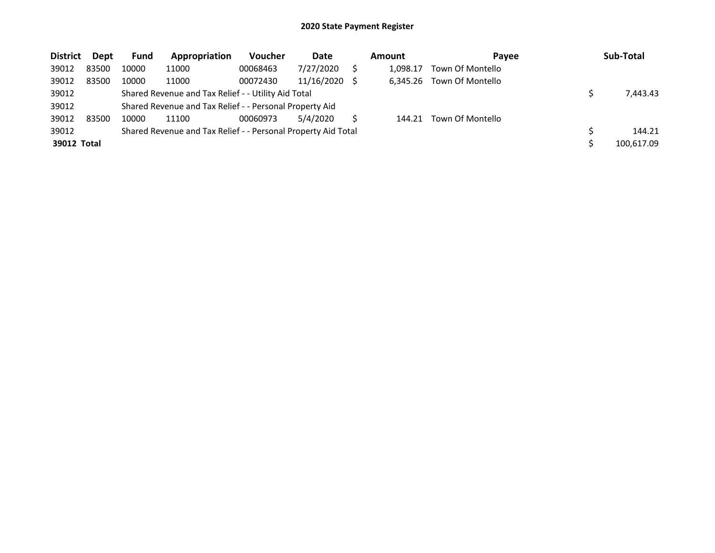| <b>District</b> | Dept  | Fund  | Appropriation                                                 | <b>Voucher</b> | Date       | <b>Amount</b> | Payee            | Sub-Total  |
|-----------------|-------|-------|---------------------------------------------------------------|----------------|------------|---------------|------------------|------------|
| 39012           | 83500 | 10000 | 11000                                                         | 00068463       | 7/27/2020  | 1.098.17      | Town Of Montello |            |
| 39012           | 83500 | 10000 | 11000                                                         | 00072430       | 11/16/2020 | 6.345.26      | Town Of Montello |            |
| 39012           |       |       | Shared Revenue and Tax Relief - - Utility Aid Total           |                |            |               |                  | 7,443.43   |
| 39012           |       |       | Shared Revenue and Tax Relief - - Personal Property Aid       |                |            |               |                  |            |
| 39012           | 83500 | 10000 | 11100                                                         | 00060973       | 5/4/2020   | 144.21        | Town Of Montello |            |
| 39012           |       |       | Shared Revenue and Tax Relief - - Personal Property Aid Total |                |            |               |                  | 144.21     |
| 39012 Total     |       |       |                                                               |                |            |               |                  | 100.617.09 |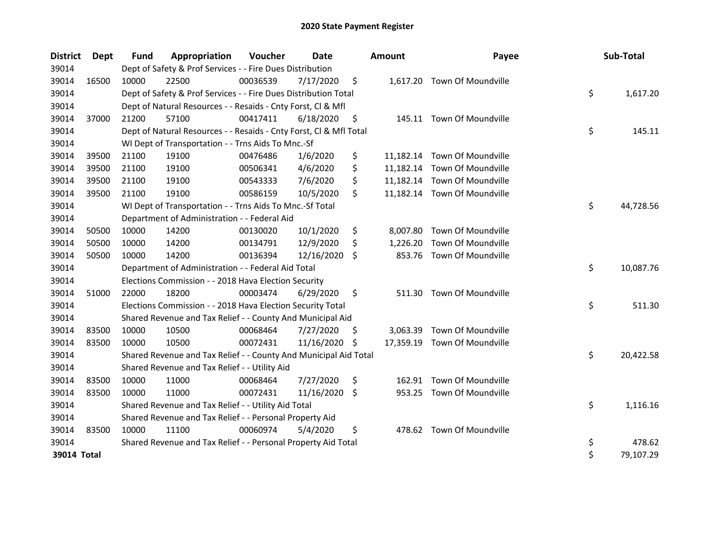| <b>District</b> | Dept  | <b>Fund</b> | Appropriation                                                      | Voucher  | Date       |     | <b>Amount</b> | Payee                        | Sub-Total       |
|-----------------|-------|-------------|--------------------------------------------------------------------|----------|------------|-----|---------------|------------------------------|-----------------|
| 39014           |       |             | Dept of Safety & Prof Services - - Fire Dues Distribution          |          |            |     |               |                              |                 |
| 39014           | 16500 | 10000       | 22500                                                              | 00036539 | 7/17/2020  | \$  |               | 1,617.20 Town Of Moundville  |                 |
| 39014           |       |             | Dept of Safety & Prof Services - - Fire Dues Distribution Total    |          |            |     |               |                              | \$<br>1,617.20  |
| 39014           |       |             | Dept of Natural Resources - - Resaids - Cnty Forst, Cl & Mfl       |          |            |     |               |                              |                 |
| 39014           | 37000 | 21200       | 57100                                                              | 00417411 | 6/18/2020  | \$  |               | 145.11 Town Of Moundville    |                 |
| 39014           |       |             | Dept of Natural Resources - - Resaids - Cnty Forst, CI & Mfl Total |          |            |     |               |                              | \$<br>145.11    |
| 39014           |       |             | WI Dept of Transportation - - Trns Aids To Mnc.-Sf                 |          |            |     |               |                              |                 |
| 39014           | 39500 | 21100       | 19100                                                              | 00476486 | 1/6/2020   | \$  |               | 11,182.14 Town Of Moundville |                 |
| 39014           | 39500 | 21100       | 19100                                                              | 00506341 | 4/6/2020   | \$  |               | 11,182.14 Town Of Moundville |                 |
| 39014           | 39500 | 21100       | 19100                                                              | 00543333 | 7/6/2020   | \$  |               | 11,182.14 Town Of Moundville |                 |
| 39014           | 39500 | 21100       | 19100                                                              | 00586159 | 10/5/2020  | \$  |               | 11,182.14 Town Of Moundville |                 |
| 39014           |       |             | WI Dept of Transportation - - Trns Aids To Mnc.-Sf Total           |          |            |     |               |                              | \$<br>44,728.56 |
| 39014           |       |             | Department of Administration - - Federal Aid                       |          |            |     |               |                              |                 |
| 39014           | 50500 | 10000       | 14200                                                              | 00130020 | 10/1/2020  | \$  |               | 8,007.80 Town Of Moundville  |                 |
| 39014           | 50500 | 10000       | 14200                                                              | 00134791 | 12/9/2020  | \$  | 1,226.20      | Town Of Moundville           |                 |
| 39014           | 50500 | 10000       | 14200                                                              | 00136394 | 12/16/2020 | \$  |               | 853.76 Town Of Moundville    |                 |
| 39014           |       |             | Department of Administration - - Federal Aid Total                 |          |            |     |               |                              | \$<br>10,087.76 |
| 39014           |       |             | Elections Commission - - 2018 Hava Election Security               |          |            |     |               |                              |                 |
| 39014           | 51000 | 22000       | 18200                                                              | 00003474 | 6/29/2020  | \$  | 511.30        | Town Of Moundville           |                 |
| 39014           |       |             | Elections Commission - - 2018 Hava Election Security Total         |          |            |     |               |                              | \$<br>511.30    |
| 39014           |       |             | Shared Revenue and Tax Relief - - County And Municipal Aid         |          |            |     |               |                              |                 |
| 39014           | 83500 | 10000       | 10500                                                              | 00068464 | 7/27/2020  | S   | 3,063.39      | Town Of Moundville           |                 |
| 39014           | 83500 | 10000       | 10500                                                              | 00072431 | 11/16/2020 | -\$ |               | 17,359.19 Town Of Moundville |                 |
| 39014           |       |             | Shared Revenue and Tax Relief - - County And Municipal Aid Total   |          |            |     |               |                              | \$<br>20,422.58 |
| 39014           |       |             | Shared Revenue and Tax Relief - - Utility Aid                      |          |            |     |               |                              |                 |
| 39014           | 83500 | 10000       | 11000                                                              | 00068464 | 7/27/2020  | \$  | 162.91        | Town Of Moundville           |                 |
| 39014           | 83500 | 10000       | 11000                                                              | 00072431 | 11/16/2020 | \$  | 953.25        | Town Of Moundville           |                 |
| 39014           |       |             | Shared Revenue and Tax Relief - - Utility Aid Total                |          |            |     |               |                              | \$<br>1,116.16  |
| 39014           |       |             | Shared Revenue and Tax Relief - - Personal Property Aid            |          |            |     |               |                              |                 |
| 39014           | 83500 | 10000       | 11100                                                              | 00060974 | 5/4/2020   | \$  |               | 478.62 Town Of Moundville    |                 |
| 39014           |       |             | Shared Revenue and Tax Relief - - Personal Property Aid Total      |          |            |     |               |                              | \$<br>478.62    |
| 39014 Total     |       |             |                                                                    |          |            |     |               |                              | \$<br>79,107.29 |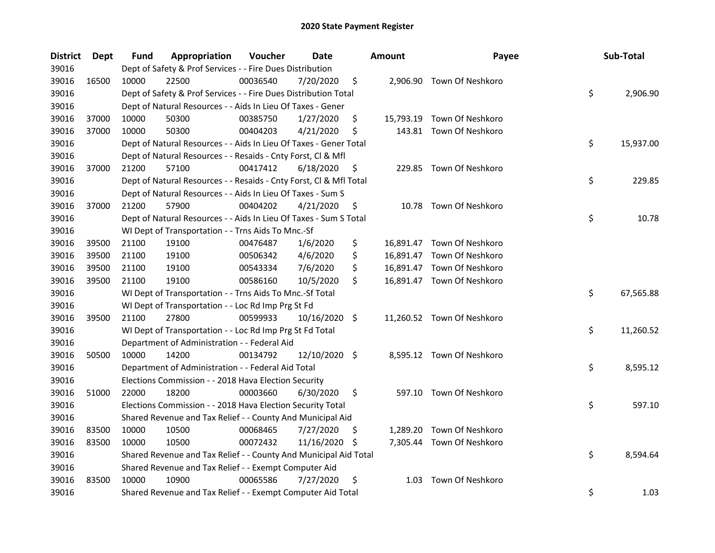| District | <b>Dept</b> | Fund  | Appropriation                                                      | Voucher  | Date            |     | <b>Amount</b> | Payee                      | Sub-Total       |
|----------|-------------|-------|--------------------------------------------------------------------|----------|-----------------|-----|---------------|----------------------------|-----------------|
| 39016    |             |       | Dept of Safety & Prof Services - - Fire Dues Distribution          |          |                 |     |               |                            |                 |
| 39016    | 16500       | 10000 | 22500                                                              | 00036540 | 7/20/2020       | \$  |               | 2,906.90 Town Of Neshkoro  |                 |
| 39016    |             |       | Dept of Safety & Prof Services - - Fire Dues Distribution Total    |          |                 |     |               |                            | \$<br>2,906.90  |
| 39016    |             |       | Dept of Natural Resources - - Aids In Lieu Of Taxes - Gener        |          |                 |     |               |                            |                 |
| 39016    | 37000       | 10000 | 50300                                                              | 00385750 | 1/27/2020       | \$  |               | 15,793.19 Town Of Neshkoro |                 |
| 39016    | 37000       | 10000 | 50300                                                              | 00404203 | 4/21/2020       | \$  |               | 143.81 Town Of Neshkoro    |                 |
| 39016    |             |       | Dept of Natural Resources - - Aids In Lieu Of Taxes - Gener Total  |          |                 |     |               |                            | \$<br>15,937.00 |
| 39016    |             |       | Dept of Natural Resources - - Resaids - Cnty Forst, Cl & Mfl       |          |                 |     |               |                            |                 |
| 39016    | 37000       | 21200 | 57100                                                              | 00417412 | 6/18/2020       | \$  |               | 229.85 Town Of Neshkoro    |                 |
| 39016    |             |       | Dept of Natural Resources - - Resaids - Cnty Forst, Cl & Mfl Total |          |                 |     |               |                            | \$<br>229.85    |
| 39016    |             |       | Dept of Natural Resources - - Aids In Lieu Of Taxes - Sum S        |          |                 |     |               |                            |                 |
| 39016    | 37000       | 21200 | 57900                                                              | 00404202 | 4/21/2020       | \$  |               | 10.78 Town Of Neshkoro     |                 |
| 39016    |             |       | Dept of Natural Resources - - Aids In Lieu Of Taxes - Sum S Total  |          |                 |     |               |                            | \$<br>10.78     |
| 39016    |             |       | WI Dept of Transportation - - Trns Aids To Mnc.-Sf                 |          |                 |     |               |                            |                 |
| 39016    | 39500       | 21100 | 19100                                                              | 00476487 | 1/6/2020        | \$  |               | 16,891.47 Town Of Neshkoro |                 |
| 39016    | 39500       | 21100 | 19100                                                              | 00506342 | 4/6/2020        | \$  |               | 16,891.47 Town Of Neshkoro |                 |
| 39016    | 39500       | 21100 | 19100                                                              | 00543334 | 7/6/2020        | \$  |               | 16,891.47 Town Of Neshkoro |                 |
| 39016    | 39500       | 21100 | 19100                                                              | 00586160 | 10/5/2020       | \$  |               | 16,891.47 Town Of Neshkoro |                 |
| 39016    |             |       | WI Dept of Transportation - - Trns Aids To Mnc.-Sf Total           |          |                 |     |               |                            | \$<br>67,565.88 |
| 39016    |             |       | WI Dept of Transportation - - Loc Rd Imp Prg St Fd                 |          |                 |     |               |                            |                 |
| 39016    | 39500       | 21100 | 27800                                                              | 00599933 | $10/16/2020$ \$ |     |               | 11,260.52 Town Of Neshkoro |                 |
| 39016    |             |       | WI Dept of Transportation - - Loc Rd Imp Prg St Fd Total           |          |                 |     |               |                            | \$<br>11,260.52 |
| 39016    |             |       | Department of Administration - - Federal Aid                       |          |                 |     |               |                            |                 |
| 39016    | 50500       | 10000 | 14200                                                              | 00134792 | 12/10/2020 \$   |     |               | 8,595.12 Town Of Neshkoro  |                 |
| 39016    |             |       | Department of Administration - - Federal Aid Total                 |          |                 |     |               |                            | \$<br>8,595.12  |
| 39016    |             |       | Elections Commission - - 2018 Hava Election Security               |          |                 |     |               |                            |                 |
| 39016    | 51000       | 22000 | 18200                                                              | 00003660 | 6/30/2020       | \$  |               | 597.10 Town Of Neshkoro    |                 |
| 39016    |             |       | Elections Commission - - 2018 Hava Election Security Total         |          |                 |     |               |                            | \$<br>597.10    |
| 39016    |             |       | Shared Revenue and Tax Relief - - County And Municipal Aid         |          |                 |     |               |                            |                 |
| 39016    | 83500       | 10000 | 10500                                                              | 00068465 | 7/27/2020       | \$. |               | 1,289.20 Town Of Neshkoro  |                 |
| 39016    | 83500       | 10000 | 10500                                                              | 00072432 | 11/16/2020 \$   |     |               | 7,305.44 Town Of Neshkoro  |                 |
| 39016    |             |       | Shared Revenue and Tax Relief - - County And Municipal Aid Total   |          |                 |     |               |                            | \$<br>8,594.64  |
| 39016    |             |       | Shared Revenue and Tax Relief - - Exempt Computer Aid              |          |                 |     |               |                            |                 |
| 39016    | 83500       | 10000 | 10900                                                              | 00065586 | 7/27/2020       | \$  | 1.03          | Town Of Neshkoro           |                 |
| 39016    |             |       | Shared Revenue and Tax Relief - - Exempt Computer Aid Total        |          |                 |     |               |                            | \$<br>1.03      |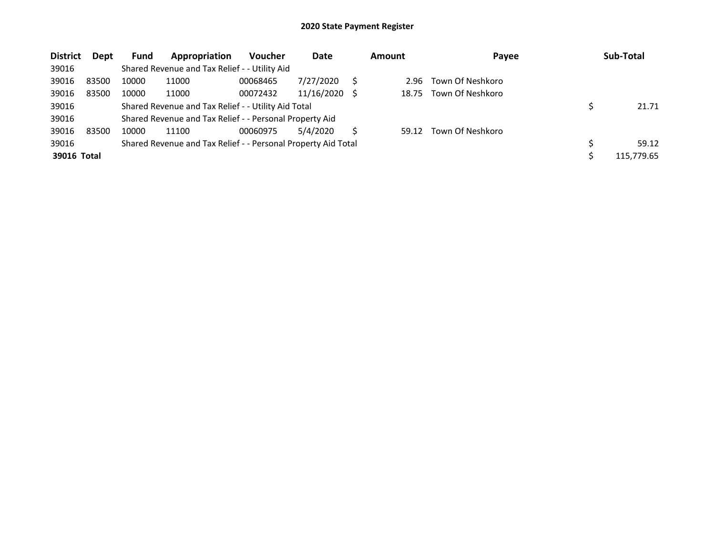| <b>District</b> | Dept  | <b>Fund</b> | Appropriation                                                 | <b>Voucher</b> | Date       | <b>Amount</b> | Payee            | Sub-Total  |
|-----------------|-------|-------------|---------------------------------------------------------------|----------------|------------|---------------|------------------|------------|
| 39016           |       |             | Shared Revenue and Tax Relief - - Utility Aid                 |                |            |               |                  |            |
| 39016           | 83500 | 10000       | 11000                                                         | 00068465       | 7/27/2020  | 2.96          | Town Of Neshkoro |            |
| 39016           | 83500 | 10000       | 11000                                                         | 00072432       | 11/16/2020 | 18.75         | Town Of Neshkoro |            |
| 39016           |       |             | Shared Revenue and Tax Relief - - Utility Aid Total           |                |            |               |                  | 21.71      |
| 39016           |       |             | Shared Revenue and Tax Relief - - Personal Property Aid       |                |            |               |                  |            |
| 39016           | 83500 | 10000       | 11100                                                         | 00060975       | 5/4/2020   | 59.12         | Town Of Neshkoro |            |
| 39016           |       |             | Shared Revenue and Tax Relief - - Personal Property Aid Total |                |            |               |                  | 59.12      |
| 39016 Total     |       |             |                                                               |                |            |               |                  | 115,779.65 |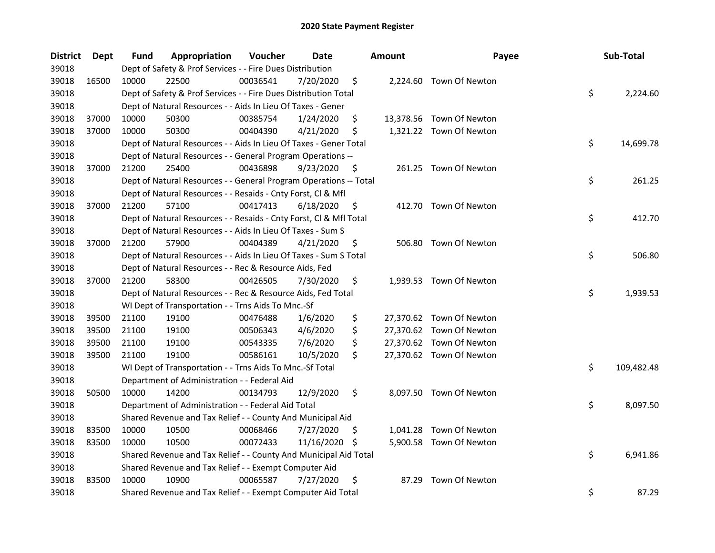| <b>District</b> | Dept  | <b>Fund</b> | Appropriation                                                      | Voucher  | Date       |     | <b>Amount</b> | Payee                    | Sub-Total        |
|-----------------|-------|-------------|--------------------------------------------------------------------|----------|------------|-----|---------------|--------------------------|------------------|
| 39018           |       |             | Dept of Safety & Prof Services - - Fire Dues Distribution          |          |            |     |               |                          |                  |
| 39018           | 16500 | 10000       | 22500                                                              | 00036541 | 7/20/2020  | \$  |               | 2,224.60 Town Of Newton  |                  |
| 39018           |       |             | Dept of Safety & Prof Services - - Fire Dues Distribution Total    |          |            |     |               |                          | \$<br>2,224.60   |
| 39018           |       |             | Dept of Natural Resources - - Aids In Lieu Of Taxes - Gener        |          |            |     |               |                          |                  |
| 39018           | 37000 | 10000       | 50300                                                              | 00385754 | 1/24/2020  | \$  |               | 13,378.56 Town Of Newton |                  |
| 39018           | 37000 | 10000       | 50300                                                              | 00404390 | 4/21/2020  | \$  |               | 1,321.22 Town Of Newton  |                  |
| 39018           |       |             | Dept of Natural Resources - - Aids In Lieu Of Taxes - Gener Total  |          |            |     |               |                          | \$<br>14,699.78  |
| 39018           |       |             | Dept of Natural Resources - - General Program Operations --        |          |            |     |               |                          |                  |
| 39018           | 37000 | 21200       | 25400                                                              | 00436898 | 9/23/2020  | \$  |               | 261.25 Town Of Newton    |                  |
| 39018           |       |             | Dept of Natural Resources - - General Program Operations -- Total  |          |            |     |               |                          | \$<br>261.25     |
| 39018           |       |             | Dept of Natural Resources - - Resaids - Cnty Forst, Cl & Mfl       |          |            |     |               |                          |                  |
| 39018           | 37000 | 21200       | 57100                                                              | 00417413 | 6/18/2020  | \$. |               | 412.70 Town Of Newton    |                  |
| 39018           |       |             | Dept of Natural Resources - - Resaids - Cnty Forst, Cl & Mfl Total |          |            |     |               |                          | \$<br>412.70     |
| 39018           |       |             | Dept of Natural Resources - - Aids In Lieu Of Taxes - Sum S        |          |            |     |               |                          |                  |
| 39018           | 37000 | 21200       | 57900                                                              | 00404389 | 4/21/2020  | \$, | 506.80        | Town Of Newton           |                  |
| 39018           |       |             | Dept of Natural Resources - - Aids In Lieu Of Taxes - Sum S Total  |          |            |     |               |                          | \$<br>506.80     |
| 39018           |       |             | Dept of Natural Resources - - Rec & Resource Aids, Fed             |          |            |     |               |                          |                  |
| 39018           | 37000 | 21200       | 58300                                                              | 00426505 | 7/30/2020  | \$  |               | 1,939.53 Town Of Newton  |                  |
| 39018           |       |             | Dept of Natural Resources - - Rec & Resource Aids, Fed Total       |          |            |     |               |                          | \$<br>1,939.53   |
| 39018           |       |             | WI Dept of Transportation - - Trns Aids To Mnc.-Sf                 |          |            |     |               |                          |                  |
| 39018           | 39500 | 21100       | 19100                                                              | 00476488 | 1/6/2020   | \$  |               | 27,370.62 Town Of Newton |                  |
| 39018           | 39500 | 21100       | 19100                                                              | 00506343 | 4/6/2020   | \$  |               | 27,370.62 Town Of Newton |                  |
| 39018           | 39500 | 21100       | 19100                                                              | 00543335 | 7/6/2020   | \$  |               | 27,370.62 Town Of Newton |                  |
| 39018           | 39500 | 21100       | 19100                                                              | 00586161 | 10/5/2020  | \$  |               | 27,370.62 Town Of Newton |                  |
| 39018           |       |             | WI Dept of Transportation - - Trns Aids To Mnc.-Sf Total           |          |            |     |               |                          | \$<br>109,482.48 |
| 39018           |       |             | Department of Administration - - Federal Aid                       |          |            |     |               |                          |                  |
| 39018           | 50500 | 10000       | 14200                                                              | 00134793 | 12/9/2020  | \$  |               | 8,097.50 Town Of Newton  |                  |
| 39018           |       |             | Department of Administration - - Federal Aid Total                 |          |            |     |               |                          | \$<br>8,097.50   |
| 39018           |       |             | Shared Revenue and Tax Relief - - County And Municipal Aid         |          |            |     |               |                          |                  |
| 39018           | 83500 | 10000       | 10500                                                              | 00068466 | 7/27/2020  | \$  |               | 1,041.28 Town Of Newton  |                  |
| 39018           | 83500 | 10000       | 10500                                                              | 00072433 | 11/16/2020 | \$. |               | 5,900.58 Town Of Newton  |                  |
| 39018           |       |             | Shared Revenue and Tax Relief - - County And Municipal Aid Total   |          |            |     |               |                          | \$<br>6,941.86   |
| 39018           |       |             | Shared Revenue and Tax Relief - - Exempt Computer Aid              |          |            |     |               |                          |                  |
| 39018           | 83500 | 10000       | 10900                                                              | 00065587 | 7/27/2020  | \$  | 87.29         | Town Of Newton           |                  |
| 39018           |       |             | Shared Revenue and Tax Relief - - Exempt Computer Aid Total        |          |            |     |               |                          | \$<br>87.29      |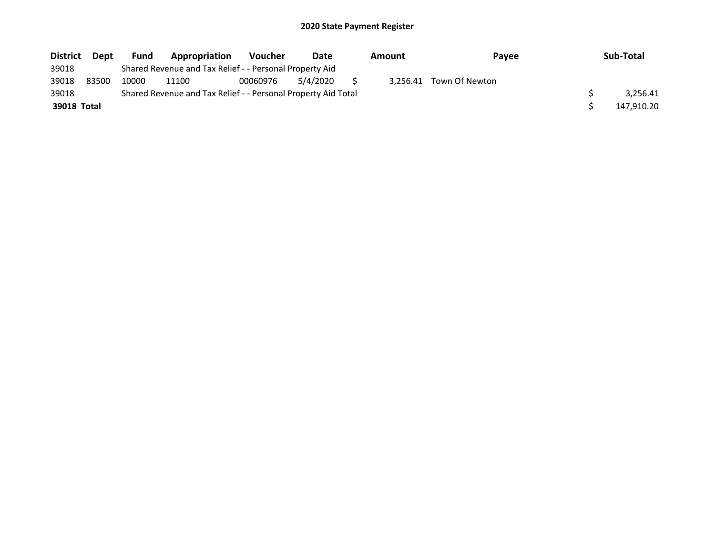| <b>District</b> | <b>Dept</b> | <b>Fund</b> | Appropriation                                                 | <b>Voucher</b> | Date     | Amount |  | <b>Pavee</b>            | Sub-Total  |
|-----------------|-------------|-------------|---------------------------------------------------------------|----------------|----------|--------|--|-------------------------|------------|
| 39018           |             |             | Shared Revenue and Tax Relief - - Personal Property Aid       |                |          |        |  |                         |            |
| 39018           | 83500       | 10000       | 11100                                                         | 00060976       | 5/4/2020 |        |  | 3.256.41 Town Of Newton |            |
| 39018           |             |             | Shared Revenue and Tax Relief - - Personal Property Aid Total |                |          |        |  |                         | 3.256.41   |
| 39018 Total     |             |             |                                                               |                |          |        |  |                         | 147.910.20 |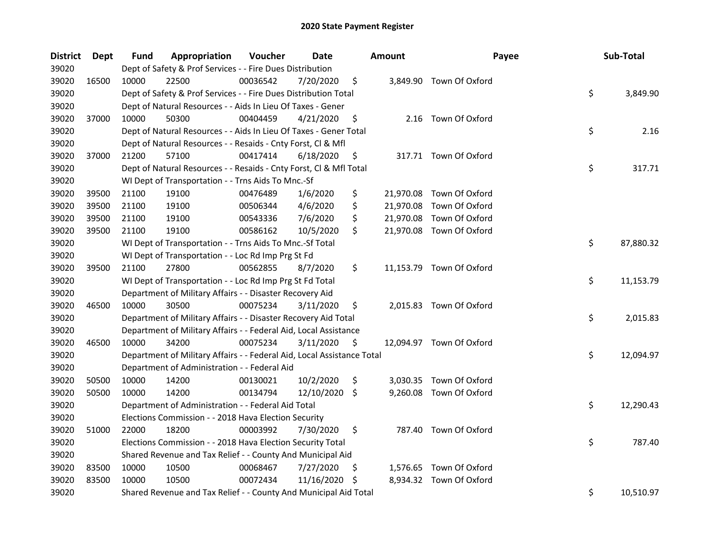| <b>District</b> | <b>Dept</b> | Fund  | Appropriation                                                          | Voucher  | Date       |     | <b>Amount</b> | Payee                    | Sub-Total       |
|-----------------|-------------|-------|------------------------------------------------------------------------|----------|------------|-----|---------------|--------------------------|-----------------|
| 39020           |             |       | Dept of Safety & Prof Services - - Fire Dues Distribution              |          |            |     |               |                          |                 |
| 39020           | 16500       | 10000 | 22500                                                                  | 00036542 | 7/20/2020  | \$  |               | 3,849.90 Town Of Oxford  |                 |
| 39020           |             |       | Dept of Safety & Prof Services - - Fire Dues Distribution Total        |          |            |     |               |                          | \$<br>3,849.90  |
| 39020           |             |       | Dept of Natural Resources - - Aids In Lieu Of Taxes - Gener            |          |            |     |               |                          |                 |
| 39020           | 37000       | 10000 | 50300                                                                  | 00404459 | 4/21/2020  | \$  |               | 2.16 Town Of Oxford      |                 |
| 39020           |             |       | Dept of Natural Resources - - Aids In Lieu Of Taxes - Gener Total      |          |            |     |               |                          | \$<br>2.16      |
| 39020           |             |       | Dept of Natural Resources - - Resaids - Cnty Forst, Cl & Mfl           |          |            |     |               |                          |                 |
| 39020           | 37000       | 21200 | 57100                                                                  | 00417414 | 6/18/2020  | \$  |               | 317.71 Town Of Oxford    |                 |
| 39020           |             |       | Dept of Natural Resources - - Resaids - Cnty Forst, Cl & Mfl Total     |          |            |     |               |                          | \$<br>317.71    |
| 39020           |             |       | WI Dept of Transportation - - Trns Aids To Mnc.-Sf                     |          |            |     |               |                          |                 |
| 39020           | 39500       | 21100 | 19100                                                                  | 00476489 | 1/6/2020   | \$  |               | 21,970.08 Town Of Oxford |                 |
| 39020           | 39500       | 21100 | 19100                                                                  | 00506344 | 4/6/2020   | \$  |               | 21,970.08 Town Of Oxford |                 |
| 39020           | 39500       | 21100 | 19100                                                                  | 00543336 | 7/6/2020   | \$  |               | 21,970.08 Town Of Oxford |                 |
| 39020           | 39500       | 21100 | 19100                                                                  | 00586162 | 10/5/2020  | \$  |               | 21,970.08 Town Of Oxford |                 |
| 39020           |             |       | WI Dept of Transportation - - Trns Aids To Mnc.-Sf Total               |          |            |     |               |                          | \$<br>87,880.32 |
| 39020           |             |       | WI Dept of Transportation - - Loc Rd Imp Prg St Fd                     |          |            |     |               |                          |                 |
| 39020           | 39500       | 21100 | 27800                                                                  | 00562855 | 8/7/2020   | \$  |               | 11,153.79 Town Of Oxford |                 |
| 39020           |             |       | WI Dept of Transportation - - Loc Rd Imp Prg St Fd Total               |          |            |     |               |                          | \$<br>11,153.79 |
| 39020           |             |       | Department of Military Affairs - - Disaster Recovery Aid               |          |            |     |               |                          |                 |
| 39020           | 46500       | 10000 | 30500                                                                  | 00075234 | 3/11/2020  | \$  |               | 2,015.83 Town Of Oxford  |                 |
| 39020           |             |       | Department of Military Affairs - - Disaster Recovery Aid Total         |          |            |     |               |                          | \$<br>2,015.83  |
| 39020           |             |       | Department of Military Affairs - - Federal Aid, Local Assistance       |          |            |     |               |                          |                 |
| 39020           | 46500       | 10000 | 34200                                                                  | 00075234 | 3/11/2020  | \$  |               | 12,094.97 Town Of Oxford |                 |
| 39020           |             |       | Department of Military Affairs - - Federal Aid, Local Assistance Total |          |            |     |               |                          | \$<br>12,094.97 |
| 39020           |             |       | Department of Administration - - Federal Aid                           |          |            |     |               |                          |                 |
| 39020           | 50500       | 10000 | 14200                                                                  | 00130021 | 10/2/2020  | \$  |               | 3,030.35 Town Of Oxford  |                 |
| 39020           | 50500       | 10000 | 14200                                                                  | 00134794 | 12/10/2020 | \$  |               | 9,260.08 Town Of Oxford  |                 |
| 39020           |             |       | Department of Administration - - Federal Aid Total                     |          |            |     |               |                          | \$<br>12,290.43 |
| 39020           |             |       | Elections Commission - - 2018 Hava Election Security                   |          |            |     |               |                          |                 |
| 39020           | 51000       | 22000 | 18200                                                                  | 00003992 | 7/30/2020  | \$  |               | 787.40 Town Of Oxford    |                 |
| 39020           |             |       | Elections Commission - - 2018 Hava Election Security Total             |          |            |     |               |                          | \$<br>787.40    |
| 39020           |             |       | Shared Revenue and Tax Relief - - County And Municipal Aid             |          |            |     |               |                          |                 |
| 39020           | 83500       | 10000 | 10500                                                                  | 00068467 | 7/27/2020  | \$  |               | 1,576.65 Town Of Oxford  |                 |
| 39020           | 83500       | 10000 | 10500                                                                  | 00072434 | 11/16/2020 | \$. | 8,934.32      | Town Of Oxford           |                 |
| 39020           |             |       | Shared Revenue and Tax Relief - - County And Municipal Aid Total       |          |            |     |               |                          | \$<br>10,510.97 |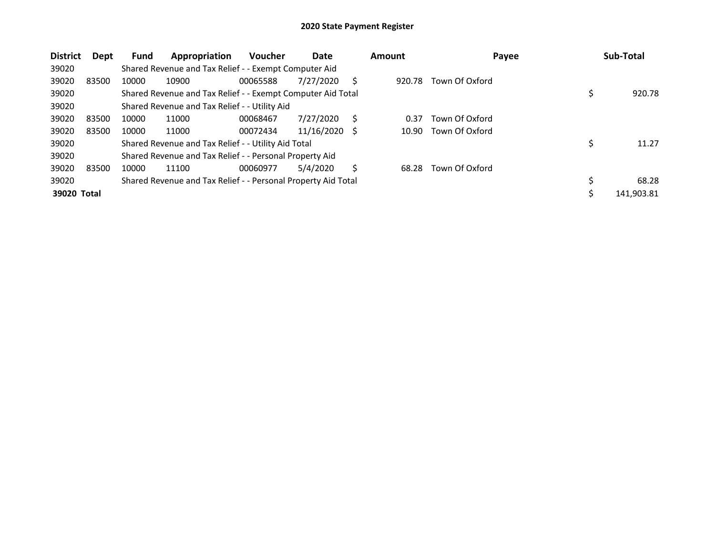| <b>District</b> | Dept  | <b>Fund</b> | Appropriation                                                 | <b>Voucher</b> | Date       |     | Amount | Payee          | Sub-Total   |
|-----------------|-------|-------------|---------------------------------------------------------------|----------------|------------|-----|--------|----------------|-------------|
| 39020           |       |             | Shared Revenue and Tax Relief - - Exempt Computer Aid         |                |            |     |        |                |             |
| 39020           | 83500 | 10000       | 10900                                                         | 00065588       | 7/27/2020  | S   | 920.78 | Town Of Oxford |             |
| 39020           |       |             | Shared Revenue and Tax Relief - - Exempt Computer Aid Total   |                |            |     |        |                | 920.78      |
| 39020           |       |             | Shared Revenue and Tax Relief - - Utility Aid                 |                |            |     |        |                |             |
| 39020           | 83500 | 10000       | 11000                                                         | 00068467       | 7/27/2020  | S   | 0.37   | Town Of Oxford |             |
| 39020           | 83500 | 10000       | 11000                                                         | 00072434       | 11/16/2020 | - S | 10.90  | Town Of Oxford |             |
| 39020           |       |             | Shared Revenue and Tax Relief - - Utility Aid Total           |                |            |     |        |                | 11.27       |
| 39020           |       |             | Shared Revenue and Tax Relief - - Personal Property Aid       |                |            |     |        |                |             |
| 39020           | 83500 | 10000       | 11100                                                         | 00060977       | 5/4/2020   | S.  | 68.28  | Town Of Oxford |             |
| 39020           |       |             | Shared Revenue and Tax Relief - - Personal Property Aid Total |                |            |     |        |                | \$<br>68.28 |
| 39020 Total     |       |             |                                                               |                |            |     |        |                | 141,903.81  |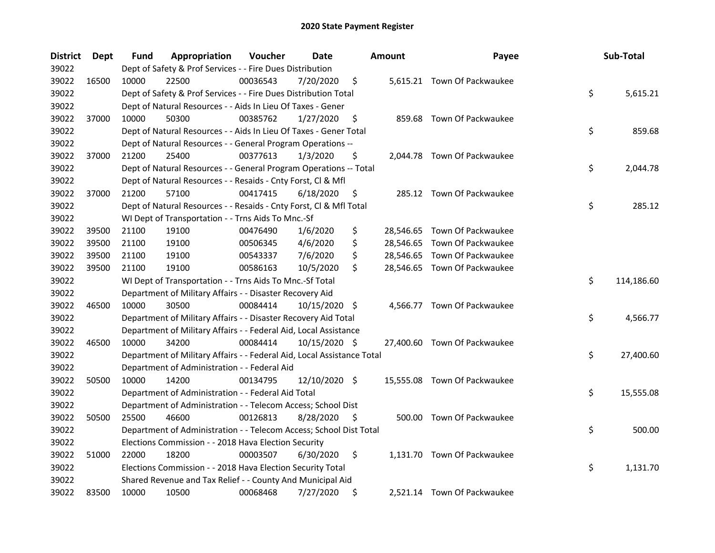| <b>District</b> | Dept  | Fund  | Appropriation                                                          | Voucher  | Date          |     | <b>Amount</b> | Payee                        | Sub-Total        |
|-----------------|-------|-------|------------------------------------------------------------------------|----------|---------------|-----|---------------|------------------------------|------------------|
| 39022           |       |       | Dept of Safety & Prof Services - - Fire Dues Distribution              |          |               |     |               |                              |                  |
| 39022           | 16500 | 10000 | 22500                                                                  | 00036543 | 7/20/2020     | \$  |               | 5,615.21 Town Of Packwaukee  |                  |
| 39022           |       |       | Dept of Safety & Prof Services - - Fire Dues Distribution Total        |          |               |     |               |                              | \$<br>5,615.21   |
| 39022           |       |       | Dept of Natural Resources - - Aids In Lieu Of Taxes - Gener            |          |               |     |               |                              |                  |
| 39022           | 37000 | 10000 | 50300                                                                  | 00385762 | 1/27/2020     | \$  |               | 859.68 Town Of Packwaukee    |                  |
| 39022           |       |       | Dept of Natural Resources - - Aids In Lieu Of Taxes - Gener Total      |          |               |     |               |                              | \$<br>859.68     |
| 39022           |       |       | Dept of Natural Resources - - General Program Operations --            |          |               |     |               |                              |                  |
| 39022           | 37000 | 21200 | 25400                                                                  | 00377613 | 1/3/2020      | \$  |               | 2,044.78 Town Of Packwaukee  |                  |
| 39022           |       |       | Dept of Natural Resources - - General Program Operations -- Total      |          |               |     |               |                              | \$<br>2,044.78   |
| 39022           |       |       | Dept of Natural Resources - - Resaids - Cnty Forst, Cl & Mfl           |          |               |     |               |                              |                  |
| 39022           | 37000 | 21200 | 57100                                                                  | 00417415 | 6/18/2020     | \$  |               | 285.12 Town Of Packwaukee    |                  |
| 39022           |       |       | Dept of Natural Resources - - Resaids - Cnty Forst, Cl & Mfl Total     |          |               |     |               |                              | \$<br>285.12     |
| 39022           |       |       | WI Dept of Transportation - - Trns Aids To Mnc.-Sf                     |          |               |     |               |                              |                  |
| 39022           | 39500 | 21100 | 19100                                                                  | 00476490 | 1/6/2020      | \$  |               | 28,546.65 Town Of Packwaukee |                  |
| 39022           | 39500 | 21100 | 19100                                                                  | 00506345 | 4/6/2020      | \$  |               | 28,546.65 Town Of Packwaukee |                  |
| 39022           | 39500 | 21100 | 19100                                                                  | 00543337 | 7/6/2020      | \$  |               | 28,546.65 Town Of Packwaukee |                  |
| 39022           | 39500 | 21100 | 19100                                                                  | 00586163 | 10/5/2020     | \$  |               | 28,546.65 Town Of Packwaukee |                  |
| 39022           |       |       | WI Dept of Transportation - - Trns Aids To Mnc.-Sf Total               |          |               |     |               |                              | \$<br>114,186.60 |
| 39022           |       |       | Department of Military Affairs - - Disaster Recovery Aid               |          |               |     |               |                              |                  |
| 39022           | 46500 | 10000 | 30500                                                                  | 00084414 | 10/15/2020    | -\$ |               | 4,566.77 Town Of Packwaukee  |                  |
| 39022           |       |       | Department of Military Affairs - - Disaster Recovery Aid Total         |          |               |     |               |                              | \$<br>4,566.77   |
| 39022           |       |       | Department of Military Affairs - - Federal Aid, Local Assistance       |          |               |     |               |                              |                  |
| 39022           | 46500 | 10000 | 34200                                                                  | 00084414 | 10/15/2020 \$ |     |               | 27,400.60 Town Of Packwaukee |                  |
| 39022           |       |       | Department of Military Affairs - - Federal Aid, Local Assistance Total |          |               |     |               |                              | \$<br>27,400.60  |
| 39022           |       |       | Department of Administration - - Federal Aid                           |          |               |     |               |                              |                  |
| 39022           | 50500 | 10000 | 14200                                                                  | 00134795 | 12/10/2020 \$ |     |               | 15,555.08 Town Of Packwaukee |                  |
| 39022           |       |       | Department of Administration - - Federal Aid Total                     |          |               |     |               |                              | \$<br>15,555.08  |
| 39022           |       |       | Department of Administration - - Telecom Access; School Dist           |          |               |     |               |                              |                  |
| 39022           | 50500 | 25500 | 46600                                                                  | 00126813 | 8/28/2020     | \$  |               | 500.00 Town Of Packwaukee    |                  |
| 39022           |       |       | Department of Administration - - Telecom Access; School Dist Total     |          |               |     |               |                              | \$<br>500.00     |
| 39022           |       |       | Elections Commission - - 2018 Hava Election Security                   |          |               |     |               |                              |                  |
| 39022           | 51000 | 22000 | 18200                                                                  | 00003507 | 6/30/2020     | \$  |               | 1,131.70 Town Of Packwaukee  |                  |
| 39022           |       |       | Elections Commission - - 2018 Hava Election Security Total             |          |               |     |               |                              | \$<br>1,131.70   |
| 39022           |       |       | Shared Revenue and Tax Relief - - County And Municipal Aid             |          |               |     |               |                              |                  |
| 39022           | 83500 | 10000 | 10500                                                                  | 00068468 | 7/27/2020     | \$  |               | 2,521.14 Town Of Packwaukee  |                  |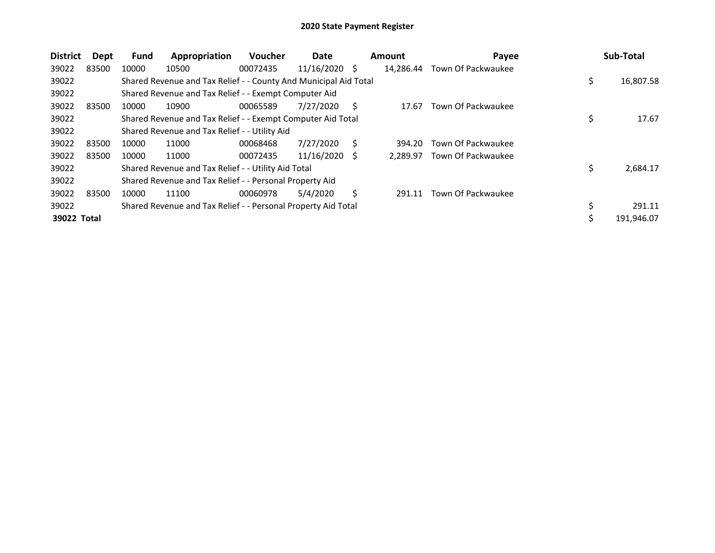| <b>District</b> | <b>Dept</b> | <b>Fund</b> | Appropriation                                                    | <b>Voucher</b> | Date            |   | <b>Amount</b> | Payee              |    | Sub-Total  |
|-----------------|-------------|-------------|------------------------------------------------------------------|----------------|-----------------|---|---------------|--------------------|----|------------|
| 39022           | 83500       | 10000       | 10500                                                            | 00072435       | $11/16/2020$ \$ |   | 14,286.44     | Town Of Packwaukee |    |            |
| 39022           |             |             | Shared Revenue and Tax Relief - - County And Municipal Aid Total |                |                 |   |               |                    | \$ | 16,807.58  |
| 39022           |             |             | Shared Revenue and Tax Relief - - Exempt Computer Aid            |                |                 |   |               |                    |    |            |
| 39022           | 83500       | 10000       | 10900                                                            | 00065589       | 7/27/2020       | S | 17.67         | Town Of Packwaukee |    |            |
| 39022           |             |             | Shared Revenue and Tax Relief - - Exempt Computer Aid Total      |                |                 |   |               |                    | Ş  | 17.67      |
| 39022           |             |             | Shared Revenue and Tax Relief - - Utility Aid                    |                |                 |   |               |                    |    |            |
| 39022           | 83500       | 10000       | 11000                                                            | 00068468       | 7/27/2020       | S | 394.20        | Town Of Packwaukee |    |            |
| 39022           | 83500       | 10000       | 11000                                                            | 00072435       | 11/16/2020      | S | 2.289.97      | Town Of Packwaukee |    |            |
| 39022           |             |             | Shared Revenue and Tax Relief - - Utility Aid Total              |                |                 |   |               |                    | \$ | 2,684.17   |
| 39022           |             |             | Shared Revenue and Tax Relief - - Personal Property Aid          |                |                 |   |               |                    |    |            |
| 39022           | 83500       | 10000       | 11100                                                            | 00060978       | 5/4/2020        | Ś | 291.11        | Town Of Packwaukee |    |            |
| 39022           |             |             | Shared Revenue and Tax Relief - - Personal Property Aid Total    |                |                 |   |               |                    |    | 291.11     |
| 39022 Total     |             |             |                                                                  |                |                 |   |               |                    | \$ | 191,946.07 |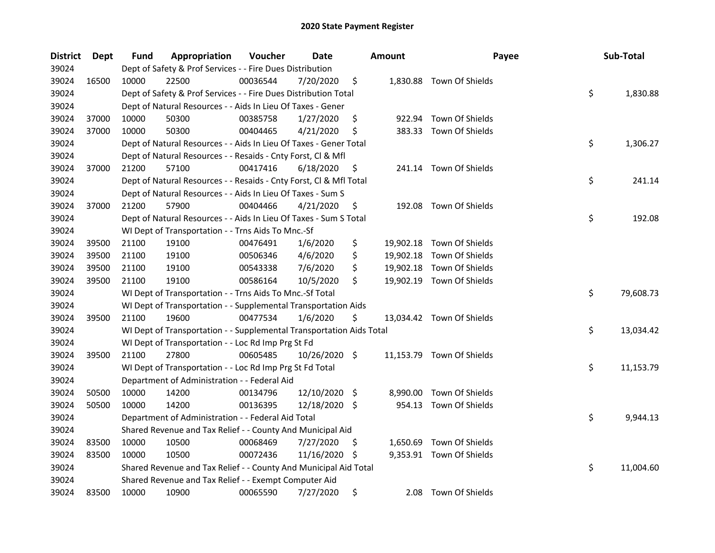| <b>District</b> | Dept  | Fund  | Appropriation                                                        | Voucher  | Date          |     | <b>Amount</b> | Payee                     | Sub-Total       |
|-----------------|-------|-------|----------------------------------------------------------------------|----------|---------------|-----|---------------|---------------------------|-----------------|
| 39024           |       |       | Dept of Safety & Prof Services - - Fire Dues Distribution            |          |               |     |               |                           |                 |
| 39024           | 16500 | 10000 | 22500                                                                | 00036544 | 7/20/2020     | \$  |               | 1,830.88 Town Of Shields  |                 |
| 39024           |       |       | Dept of Safety & Prof Services - - Fire Dues Distribution Total      |          |               |     |               |                           | \$<br>1,830.88  |
| 39024           |       |       | Dept of Natural Resources - - Aids In Lieu Of Taxes - Gener          |          |               |     |               |                           |                 |
| 39024           | 37000 | 10000 | 50300                                                                | 00385758 | 1/27/2020     | \$  |               | 922.94 Town Of Shields    |                 |
| 39024           | 37000 | 10000 | 50300                                                                | 00404465 | 4/21/2020     | \$  |               | 383.33 Town Of Shields    |                 |
| 39024           |       |       | Dept of Natural Resources - - Aids In Lieu Of Taxes - Gener Total    |          |               |     |               |                           | \$<br>1,306.27  |
| 39024           |       |       | Dept of Natural Resources - - Resaids - Cnty Forst, Cl & Mfl         |          |               |     |               |                           |                 |
| 39024           | 37000 | 21200 | 57100                                                                | 00417416 | 6/18/2020     | \$  |               | 241.14 Town Of Shields    |                 |
| 39024           |       |       | Dept of Natural Resources - - Resaids - Cnty Forst, Cl & Mfl Total   |          |               |     |               |                           | \$<br>241.14    |
| 39024           |       |       | Dept of Natural Resources - - Aids In Lieu Of Taxes - Sum S          |          |               |     |               |                           |                 |
| 39024           | 37000 | 21200 | 57900                                                                | 00404466 | 4/21/2020     | \$. | 192.08        | Town Of Shields           |                 |
| 39024           |       |       | Dept of Natural Resources - - Aids In Lieu Of Taxes - Sum S Total    |          |               |     |               |                           | \$<br>192.08    |
| 39024           |       |       | WI Dept of Transportation - - Trns Aids To Mnc.-Sf                   |          |               |     |               |                           |                 |
| 39024           | 39500 | 21100 | 19100                                                                | 00476491 | 1/6/2020      | \$  |               | 19,902.18 Town Of Shields |                 |
| 39024           | 39500 | 21100 | 19100                                                                | 00506346 | 4/6/2020      | \$  |               | 19,902.18 Town Of Shields |                 |
| 39024           | 39500 | 21100 | 19100                                                                | 00543338 | 7/6/2020      | \$  |               | 19,902.18 Town Of Shields |                 |
| 39024           | 39500 | 21100 | 19100                                                                | 00586164 | 10/5/2020     | \$  |               | 19,902.19 Town Of Shields |                 |
| 39024           |       |       | WI Dept of Transportation - - Trns Aids To Mnc.-Sf Total             |          |               |     |               |                           | \$<br>79,608.73 |
| 39024           |       |       | WI Dept of Transportation - - Supplemental Transportation Aids       |          |               |     |               |                           |                 |
| 39024           | 39500 | 21100 | 19600                                                                | 00477534 | 1/6/2020      | \$  |               | 13,034.42 Town Of Shields |                 |
| 39024           |       |       | WI Dept of Transportation - - Supplemental Transportation Aids Total |          |               |     |               |                           | \$<br>13,034.42 |
| 39024           |       |       | WI Dept of Transportation - - Loc Rd Imp Prg St Fd                   |          |               |     |               |                           |                 |
| 39024           | 39500 | 21100 | 27800                                                                | 00605485 | 10/26/2020 \$ |     |               | 11,153.79 Town Of Shields |                 |
| 39024           |       |       | WI Dept of Transportation - - Loc Rd Imp Prg St Fd Total             |          |               |     |               |                           | \$<br>11,153.79 |
| 39024           |       |       | Department of Administration - - Federal Aid                         |          |               |     |               |                           |                 |
| 39024           | 50500 | 10000 | 14200                                                                | 00134796 | 12/10/2020 \$ |     |               | 8,990.00 Town Of Shields  |                 |
| 39024           | 50500 | 10000 | 14200                                                                | 00136395 | 12/18/2020 \$ |     |               | 954.13 Town Of Shields    |                 |
| 39024           |       |       | Department of Administration - - Federal Aid Total                   |          |               |     |               |                           | \$<br>9,944.13  |
| 39024           |       |       | Shared Revenue and Tax Relief - - County And Municipal Aid           |          |               |     |               |                           |                 |
| 39024           | 83500 | 10000 | 10500                                                                | 00068469 | 7/27/2020     | \$  |               | 1,650.69 Town Of Shields  |                 |
| 39024           | 83500 | 10000 | 10500                                                                | 00072436 | 11/16/2020    | -S  |               | 9,353.91 Town Of Shields  |                 |
| 39024           |       |       | Shared Revenue and Tax Relief - - County And Municipal Aid Total     |          |               |     |               |                           | \$<br>11,004.60 |
| 39024           |       |       | Shared Revenue and Tax Relief - - Exempt Computer Aid                |          |               |     |               |                           |                 |
| 39024           | 83500 | 10000 | 10900                                                                | 00065590 | 7/27/2020     | \$  | 2.08          | Town Of Shields           |                 |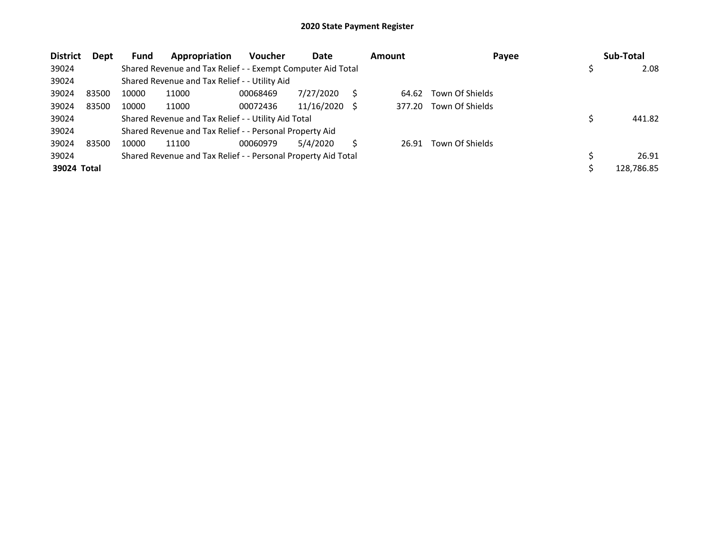| <b>District</b> | Dept  | Fund  | Appropriation                                                 | Voucher  | Date       | <b>Amount</b> | Payee           | Sub-Total  |
|-----------------|-------|-------|---------------------------------------------------------------|----------|------------|---------------|-----------------|------------|
| 39024           |       |       | Shared Revenue and Tax Relief - - Exempt Computer Aid Total   |          |            |               |                 | 2.08       |
| 39024           |       |       | Shared Revenue and Tax Relief - - Utility Aid                 |          |            |               |                 |            |
| 39024           | 83500 | 10000 | 11000                                                         | 00068469 | 7/27/2020  | 64.62         | Town Of Shields |            |
| 39024           | 83500 | 10000 | 11000                                                         | 00072436 | 11/16/2020 | 377.20        | Town Of Shields |            |
| 39024           |       |       | Shared Revenue and Tax Relief - - Utility Aid Total           |          |            |               |                 | 441.82     |
| 39024           |       |       | Shared Revenue and Tax Relief - - Personal Property Aid       |          |            |               |                 |            |
| 39024           | 83500 | 10000 | 11100                                                         | 00060979 | 5/4/2020   | 26.91         | Town Of Shields |            |
| 39024           |       |       | Shared Revenue and Tax Relief - - Personal Property Aid Total |          |            |               |                 | 26.91      |
| 39024 Total     |       |       |                                                               |          |            |               |                 | 128,786.85 |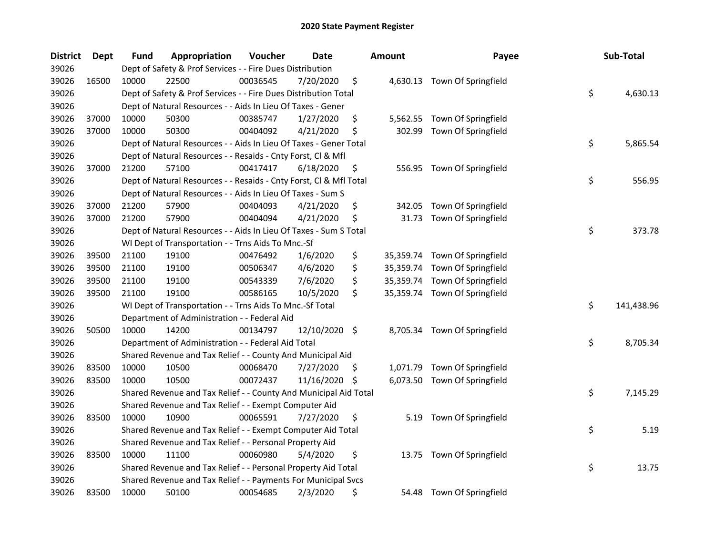| <b>District</b> | Dept  | Fund  | Appropriation                                                      | Voucher  | Date          |     | <b>Amount</b> | Payee                         | Sub-Total        |
|-----------------|-------|-------|--------------------------------------------------------------------|----------|---------------|-----|---------------|-------------------------------|------------------|
| 39026           |       |       | Dept of Safety & Prof Services - - Fire Dues Distribution          |          |               |     |               |                               |                  |
| 39026           | 16500 | 10000 | 22500                                                              | 00036545 | 7/20/2020     | \$  |               | 4,630.13 Town Of Springfield  |                  |
| 39026           |       |       | Dept of Safety & Prof Services - - Fire Dues Distribution Total    |          |               |     |               |                               | \$<br>4,630.13   |
| 39026           |       |       | Dept of Natural Resources - - Aids In Lieu Of Taxes - Gener        |          |               |     |               |                               |                  |
| 39026           | 37000 | 10000 | 50300                                                              | 00385747 | 1/27/2020     | \$  |               | 5,562.55 Town Of Springfield  |                  |
| 39026           | 37000 | 10000 | 50300                                                              | 00404092 | 4/21/2020     | \$  | 302.99        | Town Of Springfield           |                  |
| 39026           |       |       | Dept of Natural Resources - - Aids In Lieu Of Taxes - Gener Total  |          |               |     |               |                               | \$<br>5,865.54   |
| 39026           |       |       | Dept of Natural Resources - - Resaids - Cnty Forst, Cl & Mfl       |          |               |     |               |                               |                  |
| 39026           | 37000 | 21200 | 57100                                                              | 00417417 | 6/18/2020     | \$  |               | 556.95 Town Of Springfield    |                  |
| 39026           |       |       | Dept of Natural Resources - - Resaids - Cnty Forst, Cl & Mfl Total |          |               |     |               |                               | \$<br>556.95     |
| 39026           |       |       | Dept of Natural Resources - - Aids In Lieu Of Taxes - Sum S        |          |               |     |               |                               |                  |
| 39026           | 37000 | 21200 | 57900                                                              | 00404093 | 4/21/2020     | \$  | 342.05        | Town Of Springfield           |                  |
| 39026           | 37000 | 21200 | 57900                                                              | 00404094 | 4/21/2020     | \$  | 31.73         | Town Of Springfield           |                  |
| 39026           |       |       | Dept of Natural Resources - - Aids In Lieu Of Taxes - Sum S Total  |          |               |     |               |                               | \$<br>373.78     |
| 39026           |       |       | WI Dept of Transportation - - Trns Aids To Mnc.-Sf                 |          |               |     |               |                               |                  |
| 39026           | 39500 | 21100 | 19100                                                              | 00476492 | 1/6/2020      | \$  |               | 35,359.74 Town Of Springfield |                  |
| 39026           | 39500 | 21100 | 19100                                                              | 00506347 | 4/6/2020      | \$  |               | 35,359.74 Town Of Springfield |                  |
| 39026           | 39500 | 21100 | 19100                                                              | 00543339 | 7/6/2020      | \$  |               | 35,359.74 Town Of Springfield |                  |
| 39026           | 39500 | 21100 | 19100                                                              | 00586165 | 10/5/2020     | \$  |               | 35,359.74 Town Of Springfield |                  |
| 39026           |       |       | WI Dept of Transportation - - Trns Aids To Mnc.-Sf Total           |          |               |     |               |                               | \$<br>141,438.96 |
| 39026           |       |       | Department of Administration - - Federal Aid                       |          |               |     |               |                               |                  |
| 39026           | 50500 | 10000 | 14200                                                              | 00134797 | 12/10/2020 \$ |     |               | 8,705.34 Town Of Springfield  |                  |
| 39026           |       |       | Department of Administration - - Federal Aid Total                 |          |               |     |               |                               | \$<br>8,705.34   |
| 39026           |       |       | Shared Revenue and Tax Relief - - County And Municipal Aid         |          |               |     |               |                               |                  |
| 39026           | 83500 | 10000 | 10500                                                              | 00068470 | 7/27/2020     | \$. | 1,071.79      | Town Of Springfield           |                  |
| 39026           | 83500 | 10000 | 10500                                                              | 00072437 | 11/16/2020    | \$  | 6,073.50      | Town Of Springfield           |                  |
| 39026           |       |       | Shared Revenue and Tax Relief - - County And Municipal Aid Total   |          |               |     |               |                               | \$<br>7,145.29   |
| 39026           |       |       | Shared Revenue and Tax Relief - - Exempt Computer Aid              |          |               |     |               |                               |                  |
| 39026           | 83500 | 10000 | 10900                                                              | 00065591 | 7/27/2020     | \$  | 5.19          | Town Of Springfield           |                  |
| 39026           |       |       | Shared Revenue and Tax Relief - - Exempt Computer Aid Total        |          |               |     |               |                               | \$<br>5.19       |
| 39026           |       |       | Shared Revenue and Tax Relief - - Personal Property Aid            |          |               |     |               |                               |                  |
| 39026           | 83500 | 10000 | 11100                                                              | 00060980 | 5/4/2020      | \$  |               | 13.75 Town Of Springfield     |                  |
| 39026           |       |       | Shared Revenue and Tax Relief - - Personal Property Aid Total      |          |               |     |               |                               | \$<br>13.75      |
| 39026           |       |       | Shared Revenue and Tax Relief - - Payments For Municipal Svcs      |          |               |     |               |                               |                  |
| 39026           | 83500 | 10000 | 50100                                                              | 00054685 | 2/3/2020      | \$  | 54.48         | Town Of Springfield           |                  |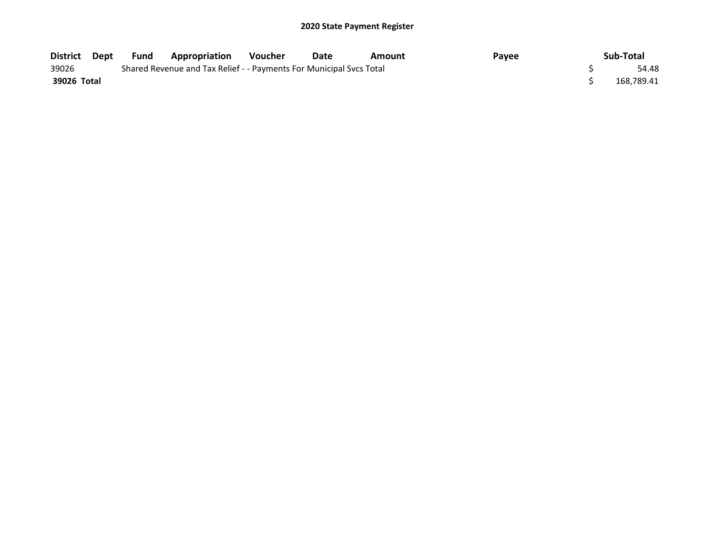| District Dept | Fund | Appropriation                                                       | <b>Voucher</b> | Date | Amount | Pavee | Sub-Total  |
|---------------|------|---------------------------------------------------------------------|----------------|------|--------|-------|------------|
| 39026         |      | Shared Revenue and Tax Relief - - Payments For Municipal Svcs Total |                |      |        |       | 54.48      |
| 39026 Total   |      |                                                                     |                |      |        |       | 168.789.41 |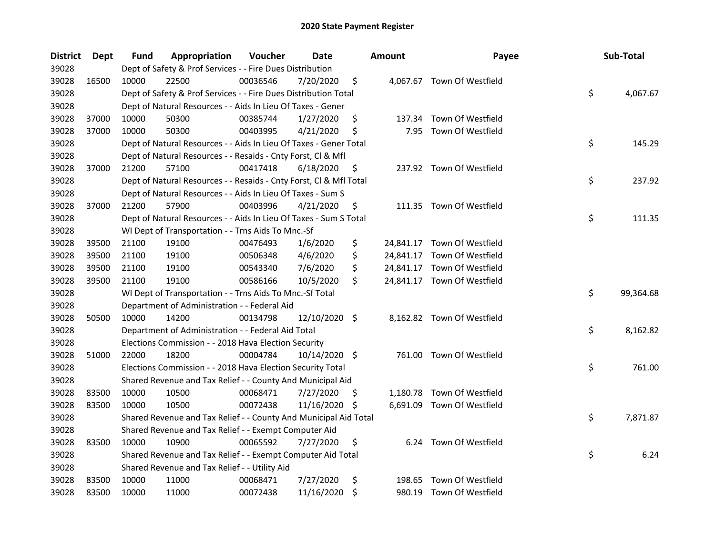| <b>District</b> | <b>Dept</b> | Fund  | Appropriation                                                      | Voucher  | Date          |     | <b>Amount</b> | Payee                       | Sub-Total       |
|-----------------|-------------|-------|--------------------------------------------------------------------|----------|---------------|-----|---------------|-----------------------------|-----------------|
| 39028           |             |       | Dept of Safety & Prof Services - - Fire Dues Distribution          |          |               |     |               |                             |                 |
| 39028           | 16500       | 10000 | 22500                                                              | 00036546 | 7/20/2020     | \$  |               | 4,067.67 Town Of Westfield  |                 |
| 39028           |             |       | Dept of Safety & Prof Services - - Fire Dues Distribution Total    |          |               |     |               |                             | \$<br>4,067.67  |
| 39028           |             |       | Dept of Natural Resources - - Aids In Lieu Of Taxes - Gener        |          |               |     |               |                             |                 |
| 39028           | 37000       | 10000 | 50300                                                              | 00385744 | 1/27/2020     | \$  |               | 137.34 Town Of Westfield    |                 |
| 39028           | 37000       | 10000 | 50300                                                              | 00403995 | 4/21/2020     | \$  | 7.95          | Town Of Westfield           |                 |
| 39028           |             |       | Dept of Natural Resources - - Aids In Lieu Of Taxes - Gener Total  |          |               |     |               |                             | \$<br>145.29    |
| 39028           |             |       | Dept of Natural Resources - - Resaids - Cnty Forst, Cl & Mfl       |          |               |     |               |                             |                 |
| 39028           | 37000       | 21200 | 57100                                                              | 00417418 | 6/18/2020     | \$  |               | 237.92 Town Of Westfield    |                 |
| 39028           |             |       | Dept of Natural Resources - - Resaids - Cnty Forst, Cl & Mfl Total |          |               |     |               |                             | \$<br>237.92    |
| 39028           |             |       | Dept of Natural Resources - - Aids In Lieu Of Taxes - Sum S        |          |               |     |               |                             |                 |
| 39028           | 37000       | 21200 | 57900                                                              | 00403996 | 4/21/2020     | \$  |               | 111.35 Town Of Westfield    |                 |
| 39028           |             |       | Dept of Natural Resources - - Aids In Lieu Of Taxes - Sum S Total  |          |               |     |               |                             | \$<br>111.35    |
| 39028           |             |       | WI Dept of Transportation - - Trns Aids To Mnc.-Sf                 |          |               |     |               |                             |                 |
| 39028           | 39500       | 21100 | 19100                                                              | 00476493 | 1/6/2020      | \$  |               | 24,841.17 Town Of Westfield |                 |
| 39028           | 39500       | 21100 | 19100                                                              | 00506348 | 4/6/2020      | \$  |               | 24,841.17 Town Of Westfield |                 |
| 39028           | 39500       | 21100 | 19100                                                              | 00543340 | 7/6/2020      | \$  |               | 24,841.17 Town Of Westfield |                 |
| 39028           | 39500       | 21100 | 19100                                                              | 00586166 | 10/5/2020     | \$  |               | 24,841.17 Town Of Westfield |                 |
| 39028           |             |       | WI Dept of Transportation - - Trns Aids To Mnc.-Sf Total           |          |               |     |               |                             | \$<br>99,364.68 |
| 39028           |             |       | Department of Administration - - Federal Aid                       |          |               |     |               |                             |                 |
| 39028           | 50500       | 10000 | 14200                                                              | 00134798 | 12/10/2020 \$ |     |               | 8,162.82 Town Of Westfield  |                 |
| 39028           |             |       | Department of Administration - - Federal Aid Total                 |          |               |     |               |                             | \$<br>8,162.82  |
| 39028           |             |       | Elections Commission - - 2018 Hava Election Security               |          |               |     |               |                             |                 |
| 39028           | 51000       | 22000 | 18200                                                              | 00004784 | 10/14/2020 \$ |     |               | 761.00 Town Of Westfield    |                 |
| 39028           |             |       | Elections Commission - - 2018 Hava Election Security Total         |          |               |     |               |                             | \$<br>761.00    |
| 39028           |             |       | Shared Revenue and Tax Relief - - County And Municipal Aid         |          |               |     |               |                             |                 |
| 39028           | 83500       | 10000 | 10500                                                              | 00068471 | 7/27/2020     | \$. |               | 1,180.78 Town Of Westfield  |                 |
| 39028           | 83500       | 10000 | 10500                                                              | 00072438 | 11/16/2020    | \$  |               | 6,691.09 Town Of Westfield  |                 |
| 39028           |             |       | Shared Revenue and Tax Relief - - County And Municipal Aid Total   |          |               |     |               |                             | \$<br>7,871.87  |
| 39028           |             |       | Shared Revenue and Tax Relief - - Exempt Computer Aid              |          |               |     |               |                             |                 |
| 39028           | 83500       | 10000 | 10900                                                              | 00065592 | 7/27/2020     | \$  |               | 6.24 Town Of Westfield      |                 |
| 39028           |             |       | Shared Revenue and Tax Relief - - Exempt Computer Aid Total        |          |               |     |               |                             | \$<br>6.24      |
| 39028           |             |       | Shared Revenue and Tax Relief - - Utility Aid                      |          |               |     |               |                             |                 |
| 39028           | 83500       | 10000 | 11000                                                              | 00068471 | 7/27/2020     | \$  | 198.65        | Town Of Westfield           |                 |
| 39028           | 83500       | 10000 | 11000                                                              | 00072438 | 11/16/2020    | \$  |               | 980.19 Town Of Westfield    |                 |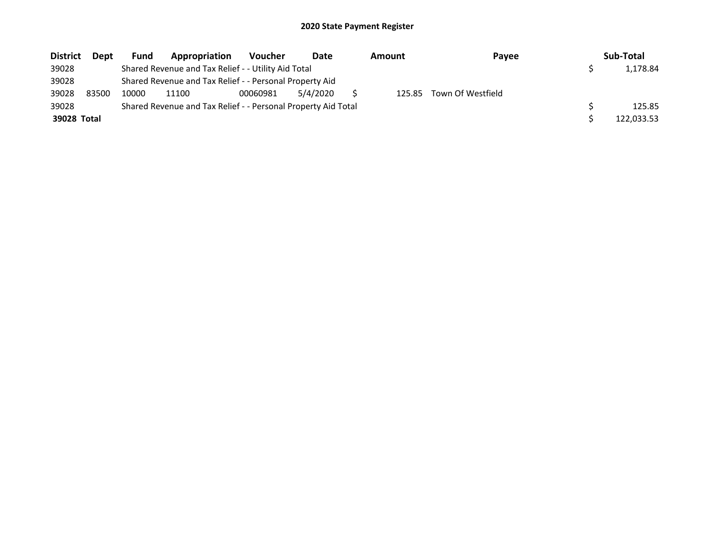| <b>District</b> | <b>Dept</b> | Fund  | Appropriation                                                 | <b>Voucher</b> | Date     | Amount | Payee             | Sub-Total  |
|-----------------|-------------|-------|---------------------------------------------------------------|----------------|----------|--------|-------------------|------------|
| 39028           |             |       | Shared Revenue and Tax Relief - - Utility Aid Total           |                |          |        |                   | 1,178.84   |
| 39028           |             |       | Shared Revenue and Tax Relief - - Personal Property Aid       |                |          |        |                   |            |
| 39028           | 83500       | 10000 | 11100                                                         | 00060981       | 5/4/2020 | 125.85 | Town Of Westfield |            |
| 39028           |             |       | Shared Revenue and Tax Relief - - Personal Property Aid Total |                |          |        |                   | 125.85     |
| 39028 Total     |             |       |                                                               |                |          |        |                   | 122.033.53 |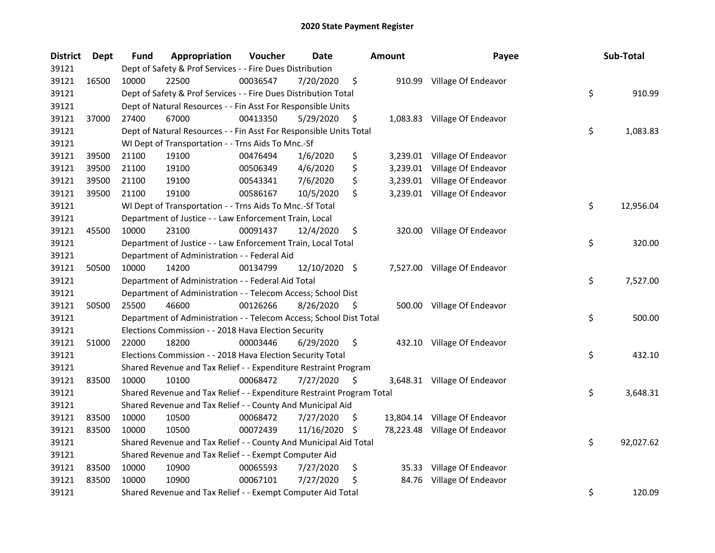| <b>District</b> | Dept  | <b>Fund</b> | Appropriation                                                         | Voucher  | Date          |     | <b>Amount</b> | Payee                         | Sub-Total       |
|-----------------|-------|-------------|-----------------------------------------------------------------------|----------|---------------|-----|---------------|-------------------------------|-----------------|
| 39121           |       |             | Dept of Safety & Prof Services - - Fire Dues Distribution             |          |               |     |               |                               |                 |
| 39121           | 16500 | 10000       | 22500                                                                 | 00036547 | 7/20/2020     | \$  |               | 910.99 Village Of Endeavor    |                 |
| 39121           |       |             | Dept of Safety & Prof Services - - Fire Dues Distribution Total       |          |               |     |               |                               | \$<br>910.99    |
| 39121           |       |             | Dept of Natural Resources - - Fin Asst For Responsible Units          |          |               |     |               |                               |                 |
| 39121           | 37000 | 27400       | 67000                                                                 | 00413350 | 5/29/2020     | \$  |               | 1,083.83 Village Of Endeavor  |                 |
| 39121           |       |             | Dept of Natural Resources - - Fin Asst For Responsible Units Total    |          |               |     |               |                               | \$<br>1,083.83  |
| 39121           |       |             | WI Dept of Transportation - - Trns Aids To Mnc.-Sf                    |          |               |     |               |                               |                 |
| 39121           | 39500 | 21100       | 19100                                                                 | 00476494 | 1/6/2020      | \$  |               | 3,239.01 Village Of Endeavor  |                 |
| 39121           | 39500 | 21100       | 19100                                                                 | 00506349 | 4/6/2020      | \$  |               | 3,239.01 Village Of Endeavor  |                 |
| 39121           | 39500 | 21100       | 19100                                                                 | 00543341 | 7/6/2020      | \$  |               | 3,239.01 Village Of Endeavor  |                 |
| 39121           | 39500 | 21100       | 19100                                                                 | 00586167 | 10/5/2020     | \$  |               | 3,239.01 Village Of Endeavor  |                 |
| 39121           |       |             | WI Dept of Transportation - - Trns Aids To Mnc.-Sf Total              |          |               |     |               |                               | \$<br>12,956.04 |
| 39121           |       |             | Department of Justice - - Law Enforcement Train, Local                |          |               |     |               |                               |                 |
| 39121           | 45500 | 10000       | 23100                                                                 | 00091437 | 12/4/2020     | \$  |               | 320.00 Village Of Endeavor    |                 |
| 39121           |       |             | Department of Justice - - Law Enforcement Train, Local Total          |          |               |     |               |                               | \$<br>320.00    |
| 39121           |       |             | Department of Administration - - Federal Aid                          |          |               |     |               |                               |                 |
| 39121           | 50500 | 10000       | 14200                                                                 | 00134799 | 12/10/2020 \$ |     |               | 7,527.00 Village Of Endeavor  |                 |
| 39121           |       |             | Department of Administration - - Federal Aid Total                    |          |               |     |               |                               | \$<br>7,527.00  |
| 39121           |       |             | Department of Administration - - Telecom Access; School Dist          |          |               |     |               |                               |                 |
| 39121           | 50500 | 25500       | 46600                                                                 | 00126266 | 8/26/2020     | \$  |               | 500.00 Village Of Endeavor    |                 |
| 39121           |       |             | Department of Administration - - Telecom Access; School Dist Total    |          |               |     |               |                               | \$<br>500.00    |
| 39121           |       |             | Elections Commission - - 2018 Hava Election Security                  |          |               |     |               |                               |                 |
| 39121           | 51000 | 22000       | 18200                                                                 | 00003446 | 6/29/2020     | \$  |               | 432.10 Village Of Endeavor    |                 |
| 39121           |       |             | Elections Commission - - 2018 Hava Election Security Total            |          |               |     |               |                               | \$<br>432.10    |
| 39121           |       |             | Shared Revenue and Tax Relief - - Expenditure Restraint Program       |          |               |     |               |                               |                 |
| 39121           | 83500 | 10000       | 10100                                                                 | 00068472 | 7/27/2020     | \$. |               | 3,648.31 Village Of Endeavor  |                 |
| 39121           |       |             | Shared Revenue and Tax Relief - - Expenditure Restraint Program Total |          |               |     |               |                               | \$<br>3,648.31  |
| 39121           |       |             | Shared Revenue and Tax Relief - - County And Municipal Aid            |          |               |     |               |                               |                 |
| 39121           | 83500 | 10000       | 10500                                                                 | 00068472 | 7/27/2020     | \$  |               | 13,804.14 Village Of Endeavor |                 |
| 39121           | 83500 | 10000       | 10500                                                                 | 00072439 | 11/16/2020    | -\$ |               | 78,223.48 Village Of Endeavor |                 |
| 39121           |       |             | Shared Revenue and Tax Relief - - County And Municipal Aid Total      |          |               |     |               |                               | \$<br>92,027.62 |
| 39121           |       |             | Shared Revenue and Tax Relief - - Exempt Computer Aid                 |          |               |     |               |                               |                 |
| 39121           | 83500 | 10000       | 10900                                                                 | 00065593 | 7/27/2020     | \$  |               | 35.33 Village Of Endeavor     |                 |
| 39121           | 83500 | 10000       | 10900                                                                 | 00067101 | 7/27/2020     | \$  | 84.76         | Village Of Endeavor           |                 |
| 39121           |       |             | Shared Revenue and Tax Relief - - Exempt Computer Aid Total           |          |               |     |               |                               | \$<br>120.09    |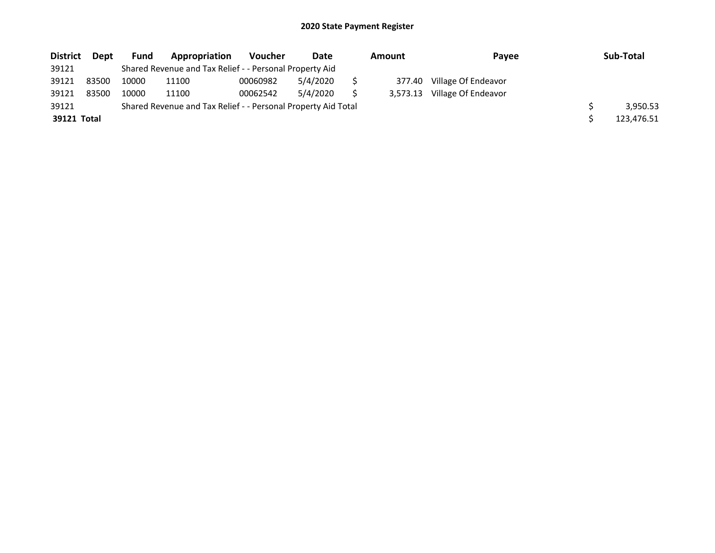| <b>District</b> | Dept  | <b>Fund</b> | Appropriation                                                 | <b>Voucher</b> | Date     | Amount |          | Pavee               | Sub-Total  |
|-----------------|-------|-------------|---------------------------------------------------------------|----------------|----------|--------|----------|---------------------|------------|
| 39121           |       |             | Shared Revenue and Tax Relief - - Personal Property Aid       |                |          |        |          |                     |            |
| 39121           | 83500 | 10000       | 11100                                                         | 00060982       | 5/4/2020 |        | 377.40   | Village Of Endeavor |            |
| 39121           | 83500 | 10000       | 11100                                                         | 00062542       | 5/4/2020 |        | 3.573.13 | Village Of Endeavor |            |
| 39121           |       |             | Shared Revenue and Tax Relief - - Personal Property Aid Total |                |          |        |          |                     | 3,950.53   |
| 39121 Total     |       |             |                                                               |                |          |        |          |                     | 123,476.51 |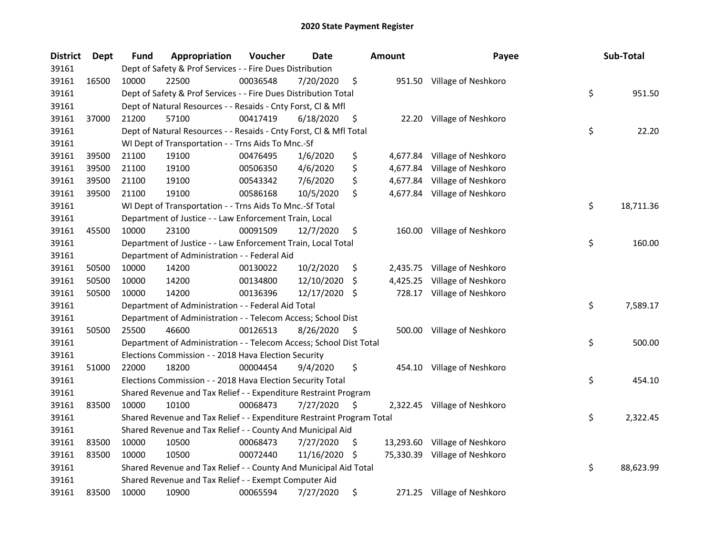| <b>District</b> | <b>Dept</b> | Fund  | Appropriation                                                         | Voucher  | Date       |     | Amount   | Payee                         | Sub-Total       |
|-----------------|-------------|-------|-----------------------------------------------------------------------|----------|------------|-----|----------|-------------------------------|-----------------|
| 39161           |             |       | Dept of Safety & Prof Services - - Fire Dues Distribution             |          |            |     |          |                               |                 |
| 39161           | 16500       | 10000 | 22500                                                                 | 00036548 | 7/20/2020  | \$  |          | 951.50 Village of Neshkoro    |                 |
| 39161           |             |       | Dept of Safety & Prof Services - - Fire Dues Distribution Total       |          |            |     |          |                               | \$<br>951.50    |
| 39161           |             |       | Dept of Natural Resources - - Resaids - Cnty Forst, Cl & Mfl          |          |            |     |          |                               |                 |
| 39161           | 37000       | 21200 | 57100                                                                 | 00417419 | 6/18/2020  | \$  |          | 22.20 Village of Neshkoro     |                 |
| 39161           |             |       | Dept of Natural Resources - - Resaids - Cnty Forst, Cl & Mfl Total    |          |            |     |          |                               | \$<br>22.20     |
| 39161           |             |       | WI Dept of Transportation - - Trns Aids To Mnc.-Sf                    |          |            |     |          |                               |                 |
| 39161           | 39500       | 21100 | 19100                                                                 | 00476495 | 1/6/2020   | \$  |          | 4,677.84 Village of Neshkoro  |                 |
| 39161           | 39500       | 21100 | 19100                                                                 | 00506350 | 4/6/2020   | \$  | 4,677.84 | Village of Neshkoro           |                 |
| 39161           | 39500       | 21100 | 19100                                                                 | 00543342 | 7/6/2020   | \$  |          | 4,677.84 Village of Neshkoro  |                 |
| 39161           | 39500       | 21100 | 19100                                                                 | 00586168 | 10/5/2020  | \$  |          | 4,677.84 Village of Neshkoro  |                 |
| 39161           |             |       | WI Dept of Transportation - - Trns Aids To Mnc.-Sf Total              |          |            |     |          |                               | \$<br>18,711.36 |
| 39161           |             |       | Department of Justice - - Law Enforcement Train, Local                |          |            |     |          |                               |                 |
| 39161           | 45500       | 10000 | 23100                                                                 | 00091509 | 12/7/2020  | \$  |          | 160.00 Village of Neshkoro    |                 |
| 39161           |             |       | Department of Justice - - Law Enforcement Train, Local Total          |          |            |     |          |                               | \$<br>160.00    |
| 39161           |             |       | Department of Administration - - Federal Aid                          |          |            |     |          |                               |                 |
| 39161           | 50500       | 10000 | 14200                                                                 | 00130022 | 10/2/2020  | \$  | 2,435.75 | Village of Neshkoro           |                 |
| 39161           | 50500       | 10000 | 14200                                                                 | 00134800 | 12/10/2020 | \$  | 4,425.25 | Village of Neshkoro           |                 |
| 39161           | 50500       | 10000 | 14200                                                                 | 00136396 | 12/17/2020 | -S  |          | 728.17 Village of Neshkoro    |                 |
| 39161           |             |       | Department of Administration - - Federal Aid Total                    |          |            |     |          |                               | \$<br>7,589.17  |
| 39161           |             |       | Department of Administration - - Telecom Access; School Dist          |          |            |     |          |                               |                 |
| 39161           | 50500       | 25500 | 46600                                                                 | 00126513 | 8/26/2020  | \$  |          | 500.00 Village of Neshkoro    |                 |
| 39161           |             |       | Department of Administration - - Telecom Access; School Dist Total    |          |            |     |          |                               | \$<br>500.00    |
| 39161           |             |       | Elections Commission - - 2018 Hava Election Security                  |          |            |     |          |                               |                 |
| 39161           | 51000       | 22000 | 18200                                                                 | 00004454 | 9/4/2020   | \$  |          | 454.10 Village of Neshkoro    |                 |
| 39161           |             |       | Elections Commission - - 2018 Hava Election Security Total            |          |            |     |          |                               | \$<br>454.10    |
| 39161           |             |       | Shared Revenue and Tax Relief - - Expenditure Restraint Program       |          |            |     |          |                               |                 |
| 39161           | 83500       | 10000 | 10100                                                                 | 00068473 | 7/27/2020  | \$, |          | 2,322.45 Village of Neshkoro  |                 |
| 39161           |             |       | Shared Revenue and Tax Relief - - Expenditure Restraint Program Total |          |            |     |          |                               | \$<br>2,322.45  |
| 39161           |             |       | Shared Revenue and Tax Relief - - County And Municipal Aid            |          |            |     |          |                               |                 |
| 39161           | 83500       | 10000 | 10500                                                                 | 00068473 | 7/27/2020  | \$  |          | 13,293.60 Village of Neshkoro |                 |
| 39161           | 83500       | 10000 | 10500                                                                 | 00072440 | 11/16/2020 | -\$ |          | 75,330.39 Village of Neshkoro |                 |
| 39161           |             |       | Shared Revenue and Tax Relief - - County And Municipal Aid Total      |          |            |     |          |                               | \$<br>88,623.99 |
| 39161           |             |       | Shared Revenue and Tax Relief - - Exempt Computer Aid                 |          |            |     |          |                               |                 |
| 39161           | 83500       | 10000 | 10900                                                                 | 00065594 | 7/27/2020  | \$  |          | 271.25 Village of Neshkoro    |                 |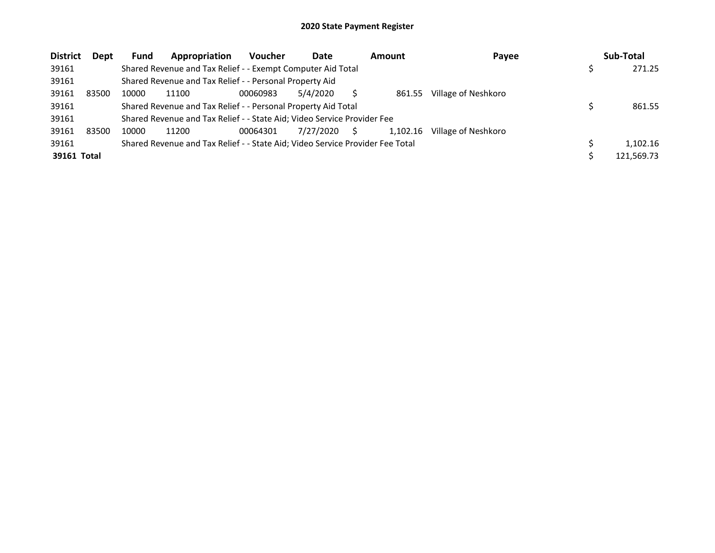| <b>District</b> | <b>Dept</b> | Fund  | Appropriation                                                                 | <b>Voucher</b> | Date      |    | Amount   | Payee               | Sub-Total  |
|-----------------|-------------|-------|-------------------------------------------------------------------------------|----------------|-----------|----|----------|---------------------|------------|
| 39161           |             |       | Shared Revenue and Tax Relief - - Exempt Computer Aid Total                   |                |           |    |          |                     | 271.25     |
| 39161           |             |       | Shared Revenue and Tax Relief - - Personal Property Aid                       |                |           |    |          |                     |            |
| 39161           | 83500       | 10000 | 11100                                                                         | 00060983       | 5/4/2020  |    | 861.55   | Village of Neshkoro |            |
| 39161           |             |       | Shared Revenue and Tax Relief - - Personal Property Aid Total                 |                |           |    |          |                     | 861.55     |
| 39161           |             |       | Shared Revenue and Tax Relief - - State Aid; Video Service Provider Fee       |                |           |    |          |                     |            |
| 39161           | 83500       | 10000 | 11200                                                                         | 00064301       | 7/27/2020 | S. | 1,102.16 | Village of Neshkoro |            |
| 39161           |             |       | Shared Revenue and Tax Relief - - State Aid; Video Service Provider Fee Total |                |           |    |          |                     | 1.102.16   |
| 39161 Total     |             |       |                                                                               |                |           |    |          |                     | 121,569.73 |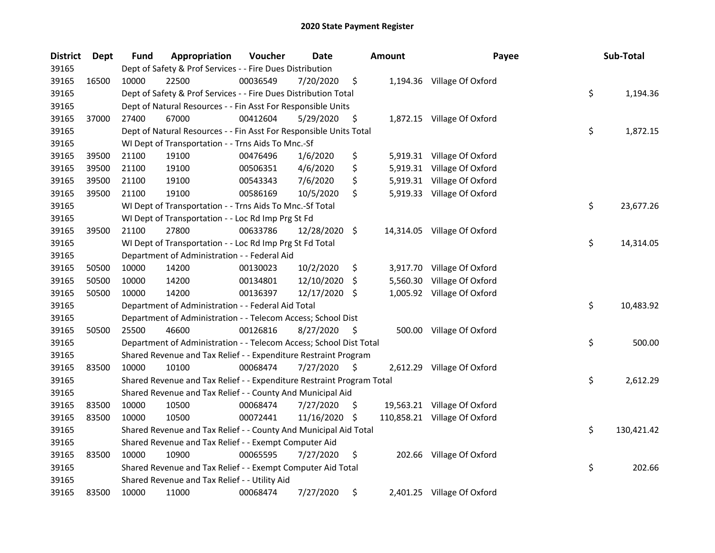| <b>District</b> | Dept  | <b>Fund</b> | Appropriation                                                         | Voucher  | Date          |     | <b>Amount</b> | Payee                        | Sub-Total        |
|-----------------|-------|-------------|-----------------------------------------------------------------------|----------|---------------|-----|---------------|------------------------------|------------------|
| 39165           |       |             | Dept of Safety & Prof Services - - Fire Dues Distribution             |          |               |     |               |                              |                  |
| 39165           | 16500 | 10000       | 22500                                                                 | 00036549 | 7/20/2020     | \$  |               | 1,194.36 Village Of Oxford   |                  |
| 39165           |       |             | Dept of Safety & Prof Services - - Fire Dues Distribution Total       |          |               |     |               |                              | \$<br>1,194.36   |
| 39165           |       |             | Dept of Natural Resources - - Fin Asst For Responsible Units          |          |               |     |               |                              |                  |
| 39165           | 37000 | 27400       | 67000                                                                 | 00412604 | 5/29/2020     | \$  |               | 1,872.15 Village Of Oxford   |                  |
| 39165           |       |             | Dept of Natural Resources - - Fin Asst For Responsible Units Total    |          |               |     |               |                              | \$<br>1,872.15   |
| 39165           |       |             | WI Dept of Transportation - - Trns Aids To Mnc.-Sf                    |          |               |     |               |                              |                  |
| 39165           | 39500 | 21100       | 19100                                                                 | 00476496 | 1/6/2020      | \$  |               | 5,919.31 Village Of Oxford   |                  |
| 39165           | 39500 | 21100       | 19100                                                                 | 00506351 | 4/6/2020      | \$  |               | 5,919.31 Village Of Oxford   |                  |
| 39165           | 39500 | 21100       | 19100                                                                 | 00543343 | 7/6/2020      | \$  |               | 5,919.31 Village Of Oxford   |                  |
| 39165           | 39500 | 21100       | 19100                                                                 | 00586169 | 10/5/2020     | \$  |               | 5,919.33 Village Of Oxford   |                  |
| 39165           |       |             | WI Dept of Transportation - - Trns Aids To Mnc.-Sf Total              |          |               |     |               |                              | \$<br>23,677.26  |
| 39165           |       |             | WI Dept of Transportation - - Loc Rd Imp Prg St Fd                    |          |               |     |               |                              |                  |
| 39165           | 39500 | 21100       | 27800                                                                 | 00633786 | 12/28/2020 \$ |     |               | 14,314.05 Village Of Oxford  |                  |
| 39165           |       |             | WI Dept of Transportation - - Loc Rd Imp Prg St Fd Total              |          |               |     |               |                              | \$<br>14,314.05  |
| 39165           |       |             | Department of Administration - - Federal Aid                          |          |               |     |               |                              |                  |
| 39165           | 50500 | 10000       | 14200                                                                 | 00130023 | 10/2/2020     | \$  |               | 3,917.70 Village Of Oxford   |                  |
| 39165           | 50500 | 10000       | 14200                                                                 | 00134801 | 12/10/2020    | \$  | 5,560.30      | Village Of Oxford            |                  |
| 39165           | 50500 | 10000       | 14200                                                                 | 00136397 | 12/17/2020 \$ |     |               | 1,005.92 Village Of Oxford   |                  |
| 39165           |       |             | Department of Administration - - Federal Aid Total                    |          |               |     |               |                              | \$<br>10,483.92  |
| 39165           |       |             | Department of Administration - - Telecom Access; School Dist          |          |               |     |               |                              |                  |
| 39165           | 50500 | 25500       | 46600                                                                 | 00126816 | 8/27/2020     | \$  |               | 500.00 Village Of Oxford     |                  |
| 39165           |       |             | Department of Administration - - Telecom Access; School Dist Total    |          |               |     |               |                              | \$<br>500.00     |
| 39165           |       |             | Shared Revenue and Tax Relief - - Expenditure Restraint Program       |          |               |     |               |                              |                  |
| 39165           | 83500 | 10000       | 10100                                                                 | 00068474 | 7/27/2020     | \$. |               | 2,612.29 Village Of Oxford   |                  |
| 39165           |       |             | Shared Revenue and Tax Relief - - Expenditure Restraint Program Total |          |               |     |               |                              | \$<br>2,612.29   |
| 39165           |       |             | Shared Revenue and Tax Relief - - County And Municipal Aid            |          |               |     |               |                              |                  |
| 39165           | 83500 | 10000       | 10500                                                                 | 00068474 | 7/27/2020     | \$  |               | 19,563.21 Village Of Oxford  |                  |
| 39165           | 83500 | 10000       | 10500                                                                 | 00072441 | 11/16/2020    | -S  |               | 110,858.21 Village Of Oxford |                  |
| 39165           |       |             | Shared Revenue and Tax Relief - - County And Municipal Aid Total      |          |               |     |               |                              | \$<br>130,421.42 |
| 39165           |       |             | Shared Revenue and Tax Relief - - Exempt Computer Aid                 |          |               |     |               |                              |                  |
| 39165           | 83500 | 10000       | 10900                                                                 | 00065595 | 7/27/2020     | \$  |               | 202.66 Village Of Oxford     |                  |
| 39165           |       |             | Shared Revenue and Tax Relief - - Exempt Computer Aid Total           |          |               |     |               |                              | \$<br>202.66     |
| 39165           |       |             | Shared Revenue and Tax Relief - - Utility Aid                         |          |               |     |               |                              |                  |
| 39165           | 83500 | 10000       | 11000                                                                 | 00068474 | 7/27/2020     | \$  |               | 2,401.25 Village Of Oxford   |                  |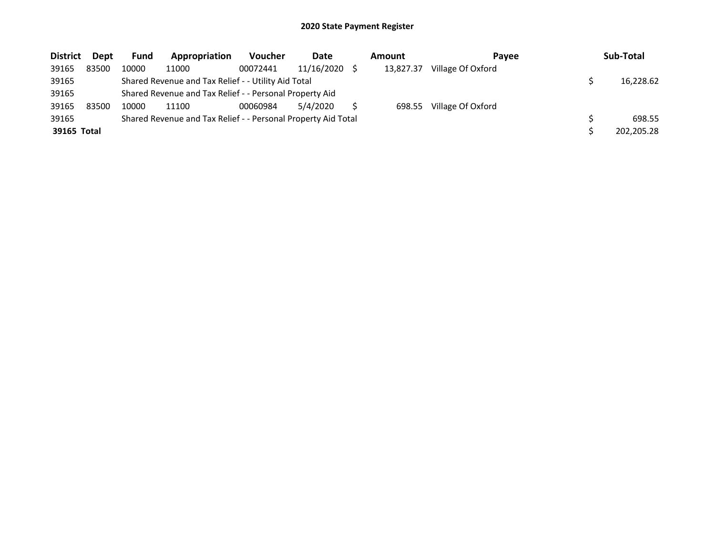| <b>District</b> | Dept  | Fund  | Appropriation                                                 | <b>Voucher</b> | Date            | Amount    | <b>Pavee</b>      | Sub-Total  |
|-----------------|-------|-------|---------------------------------------------------------------|----------------|-----------------|-----------|-------------------|------------|
| 39165           | 83500 | 10000 | 11000                                                         | 00072441       | $11/16/2020$ \$ | 13,827.37 | Village Of Oxford |            |
| 39165           |       |       | Shared Revenue and Tax Relief - - Utility Aid Total           |                |                 |           |                   | 16,228.62  |
| 39165           |       |       | Shared Revenue and Tax Relief - - Personal Property Aid       |                |                 |           |                   |            |
| 39165           | 83500 | 10000 | 11100                                                         | 00060984       | 5/4/2020        | 698.55    | Village Of Oxford |            |
| 39165           |       |       | Shared Revenue and Tax Relief - - Personal Property Aid Total |                |                 |           |                   | 698.55     |
| 39165 Total     |       |       |                                                               |                |                 |           |                   | 202,205.28 |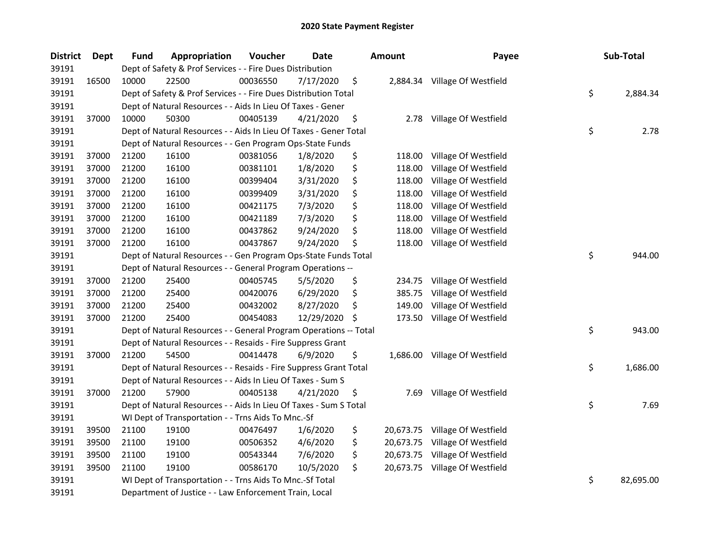| <b>District</b> | Dept  | <b>Fund</b> | Appropriation                                                     | Voucher  | Date       | <b>Amount</b>   | Payee                          | Sub-Total       |
|-----------------|-------|-------------|-------------------------------------------------------------------|----------|------------|-----------------|--------------------------------|-----------------|
| 39191           |       |             | Dept of Safety & Prof Services - - Fire Dues Distribution         |          |            |                 |                                |                 |
| 39191           | 16500 | 10000       | 22500                                                             | 00036550 | 7/17/2020  | \$              | 2,884.34 Village Of Westfield  |                 |
| 39191           |       |             | Dept of Safety & Prof Services - - Fire Dues Distribution Total   |          |            |                 |                                | \$<br>2,884.34  |
| 39191           |       |             | Dept of Natural Resources - - Aids In Lieu Of Taxes - Gener       |          |            |                 |                                |                 |
| 39191           | 37000 | 10000       | 50300                                                             | 00405139 | 4/21/2020  | \$<br>2.78      | Village Of Westfield           |                 |
| 39191           |       |             | Dept of Natural Resources - - Aids In Lieu Of Taxes - Gener Total |          |            |                 |                                | \$<br>2.78      |
| 39191           |       |             | Dept of Natural Resources - - Gen Program Ops-State Funds         |          |            |                 |                                |                 |
| 39191           | 37000 | 21200       | 16100                                                             | 00381056 | 1/8/2020   | \$<br>118.00    | Village Of Westfield           |                 |
| 39191           | 37000 | 21200       | 16100                                                             | 00381101 | 1/8/2020   | \$<br>118.00    | Village Of Westfield           |                 |
| 39191           | 37000 | 21200       | 16100                                                             | 00399404 | 3/31/2020  | \$<br>118.00    | Village Of Westfield           |                 |
| 39191           | 37000 | 21200       | 16100                                                             | 00399409 | 3/31/2020  | \$<br>118.00    | Village Of Westfield           |                 |
| 39191           | 37000 | 21200       | 16100                                                             | 00421175 | 7/3/2020   | \$<br>118.00    | Village Of Westfield           |                 |
| 39191           | 37000 | 21200       | 16100                                                             | 00421189 | 7/3/2020   | \$<br>118.00    | Village Of Westfield           |                 |
| 39191           | 37000 | 21200       | 16100                                                             | 00437862 | 9/24/2020  | \$<br>118.00    | Village Of Westfield           |                 |
| 39191           | 37000 | 21200       | 16100                                                             | 00437867 | 9/24/2020  | \$<br>118.00    | Village Of Westfield           |                 |
| 39191           |       |             | Dept of Natural Resources - - Gen Program Ops-State Funds Total   |          |            |                 |                                | \$<br>944.00    |
| 39191           |       |             | Dept of Natural Resources - - General Program Operations --       |          |            |                 |                                |                 |
| 39191           | 37000 | 21200       | 25400                                                             | 00405745 | 5/5/2020   | \$<br>234.75    | Village Of Westfield           |                 |
| 39191           | 37000 | 21200       | 25400                                                             | 00420076 | 6/29/2020  | \$<br>385.75    | Village Of Westfield           |                 |
| 39191           | 37000 | 21200       | 25400                                                             | 00432002 | 8/27/2020  | \$<br>149.00    | Village Of Westfield           |                 |
| 39191           | 37000 | 21200       | 25400                                                             | 00454083 | 12/29/2020 | \$              | 173.50 Village Of Westfield    |                 |
| 39191           |       |             | Dept of Natural Resources - - General Program Operations -- Total |          |            |                 |                                | \$<br>943.00    |
| 39191           |       |             | Dept of Natural Resources - - Resaids - Fire Suppress Grant       |          |            |                 |                                |                 |
| 39191           | 37000 | 21200       | 54500                                                             | 00414478 | 6/9/2020   | \$              | 1,686.00 Village Of Westfield  |                 |
| 39191           |       |             | Dept of Natural Resources - - Resaids - Fire Suppress Grant Total |          |            |                 |                                | \$<br>1,686.00  |
| 39191           |       |             | Dept of Natural Resources - - Aids In Lieu Of Taxes - Sum S       |          |            |                 |                                |                 |
| 39191           | 37000 | 21200       | 57900                                                             | 00405138 | 4/21/2020  | \$              | 7.69 Village Of Westfield      |                 |
| 39191           |       |             | Dept of Natural Resources - - Aids In Lieu Of Taxes - Sum S Total |          |            |                 |                                | \$<br>7.69      |
| 39191           |       |             | WI Dept of Transportation - - Trns Aids To Mnc.-Sf                |          |            |                 |                                |                 |
| 39191           | 39500 | 21100       | 19100                                                             | 00476497 | 1/6/2020   | \$              | 20,673.75 Village Of Westfield |                 |
| 39191           | 39500 | 21100       | 19100                                                             | 00506352 | 4/6/2020   | \$<br>20,673.75 | Village Of Westfield           |                 |
| 39191           | 39500 | 21100       | 19100                                                             | 00543344 | 7/6/2020   | \$              | 20,673.75 Village Of Westfield |                 |
| 39191           | 39500 | 21100       | 19100                                                             | 00586170 | 10/5/2020  | \$              | 20,673.75 Village Of Westfield |                 |
| 39191           |       |             | WI Dept of Transportation - - Trns Aids To Mnc.-Sf Total          |          |            |                 |                                | \$<br>82,695.00 |
| 39191           |       |             | Department of Justice - - Law Enforcement Train, Local            |          |            |                 |                                |                 |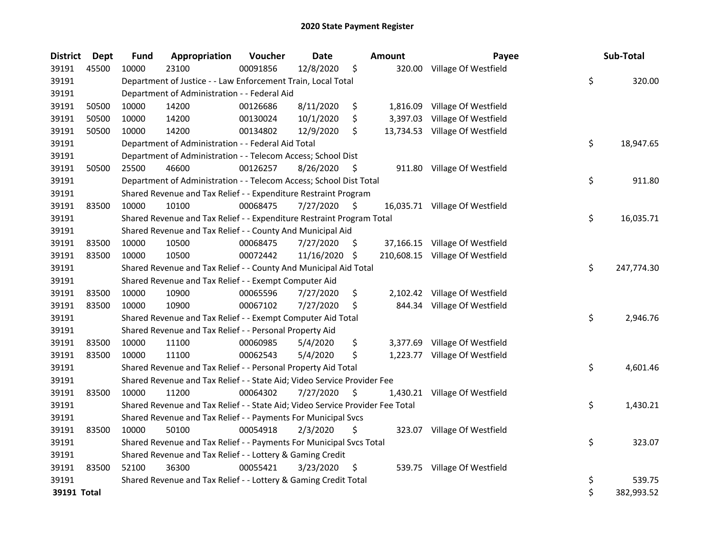| <b>District</b> | <b>Dept</b> | Fund  | Appropriation                                                                 | Voucher  | <b>Date</b>   |     | Amount   | Payee                           | Sub-Total        |
|-----------------|-------------|-------|-------------------------------------------------------------------------------|----------|---------------|-----|----------|---------------------------------|------------------|
| 39191           | 45500       | 10000 | 23100                                                                         | 00091856 | 12/8/2020     | \$  |          | 320.00 Village Of Westfield     |                  |
| 39191           |             |       | Department of Justice - - Law Enforcement Train, Local Total                  |          |               |     |          |                                 | \$<br>320.00     |
| 39191           |             |       | Department of Administration - - Federal Aid                                  |          |               |     |          |                                 |                  |
| 39191           | 50500       | 10000 | 14200                                                                         | 00126686 | 8/11/2020     | \$  |          | 1,816.09 Village Of Westfield   |                  |
| 39191           | 50500       | 10000 | 14200                                                                         | 00130024 | 10/1/2020     | \$  | 3,397.03 | Village Of Westfield            |                  |
| 39191           | 50500       | 10000 | 14200                                                                         | 00134802 | 12/9/2020     | \$  |          | 13,734.53 Village Of Westfield  |                  |
| 39191           |             |       | Department of Administration - - Federal Aid Total                            |          |               |     |          |                                 | \$<br>18,947.65  |
| 39191           |             |       | Department of Administration - - Telecom Access; School Dist                  |          |               |     |          |                                 |                  |
| 39191           | 50500       | 25500 | 46600                                                                         | 00126257 | 8/26/2020     | -\$ |          | 911.80 Village Of Westfield     |                  |
| 39191           |             |       | Department of Administration - - Telecom Access; School Dist Total            |          |               |     |          |                                 | \$<br>911.80     |
| 39191           |             |       | Shared Revenue and Tax Relief - - Expenditure Restraint Program               |          |               |     |          |                                 |                  |
| 39191           | 83500       | 10000 | 10100                                                                         | 00068475 | 7/27/2020     | -\$ |          | 16,035.71 Village Of Westfield  |                  |
| 39191           |             |       | Shared Revenue and Tax Relief - - Expenditure Restraint Program Total         |          |               |     |          |                                 | \$<br>16,035.71  |
| 39191           |             |       | Shared Revenue and Tax Relief - - County And Municipal Aid                    |          |               |     |          |                                 |                  |
| 39191           | 83500       | 10000 | 10500                                                                         | 00068475 | 7/27/2020     | \$. |          | 37,166.15 Village Of Westfield  |                  |
| 39191           | 83500       | 10000 | 10500                                                                         | 00072442 | 11/16/2020 \$ |     |          | 210,608.15 Village Of Westfield |                  |
| 39191           |             |       | Shared Revenue and Tax Relief - - County And Municipal Aid Total              |          |               |     |          |                                 | \$<br>247,774.30 |
| 39191           |             |       | Shared Revenue and Tax Relief - - Exempt Computer Aid                         |          |               |     |          |                                 |                  |
| 39191           | 83500       | 10000 | 10900                                                                         | 00065596 | 7/27/2020     | \$  |          | 2,102.42 Village Of Westfield   |                  |
| 39191           | 83500       | 10000 | 10900                                                                         | 00067102 | 7/27/2020     | \$  |          | 844.34 Village Of Westfield     |                  |
| 39191           |             |       | Shared Revenue and Tax Relief - - Exempt Computer Aid Total                   |          |               |     |          |                                 | \$<br>2,946.76   |
| 39191           |             |       | Shared Revenue and Tax Relief - - Personal Property Aid                       |          |               |     |          |                                 |                  |
| 39191           | 83500       | 10000 | 11100                                                                         | 00060985 | 5/4/2020      | \$  |          | 3,377.69 Village Of Westfield   |                  |
| 39191           | 83500       | 10000 | 11100                                                                         | 00062543 | 5/4/2020      | \$  |          | 1,223.77 Village Of Westfield   |                  |
| 39191           |             |       | Shared Revenue and Tax Relief - - Personal Property Aid Total                 |          |               |     |          |                                 | \$<br>4,601.46   |
| 39191           |             |       | Shared Revenue and Tax Relief - - State Aid; Video Service Provider Fee       |          |               |     |          |                                 |                  |
| 39191           | 83500       | 10000 | 11200                                                                         | 00064302 | 7/27/2020     | \$  |          | 1,430.21 Village Of Westfield   |                  |
| 39191           |             |       | Shared Revenue and Tax Relief - - State Aid; Video Service Provider Fee Total |          |               |     |          |                                 | \$<br>1,430.21   |
| 39191           |             |       | Shared Revenue and Tax Relief - - Payments For Municipal Svcs                 |          |               |     |          |                                 |                  |
| 39191           | 83500       | 10000 | 50100                                                                         | 00054918 | 2/3/2020      | \$  | 323.07   | Village Of Westfield            |                  |
| 39191           |             |       | Shared Revenue and Tax Relief - - Payments For Municipal Svcs Total           |          |               |     |          |                                 | \$<br>323.07     |
| 39191           |             |       | Shared Revenue and Tax Relief - - Lottery & Gaming Credit                     |          |               |     |          |                                 |                  |
| 39191           | 83500       | 52100 | 36300                                                                         | 00055421 | 3/23/2020     | \$  |          | 539.75 Village Of Westfield     |                  |
| 39191           |             |       | Shared Revenue and Tax Relief - - Lottery & Gaming Credit Total               |          |               |     |          |                                 | \$<br>539.75     |
| 39191 Total     |             |       |                                                                               |          |               |     |          |                                 | \$<br>382,993.52 |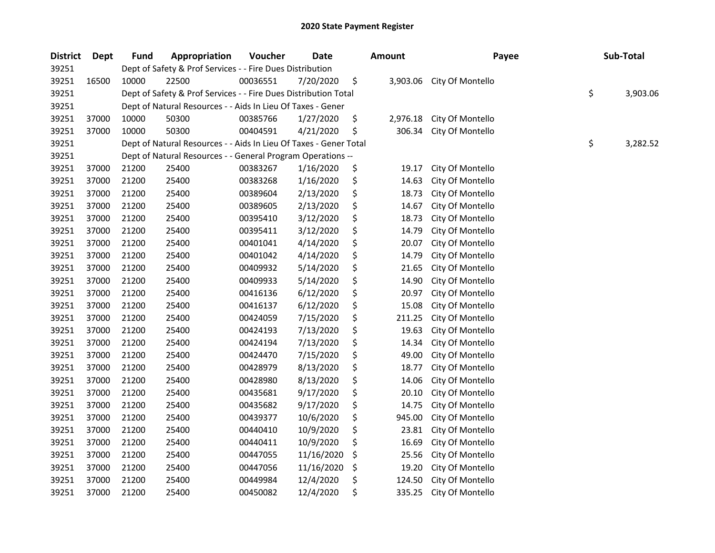| <b>District</b> | Dept  | <b>Fund</b> | Appropriation                                                     | Voucher  | Date       | <b>Amount</b>  | Payee            | Sub-Total      |
|-----------------|-------|-------------|-------------------------------------------------------------------|----------|------------|----------------|------------------|----------------|
| 39251           |       |             | Dept of Safety & Prof Services - - Fire Dues Distribution         |          |            |                |                  |                |
| 39251           | 16500 | 10000       | 22500                                                             | 00036551 | 7/20/2020  | \$<br>3,903.06 | City Of Montello |                |
| 39251           |       |             | Dept of Safety & Prof Services - - Fire Dues Distribution Total   |          |            |                |                  | \$<br>3,903.06 |
| 39251           |       |             | Dept of Natural Resources - - Aids In Lieu Of Taxes - Gener       |          |            |                |                  |                |
| 39251           | 37000 | 10000       | 50300                                                             | 00385766 | 1/27/2020  | \$<br>2,976.18 | City Of Montello |                |
| 39251           | 37000 | 10000       | 50300                                                             | 00404591 | 4/21/2020  | \$<br>306.34   | City Of Montello |                |
| 39251           |       |             | Dept of Natural Resources - - Aids In Lieu Of Taxes - Gener Total |          |            |                |                  | \$<br>3,282.52 |
| 39251           |       |             | Dept of Natural Resources - - General Program Operations --       |          |            |                |                  |                |
| 39251           | 37000 | 21200       | 25400                                                             | 00383267 | 1/16/2020  | \$<br>19.17    | City Of Montello |                |
| 39251           | 37000 | 21200       | 25400                                                             | 00383268 | 1/16/2020  | \$<br>14.63    | City Of Montello |                |
| 39251           | 37000 | 21200       | 25400                                                             | 00389604 | 2/13/2020  | \$<br>18.73    | City Of Montello |                |
| 39251           | 37000 | 21200       | 25400                                                             | 00389605 | 2/13/2020  | \$<br>14.67    | City Of Montello |                |
| 39251           | 37000 | 21200       | 25400                                                             | 00395410 | 3/12/2020  | \$<br>18.73    | City Of Montello |                |
| 39251           | 37000 | 21200       | 25400                                                             | 00395411 | 3/12/2020  | \$<br>14.79    | City Of Montello |                |
| 39251           | 37000 | 21200       | 25400                                                             | 00401041 | 4/14/2020  | \$<br>20.07    | City Of Montello |                |
| 39251           | 37000 | 21200       | 25400                                                             | 00401042 | 4/14/2020  | \$<br>14.79    | City Of Montello |                |
| 39251           | 37000 | 21200       | 25400                                                             | 00409932 | 5/14/2020  | \$<br>21.65    | City Of Montello |                |
| 39251           | 37000 | 21200       | 25400                                                             | 00409933 | 5/14/2020  | \$<br>14.90    | City Of Montello |                |
| 39251           | 37000 | 21200       | 25400                                                             | 00416136 | 6/12/2020  | \$<br>20.97    | City Of Montello |                |
| 39251           | 37000 | 21200       | 25400                                                             | 00416137 | 6/12/2020  | \$<br>15.08    | City Of Montello |                |
| 39251           | 37000 | 21200       | 25400                                                             | 00424059 | 7/15/2020  | \$<br>211.25   | City Of Montello |                |
| 39251           | 37000 | 21200       | 25400                                                             | 00424193 | 7/13/2020  | \$<br>19.63    | City Of Montello |                |
| 39251           | 37000 | 21200       | 25400                                                             | 00424194 | 7/13/2020  | \$<br>14.34    | City Of Montello |                |
| 39251           | 37000 | 21200       | 25400                                                             | 00424470 | 7/15/2020  | \$<br>49.00    | City Of Montello |                |
| 39251           | 37000 | 21200       | 25400                                                             | 00428979 | 8/13/2020  | \$<br>18.77    | City Of Montello |                |
| 39251           | 37000 | 21200       | 25400                                                             | 00428980 | 8/13/2020  | \$<br>14.06    | City Of Montello |                |
| 39251           | 37000 | 21200       | 25400                                                             | 00435681 | 9/17/2020  | \$<br>20.10    | City Of Montello |                |
| 39251           | 37000 | 21200       | 25400                                                             | 00435682 | 9/17/2020  | \$<br>14.75    | City Of Montello |                |
| 39251           | 37000 | 21200       | 25400                                                             | 00439377 | 10/6/2020  | \$<br>945.00   | City Of Montello |                |
| 39251           | 37000 | 21200       | 25400                                                             | 00440410 | 10/9/2020  | \$<br>23.81    | City Of Montello |                |
| 39251           | 37000 | 21200       | 25400                                                             | 00440411 | 10/9/2020  | \$<br>16.69    | City Of Montello |                |
| 39251           | 37000 | 21200       | 25400                                                             | 00447055 | 11/16/2020 | \$<br>25.56    | City Of Montello |                |
| 39251           | 37000 | 21200       | 25400                                                             | 00447056 | 11/16/2020 | \$<br>19.20    | City Of Montello |                |
| 39251           | 37000 | 21200       | 25400                                                             | 00449984 | 12/4/2020  | \$<br>124.50   | City Of Montello |                |
| 39251           | 37000 | 21200       | 25400                                                             | 00450082 | 12/4/2020  | \$<br>335.25   | City Of Montello |                |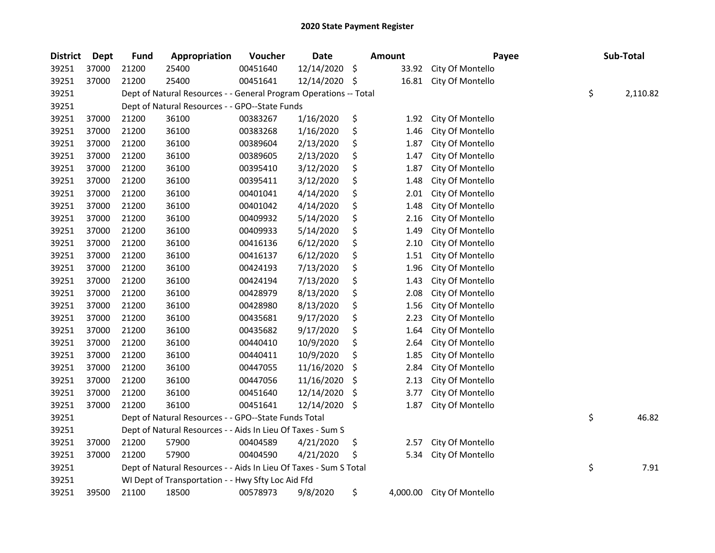| <b>District</b> | <b>Dept</b> | <b>Fund</b> | Appropriation                                                     | Voucher  | <b>Date</b> | <b>Amount</b>  | Payee            | Sub-Total      |
|-----------------|-------------|-------------|-------------------------------------------------------------------|----------|-------------|----------------|------------------|----------------|
| 39251           | 37000       | 21200       | 25400                                                             | 00451640 | 12/14/2020  | \$<br>33.92    | City Of Montello |                |
| 39251           | 37000       | 21200       | 25400                                                             | 00451641 | 12/14/2020  | \$<br>16.81    | City Of Montello |                |
| 39251           |             |             | Dept of Natural Resources - - General Program Operations -- Total |          |             |                |                  | \$<br>2,110.82 |
| 39251           |             |             | Dept of Natural Resources - - GPO--State Funds                    |          |             |                |                  |                |
| 39251           | 37000       | 21200       | 36100                                                             | 00383267 | 1/16/2020   | \$<br>1.92     | City Of Montello |                |
| 39251           | 37000       | 21200       | 36100                                                             | 00383268 | 1/16/2020   | \$<br>1.46     | City Of Montello |                |
| 39251           | 37000       | 21200       | 36100                                                             | 00389604 | 2/13/2020   | \$<br>1.87     | City Of Montello |                |
| 39251           | 37000       | 21200       | 36100                                                             | 00389605 | 2/13/2020   | \$<br>1.47     | City Of Montello |                |
| 39251           | 37000       | 21200       | 36100                                                             | 00395410 | 3/12/2020   | \$<br>1.87     | City Of Montello |                |
| 39251           | 37000       | 21200       | 36100                                                             | 00395411 | 3/12/2020   | \$<br>1.48     | City Of Montello |                |
| 39251           | 37000       | 21200       | 36100                                                             | 00401041 | 4/14/2020   | \$<br>2.01     | City Of Montello |                |
| 39251           | 37000       | 21200       | 36100                                                             | 00401042 | 4/14/2020   | \$<br>1.48     | City Of Montello |                |
| 39251           | 37000       | 21200       | 36100                                                             | 00409932 | 5/14/2020   | \$<br>2.16     | City Of Montello |                |
| 39251           | 37000       | 21200       | 36100                                                             | 00409933 | 5/14/2020   | \$<br>1.49     | City Of Montello |                |
| 39251           | 37000       | 21200       | 36100                                                             | 00416136 | 6/12/2020   | \$<br>2.10     | City Of Montello |                |
| 39251           | 37000       | 21200       | 36100                                                             | 00416137 | 6/12/2020   | \$<br>1.51     | City Of Montello |                |
| 39251           | 37000       | 21200       | 36100                                                             | 00424193 | 7/13/2020   | \$<br>1.96     | City Of Montello |                |
| 39251           | 37000       | 21200       | 36100                                                             | 00424194 | 7/13/2020   | \$<br>1.43     | City Of Montello |                |
| 39251           | 37000       | 21200       | 36100                                                             | 00428979 | 8/13/2020   | \$<br>2.08     | City Of Montello |                |
| 39251           | 37000       | 21200       | 36100                                                             | 00428980 | 8/13/2020   | \$<br>1.56     | City Of Montello |                |
| 39251           | 37000       | 21200       | 36100                                                             | 00435681 | 9/17/2020   | \$<br>2.23     | City Of Montello |                |
| 39251           | 37000       | 21200       | 36100                                                             | 00435682 | 9/17/2020   | \$<br>1.64     | City Of Montello |                |
| 39251           | 37000       | 21200       | 36100                                                             | 00440410 | 10/9/2020   | \$<br>2.64     | City Of Montello |                |
| 39251           | 37000       | 21200       | 36100                                                             | 00440411 | 10/9/2020   | \$<br>1.85     | City Of Montello |                |
| 39251           | 37000       | 21200       | 36100                                                             | 00447055 | 11/16/2020  | \$<br>2.84     | City Of Montello |                |
| 39251           | 37000       | 21200       | 36100                                                             | 00447056 | 11/16/2020  | \$<br>2.13     | City Of Montello |                |
| 39251           | 37000       | 21200       | 36100                                                             | 00451640 | 12/14/2020  | \$<br>3.77     | City Of Montello |                |
| 39251           | 37000       | 21200       | 36100                                                             | 00451641 | 12/14/2020  | \$<br>1.87     | City Of Montello |                |
| 39251           |             |             | Dept of Natural Resources - - GPO--State Funds Total              |          |             |                |                  | \$<br>46.82    |
| 39251           |             |             | Dept of Natural Resources - - Aids In Lieu Of Taxes - Sum S       |          |             |                |                  |                |
| 39251           | 37000       | 21200       | 57900                                                             | 00404589 | 4/21/2020   | \$<br>2.57     | City Of Montello |                |
| 39251           | 37000       | 21200       | 57900                                                             | 00404590 | 4/21/2020   | \$<br>5.34     | City Of Montello |                |
| 39251           |             |             | Dept of Natural Resources - - Aids In Lieu Of Taxes - Sum S Total |          |             |                |                  | \$<br>7.91     |
| 39251           |             |             | WI Dept of Transportation - - Hwy Sfty Loc Aid Ffd                |          |             |                |                  |                |
| 39251           | 39500       | 21100       | 18500                                                             | 00578973 | 9/8/2020    | \$<br>4,000.00 | City Of Montello |                |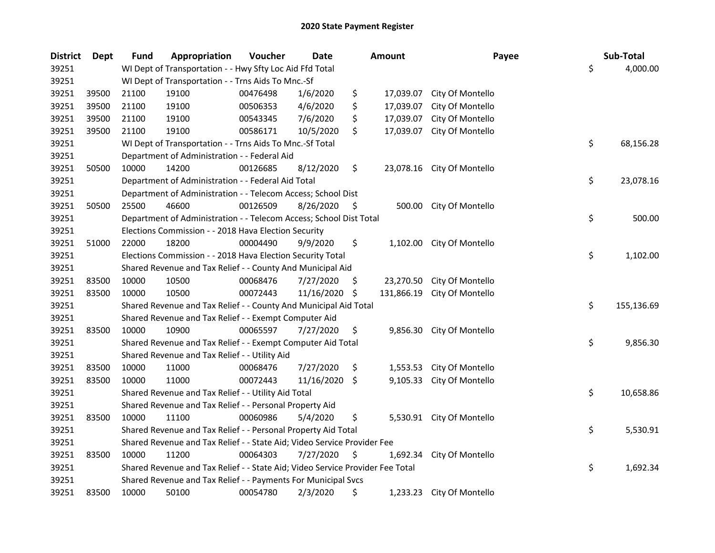| <b>District</b> | <b>Dept</b> | <b>Fund</b> | Appropriation                                                                 | Voucher  | Date       |     | Amount     | Payee                      | Sub-Total        |
|-----------------|-------------|-------------|-------------------------------------------------------------------------------|----------|------------|-----|------------|----------------------------|------------------|
| 39251           |             |             | WI Dept of Transportation - - Hwy Sfty Loc Aid Ffd Total                      |          |            |     |            |                            | \$<br>4,000.00   |
| 39251           |             |             | WI Dept of Transportation - - Trns Aids To Mnc.-Sf                            |          |            |     |            |                            |                  |
| 39251           | 39500       | 21100       | 19100                                                                         | 00476498 | 1/6/2020   | \$  | 17,039.07  | City Of Montello           |                  |
| 39251           | 39500       | 21100       | 19100                                                                         | 00506353 | 4/6/2020   | \$  | 17,039.07  | City Of Montello           |                  |
| 39251           | 39500       | 21100       | 19100                                                                         | 00543345 | 7/6/2020   | \$  | 17,039.07  | City Of Montello           |                  |
| 39251           | 39500       | 21100       | 19100                                                                         | 00586171 | 10/5/2020  | \$  | 17,039.07  | City Of Montello           |                  |
| 39251           |             |             | WI Dept of Transportation - - Trns Aids To Mnc.-Sf Total                      |          |            |     |            |                            | \$<br>68,156.28  |
| 39251           |             |             | Department of Administration - - Federal Aid                                  |          |            |     |            |                            |                  |
| 39251           | 50500       | 10000       | 14200                                                                         | 00126685 | 8/12/2020  | \$  |            | 23,078.16 City Of Montello |                  |
| 39251           |             |             | Department of Administration - - Federal Aid Total                            |          |            |     |            |                            | \$<br>23,078.16  |
| 39251           |             |             | Department of Administration - - Telecom Access; School Dist                  |          |            |     |            |                            |                  |
| 39251           | 50500       | 25500       | 46600                                                                         | 00126509 | 8/26/2020  | \$  | 500.00     | City Of Montello           |                  |
| 39251           |             |             | Department of Administration - - Telecom Access; School Dist Total            |          |            |     |            |                            | \$<br>500.00     |
| 39251           |             |             | Elections Commission - - 2018 Hava Election Security                          |          |            |     |            |                            |                  |
| 39251           | 51000       | 22000       | 18200                                                                         | 00004490 | 9/9/2020   | \$  | 1,102.00   | City Of Montello           |                  |
| 39251           |             |             | Elections Commission - - 2018 Hava Election Security Total                    |          |            |     |            |                            | \$<br>1,102.00   |
| 39251           |             |             | Shared Revenue and Tax Relief - - County And Municipal Aid                    |          |            |     |            |                            |                  |
| 39251           | 83500       | 10000       | 10500                                                                         | 00068476 | 7/27/2020  | \$. | 23,270.50  | City Of Montello           |                  |
| 39251           | 83500       | 10000       | 10500                                                                         | 00072443 | 11/16/2020 | -\$ | 131,866.19 | City Of Montello           |                  |
| 39251           |             |             | Shared Revenue and Tax Relief - - County And Municipal Aid Total              |          |            |     |            |                            | \$<br>155,136.69 |
| 39251           |             |             | Shared Revenue and Tax Relief - - Exempt Computer Aid                         |          |            |     |            |                            |                  |
| 39251           | 83500       | 10000       | 10900                                                                         | 00065597 | 7/27/2020  | \$  | 9,856.30   | City Of Montello           |                  |
| 39251           |             |             | Shared Revenue and Tax Relief - - Exempt Computer Aid Total                   |          |            |     |            |                            | \$<br>9,856.30   |
| 39251           |             |             | Shared Revenue and Tax Relief - - Utility Aid                                 |          |            |     |            |                            |                  |
| 39251           | 83500       | 10000       | 11000                                                                         | 00068476 | 7/27/2020  | \$  | 1,553.53   | City Of Montello           |                  |
| 39251           | 83500       | 10000       | 11000                                                                         | 00072443 | 11/16/2020 | \$  | 9,105.33   | City Of Montello           |                  |
| 39251           |             |             | Shared Revenue and Tax Relief - - Utility Aid Total                           |          |            |     |            |                            | \$<br>10,658.86  |
| 39251           |             |             | Shared Revenue and Tax Relief - - Personal Property Aid                       |          |            |     |            |                            |                  |
| 39251           | 83500       | 10000       | 11100                                                                         | 00060986 | 5/4/2020   | \$  |            | 5,530.91 City Of Montello  |                  |
| 39251           |             |             | Shared Revenue and Tax Relief - - Personal Property Aid Total                 |          |            |     |            |                            | \$<br>5,530.91   |
| 39251           |             |             | Shared Revenue and Tax Relief - - State Aid; Video Service Provider Fee       |          |            |     |            |                            |                  |
| 39251           | 83500       | 10000       | 11200                                                                         | 00064303 | 7/27/2020  | \$  | 1,692.34   | City Of Montello           |                  |
| 39251           |             |             | Shared Revenue and Tax Relief - - State Aid; Video Service Provider Fee Total |          |            |     |            |                            | \$<br>1,692.34   |
| 39251           |             |             | Shared Revenue and Tax Relief - - Payments For Municipal Svcs                 |          |            |     |            |                            |                  |
| 39251           | 83500       | 10000       | 50100                                                                         | 00054780 | 2/3/2020   | \$  |            | 1,233.23 City Of Montello  |                  |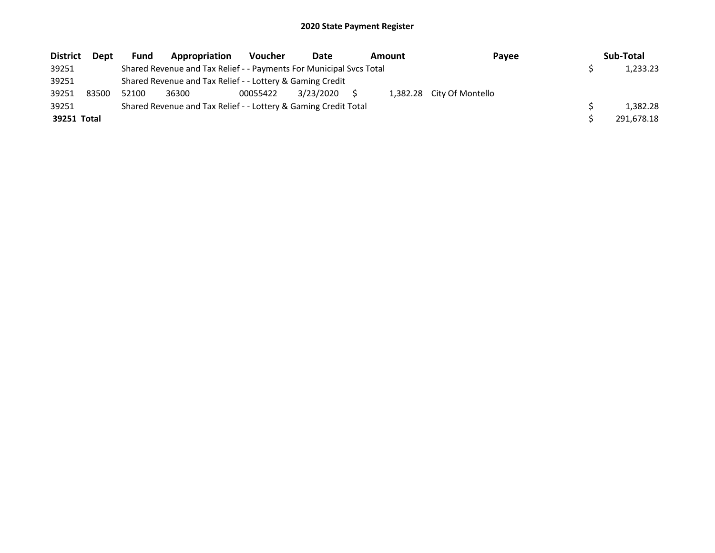| <b>District</b> | Dept  | <b>Fund</b> | Appropriation                                                       | <b>Voucher</b> | Date      | <b>Amount</b> | Payee                     | Sub-Total  |
|-----------------|-------|-------------|---------------------------------------------------------------------|----------------|-----------|---------------|---------------------------|------------|
| 39251           |       |             | Shared Revenue and Tax Relief - - Payments For Municipal Svcs Total |                |           |               |                           | 1,233.23   |
| 39251           |       |             | Shared Revenue and Tax Relief - - Lottery & Gaming Credit           |                |           |               |                           |            |
| 39251           | 83500 | 52100       | 36300                                                               | 00055422       | 3/23/2020 |               | 1,382.28 City Of Montello |            |
| 39251           |       |             | Shared Revenue and Tax Relief - - Lottery & Gaming Credit Total     |                |           |               |                           | 1.382.28   |
| 39251 Total     |       |             |                                                                     |                |           |               |                           | 291,678.18 |